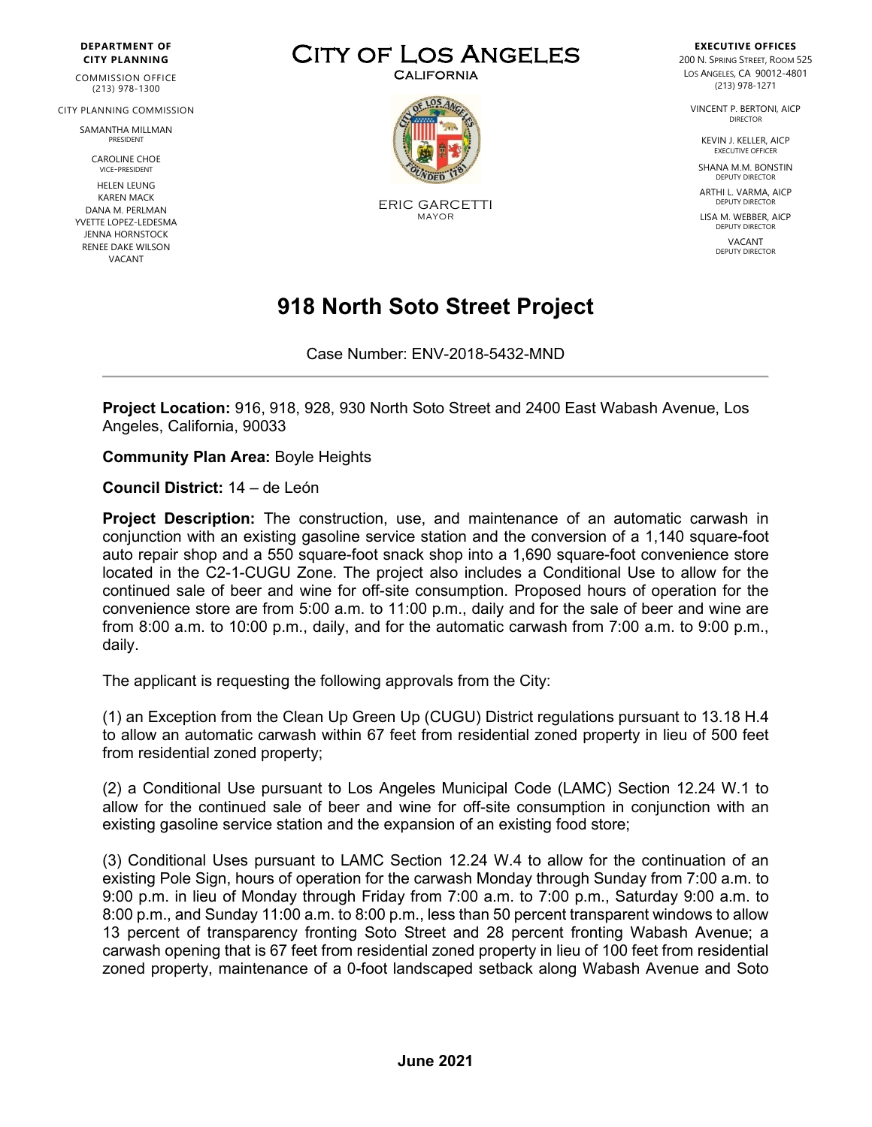#### **DEPARTMENT OF CITY PLANNING**

COMMISSION OFFICE (213) 978-1300

CITY PLANNING COMMISSION

SAMANTHA MILLMAN PRESIDENT

> CAROLINE CHOE VICE-PRESIDENT

HELEN LEUNG KAREN MACK DANA M. PERLMAN YVETTE LOPEZ-LEDESMA JENNA HORNSTOCK RENEE DAKE WILSON VACANT

# CITY OF LOS ANGELES



ERIC GARCETTI MAYOR

#### **EXECUTIVE OFFICES** 200 N. SPRING STREET, ROOM 525 LOS ANGELES, CA 90012-4801 (213) 978-1271

VINCENT P. BERTONI, AICP DIRECTOR

> KEVIN J. KELLER, AICP EXECUTIVE OFFICER

SHANA M.M. BONSTIN DEPUTY DIRECTOR

ARTHI L. VARMA, AICP DEPUTY DIRECTOR

LISA M. WEBBER, AICP DEPUTY DIRECTOR VACANT

DEPUTY DIRECTOR

## **918 North Soto Street Project**

Case Number: ENV-2018-5432-MND

**Project Location:** 916, 918, 928, 930 North Soto Street and 2400 East Wabash Avenue, Los Angeles, California, 90033

**Community Plan Area:** Boyle Heights

**Council District:** 14 – de León

**Project Description:** The construction, use, and maintenance of an automatic carwash in conjunction with an existing gasoline service station and the conversion of a 1,140 square-foot auto repair shop and a 550 square-foot snack shop into a 1,690 square-foot convenience store located in the C2-1-CUGU Zone. The project also includes a Conditional Use to allow for the continued sale of beer and wine for off-site consumption. Proposed hours of operation for the convenience store are from 5:00 a.m. to 11:00 p.m., daily and for the sale of beer and wine are from 8:00 a.m. to 10:00 p.m., daily, and for the automatic carwash from 7:00 a.m. to 9:00 p.m., daily.

The applicant is requesting the following approvals from the City:

(1) an Exception from the Clean Up Green Up (CUGU) District regulations pursuant to 13.18 H.4 to allow an automatic carwash within 67 feet from residential zoned property in lieu of 500 feet from residential zoned property;

(2) a Conditional Use pursuant to Los Angeles Municipal Code (LAMC) Section 12.24 W.1 to allow for the continued sale of beer and wine for off-site consumption in conjunction with an existing gasoline service station and the expansion of an existing food store;

(3) Conditional Uses pursuant to LAMC Section 12.24 W.4 to allow for the continuation of an existing Pole Sign, hours of operation for the carwash Monday through Sunday from 7:00 a.m. to 9:00 p.m. in lieu of Monday through Friday from 7:00 a.m. to 7:00 p.m., Saturday 9:00 a.m. to 8:00 p.m., and Sunday 11:00 a.m. to 8:00 p.m., less than 50 percent transparent windows to allow 13 percent of transparency fronting Soto Street and 28 percent fronting Wabash Avenue; a carwash opening that is 67 feet from residential zoned property in lieu of 100 feet from residential zoned property, maintenance of a 0-foot landscaped setback along Wabash Avenue and Soto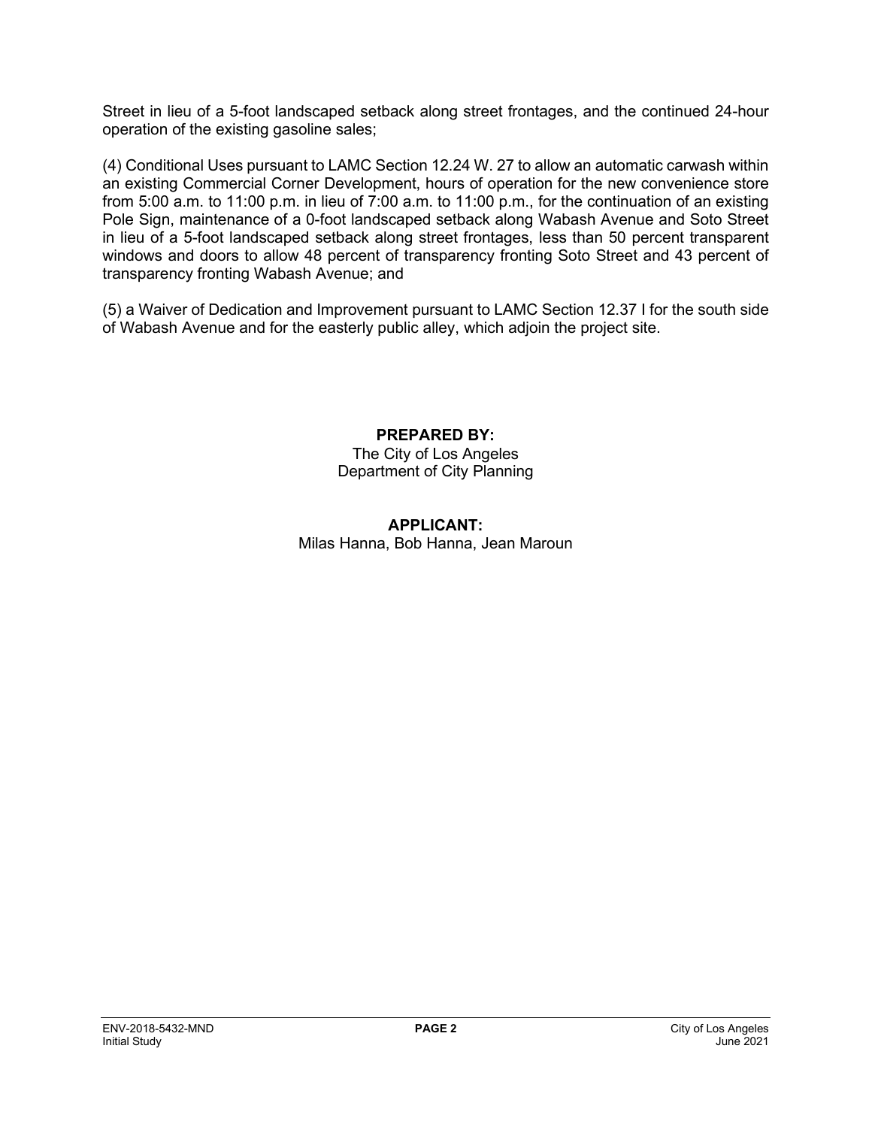Street in lieu of a 5-foot landscaped setback along street frontages, and the continued 24-hour operation of the existing gasoline sales;

(4) Conditional Uses pursuant to LAMC Section 12.24 W. 27 to allow an automatic carwash within an existing Commercial Corner Development, hours of operation for the new convenience store from 5:00 a.m. to 11:00 p.m. in lieu of 7:00 a.m. to 11:00 p.m., for the continuation of an existing Pole Sign, maintenance of a 0-foot landscaped setback along Wabash Avenue and Soto Street in lieu of a 5-foot landscaped setback along street frontages, less than 50 percent transparent windows and doors to allow 48 percent of transparency fronting Soto Street and 43 percent of transparency fronting Wabash Avenue; and

(5) a Waiver of Dedication and Improvement pursuant to LAMC Section 12.37 I for the south side of Wabash Avenue and for the easterly public alley, which adjoin the project site.

> **PREPARED BY:** The City of Los Angeles Department of City Planning

#### **APPLICANT:** Milas Hanna, Bob Hanna, Jean Maroun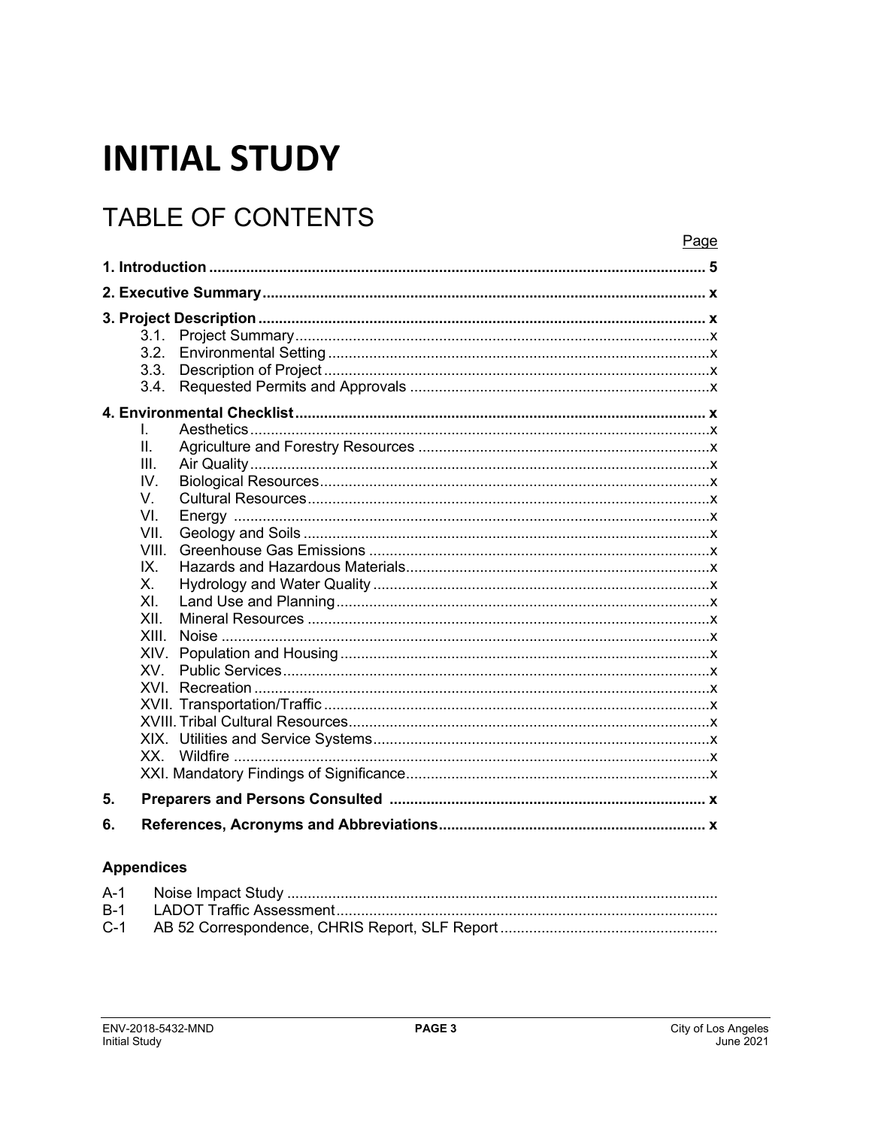# **INITIAL STUDY**

## **TABLE OF CONTENTS**

|      | 3.1.  |  |
|------|-------|--|
|      | 3.2.  |  |
|      | 3.3.  |  |
|      | 3.4.  |  |
|      |       |  |
| L.   |       |  |
| II.  |       |  |
| III. |       |  |
| IV.  |       |  |
| V.   |       |  |
| VI.  |       |  |
| VII. |       |  |
|      | VIII. |  |
| IX.  |       |  |
| Χ.   |       |  |
| XI.  |       |  |
| XII. |       |  |
|      | XIII. |  |
|      | XIV.  |  |
|      | XV.   |  |
|      | XVI.  |  |
|      |       |  |
|      |       |  |
|      | XX.   |  |
|      |       |  |
|      |       |  |
| 5.   |       |  |
| 6.   |       |  |

#### **Appendices**

Page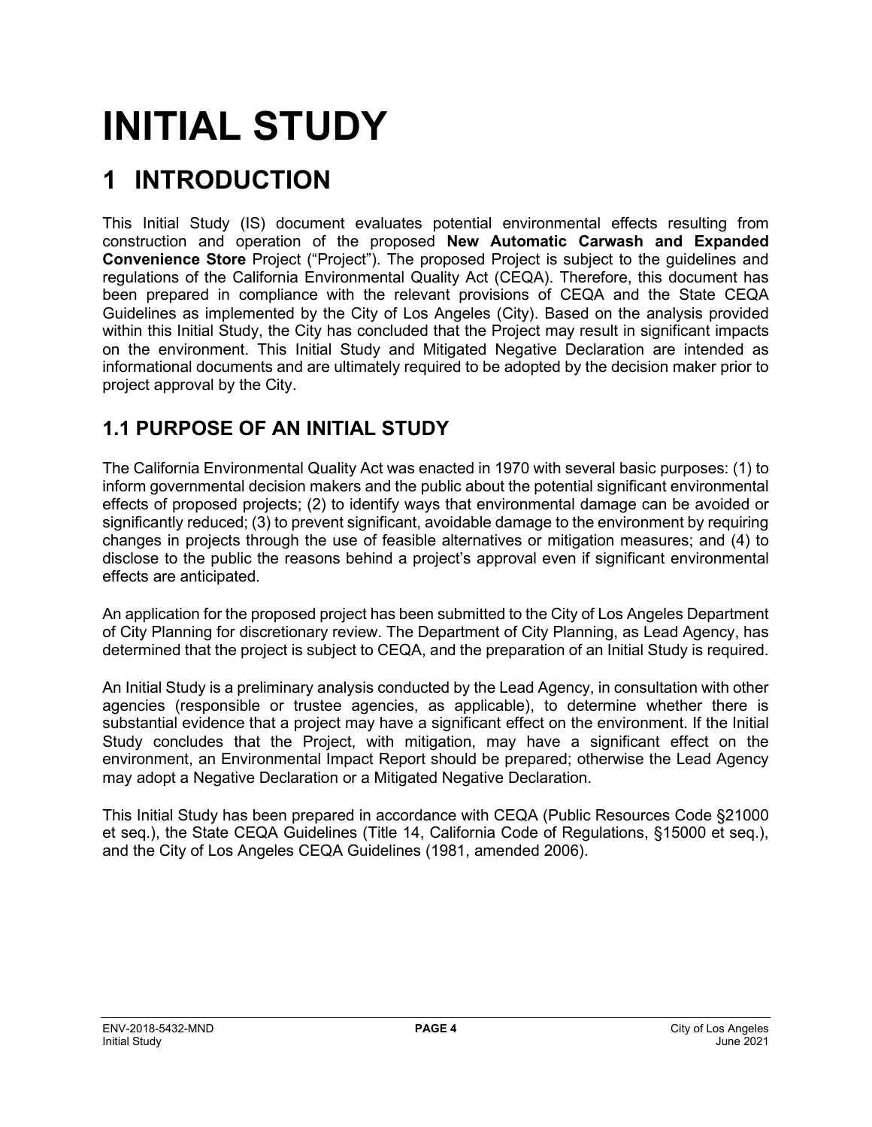# **INITIAL STUDY**

## **1 INTRODUCTION**

This Initial Study (IS) document evaluates potential environmental effects resulting from construction and operation of the proposed **New Automatic Carwash and Expanded Convenience Store** Project ("Project"). The proposed Project is subject to the guidelines and regulations of the California Environmental Quality Act (CEQA). Therefore, this document has been prepared in compliance with the relevant provisions of CEQA and the State CEQA Guidelines as implemented by the City of Los Angeles (City). Based on the analysis provided within this Initial Study, the City has concluded that the Project may result in significant impacts on the environment. This Initial Study and Mitigated Negative Declaration are intended as informational documents and are ultimately required to be adopted by the decision maker prior to project approval by the City.

## **1.1 PURPOSE OF AN INITIAL STUDY**

The California Environmental Quality Act was enacted in 1970 with several basic purposes: (1) to inform governmental decision makers and the public about the potential significant environmental effects of proposed projects; (2) to identify ways that environmental damage can be avoided or significantly reduced; (3) to prevent significant, avoidable damage to the environment by requiring changes in projects through the use of feasible alternatives or mitigation measures; and (4) to disclose to the public the reasons behind a project's approval even if significant environmental effects are anticipated.

An application for the proposed project has been submitted to the City of Los Angeles Department of City Planning for discretionary review. The Department of City Planning, as Lead Agency, has determined that the project is subject to CEQA, and the preparation of an Initial Study is required.

An Initial Study is a preliminary analysis conducted by the Lead Agency, in consultation with other agencies (responsible or trustee agencies, as applicable), to determine whether there is substantial evidence that a project may have a significant effect on the environment. If the Initial Study concludes that the Project, with mitigation, may have a significant effect on the environment, an Environmental Impact Report should be prepared; otherwise the Lead Agency may adopt a Negative Declaration or a Mitigated Negative Declaration.

This Initial Study has been prepared in accordance with CEQA (Public Resources Code §21000 et seq.), the State CEQA Guidelines (Title 14, California Code of Regulations, §15000 et seq.), and the City of Los Angeles CEQA Guidelines (1981, amended 2006).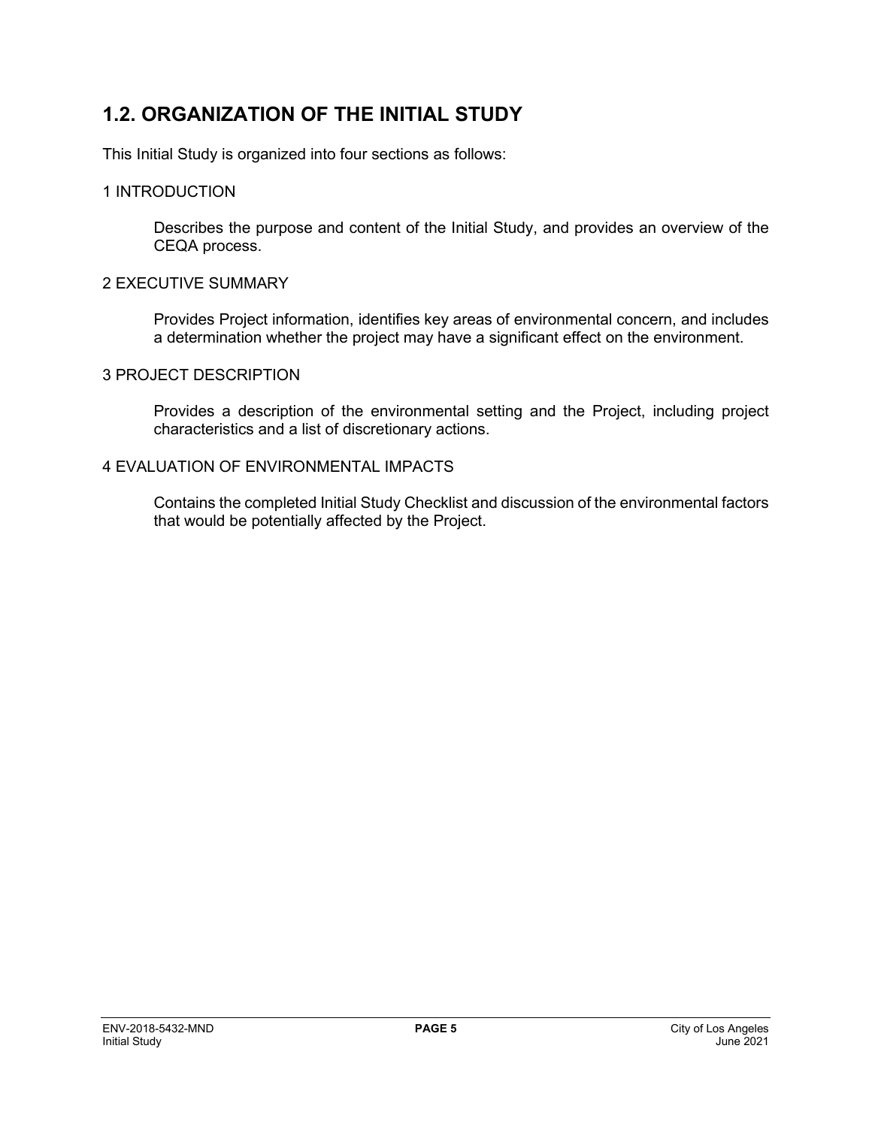## **1.2. ORGANIZATION OF THE INITIAL STUDY**

This Initial Study is organized into four sections as follows:

#### 1 INTRODUCTION

Describes the purpose and content of the Initial Study, and provides an overview of the CEQA process.

#### 2 EXECUTIVE SUMMARY

Provides Project information, identifies key areas of environmental concern, and includes a determination whether the project may have a significant effect on the environment.

#### 3 PROJECT DESCRIPTION

Provides a description of the environmental setting and the Project, including project characteristics and a list of discretionary actions.

#### 4 EVALUATION OF ENVIRONMENTAL IMPACTS

Contains the completed Initial Study Checklist and discussion of the environmental factors that would be potentially affected by the Project.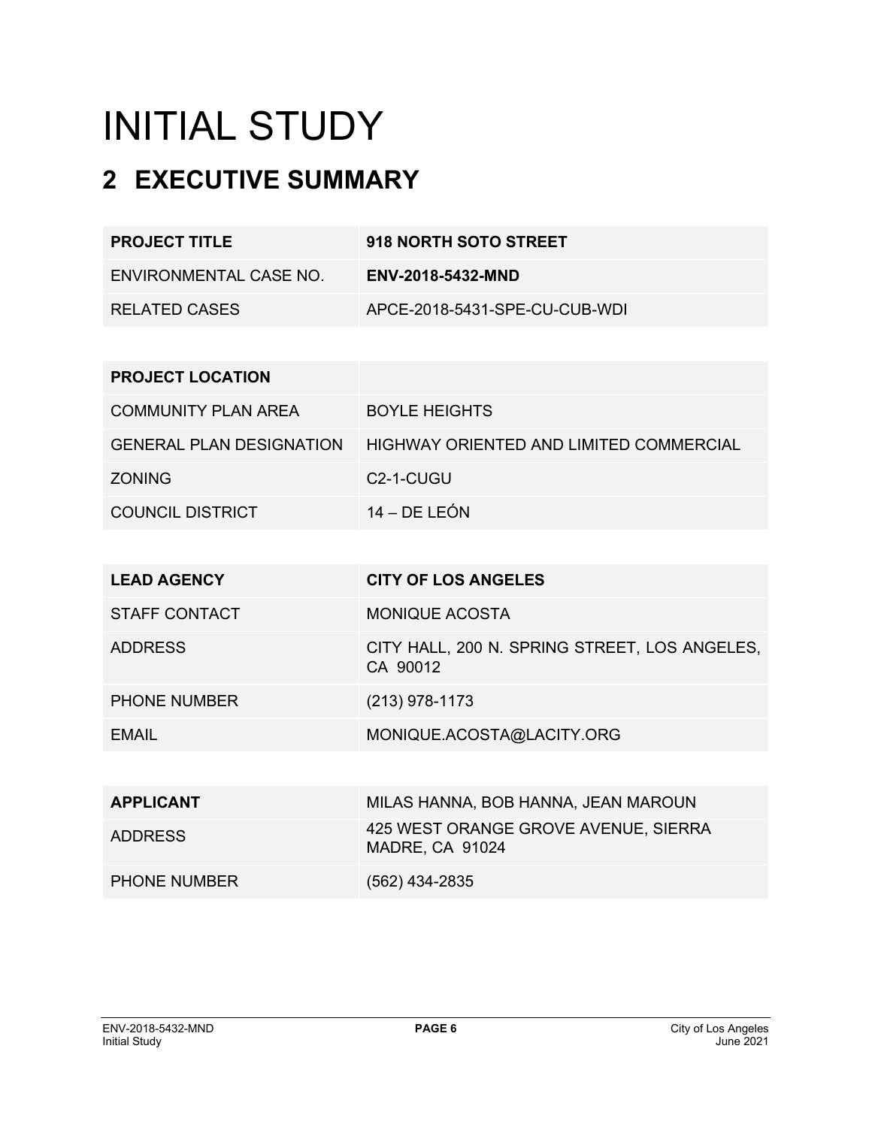# INITIAL STUDY

## **2 EXECUTIVE SUMMARY**

| <b>PROJECT TITLE</b>   | 918 NORTH SOTO STREET         |
|------------------------|-------------------------------|
| ENVIRONMENTAL CASE NO. | ENV-2018-5432-MND             |
| RELATED CASES          | APCE-2018-5431-SPE-CU-CUB-WDI |

| <b>PROJECT LOCATION</b>    |                                         |
|----------------------------|-----------------------------------------|
| <b>COMMUNITY PLAN AREA</b> | <b>BOYLE HEIGHTS</b>                    |
| GENERAL PLAN DESIGNATION   | HIGHWAY ORIENTED AND LIMITED COMMERCIAL |
| <b>ZONING</b>              | C <sub>2</sub> -1-CUGU                  |
| COUNCIL DISTRICT           | $14 - DE LEÓN$                          |

| <b>LEAD AGENCY</b>   | <b>CITY OF LOS ANGELES</b>                                     |
|----------------------|----------------------------------------------------------------|
| <b>STAFF CONTACT</b> | <b>MONIQUE ACOSTA</b>                                          |
| <b>ADDRESS</b>       | CITY HALL, 200 N. SPRING STREET, LOS ANGELES,<br>CA 90012      |
| <b>PHONE NUMBER</b>  | $(213)$ 978-1173                                               |
| EMAIL                | MONIQUE.ACOSTA@LACITY.ORG                                      |
|                      |                                                                |
| <b>APPLICANT</b>     | MILAS HANNA, BOB HANNA, JEAN MAROUN                            |
| <b>ADDRESS</b>       | 425 WEST ORANGE GROVE AVENUE, SIERRA<br><b>MADRE, CA 91024</b> |
| <b>PHONE NUMBER</b>  | (562) 434-2835                                                 |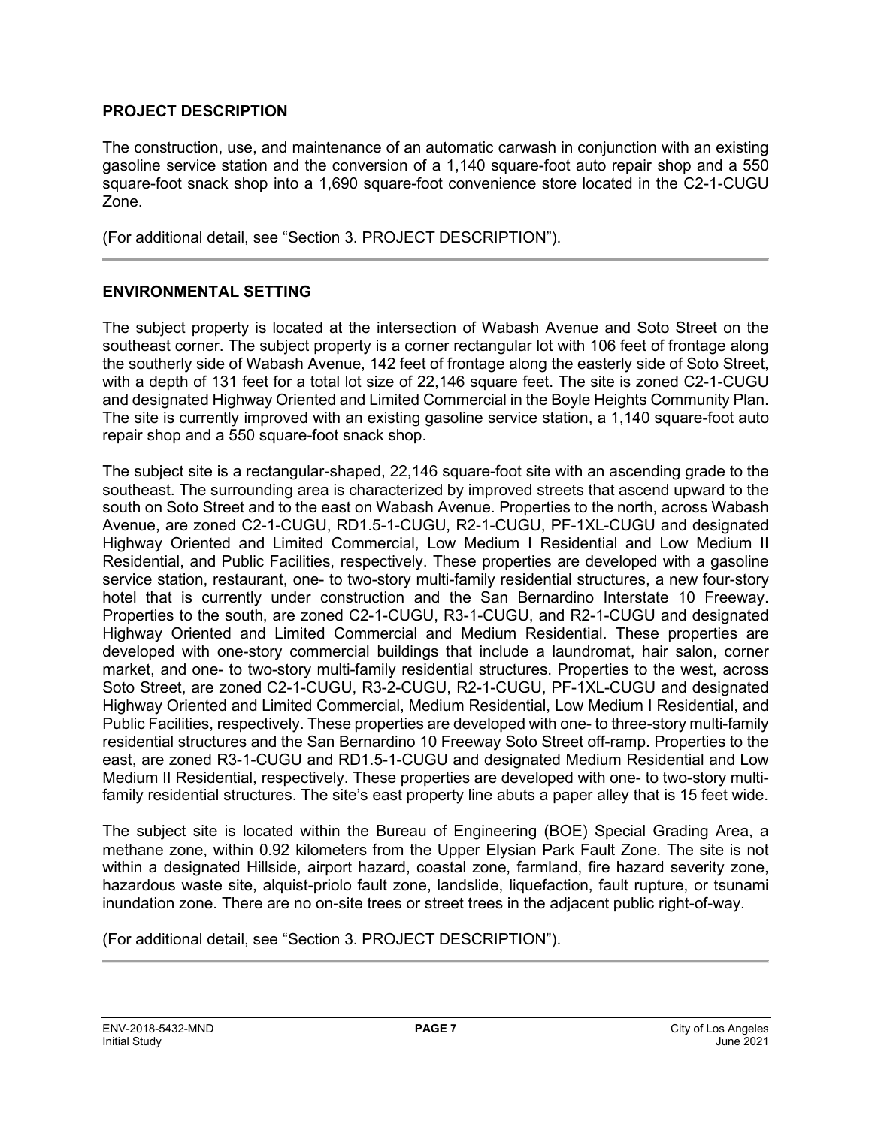#### **PROJECT DESCRIPTION**

The construction, use, and maintenance of an automatic carwash in conjunction with an existing gasoline service station and the conversion of a 1,140 square-foot auto repair shop and a 550 square-foot snack shop into a 1,690 square-foot convenience store located in the C2-1-CUGU Zone.

(For additional detail, see "Section 3. PROJECT DESCRIPTION").

#### **ENVIRONMENTAL SETTING**

The subject property is located at the intersection of Wabash Avenue and Soto Street on the southeast corner. The subject property is a corner rectangular lot with 106 feet of frontage along the southerly side of Wabash Avenue, 142 feet of frontage along the easterly side of Soto Street, with a depth of 131 feet for a total lot size of 22,146 square feet. The site is zoned C2-1-CUGU and designated Highway Oriented and Limited Commercial in the Boyle Heights Community Plan. The site is currently improved with an existing gasoline service station, a 1,140 square-foot auto repair shop and a 550 square-foot snack shop.

The subject site is a rectangular-shaped, 22,146 square-foot site with an ascending grade to the southeast. The surrounding area is characterized by improved streets that ascend upward to the south on Soto Street and to the east on Wabash Avenue. Properties to the north, across Wabash Avenue, are zoned C2-1-CUGU, RD1.5-1-CUGU, R2-1-CUGU, PF-1XL-CUGU and designated Highway Oriented and Limited Commercial, Low Medium I Residential and Low Medium II Residential, and Public Facilities, respectively. These properties are developed with a gasoline service station, restaurant, one- to two-story multi-family residential structures, a new four-story hotel that is currently under construction and the San Bernardino Interstate 10 Freeway. Properties to the south, are zoned C2-1-CUGU, R3-1-CUGU, and R2-1-CUGU and designated Highway Oriented and Limited Commercial and Medium Residential. These properties are developed with one-story commercial buildings that include a laundromat, hair salon, corner market, and one- to two-story multi-family residential structures. Properties to the west, across Soto Street, are zoned C2-1-CUGU, R3-2-CUGU, R2-1-CUGU, PF-1XL-CUGU and designated Highway Oriented and Limited Commercial, Medium Residential, Low Medium I Residential, and Public Facilities, respectively. These properties are developed with one- to three-story multi-family residential structures and the San Bernardino 10 Freeway Soto Street off-ramp. Properties to the east, are zoned R3-1-CUGU and RD1.5-1-CUGU and designated Medium Residential and Low Medium II Residential, respectively. These properties are developed with one- to two-story multifamily residential structures. The site's east property line abuts a paper alley that is 15 feet wide.

The subject site is located within the Bureau of Engineering (BOE) Special Grading Area, a methane zone, within 0.92 kilometers from the Upper Elysian Park Fault Zone. The site is not within a designated Hillside, airport hazard, coastal zone, farmland, fire hazard severity zone, hazardous waste site, alquist-priolo fault zone, landslide, liquefaction, fault rupture, or tsunami inundation zone. There are no on-site trees or street trees in the adjacent public right-of-way.

(For additional detail, see "Section 3. PROJECT DESCRIPTION").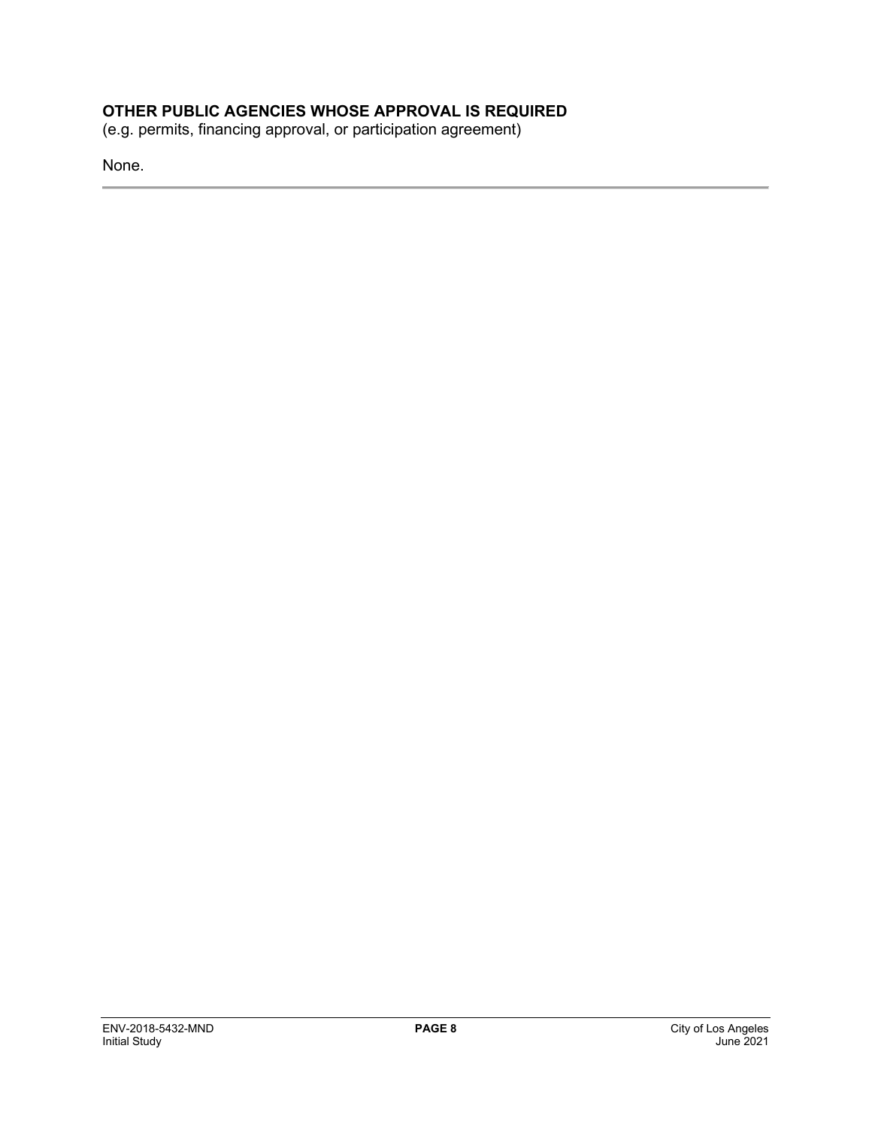#### **OTHER PUBLIC AGENCIES WHOSE APPROVAL IS REQUIRED**

(e.g. permits, financing approval, or participation agreement)

None.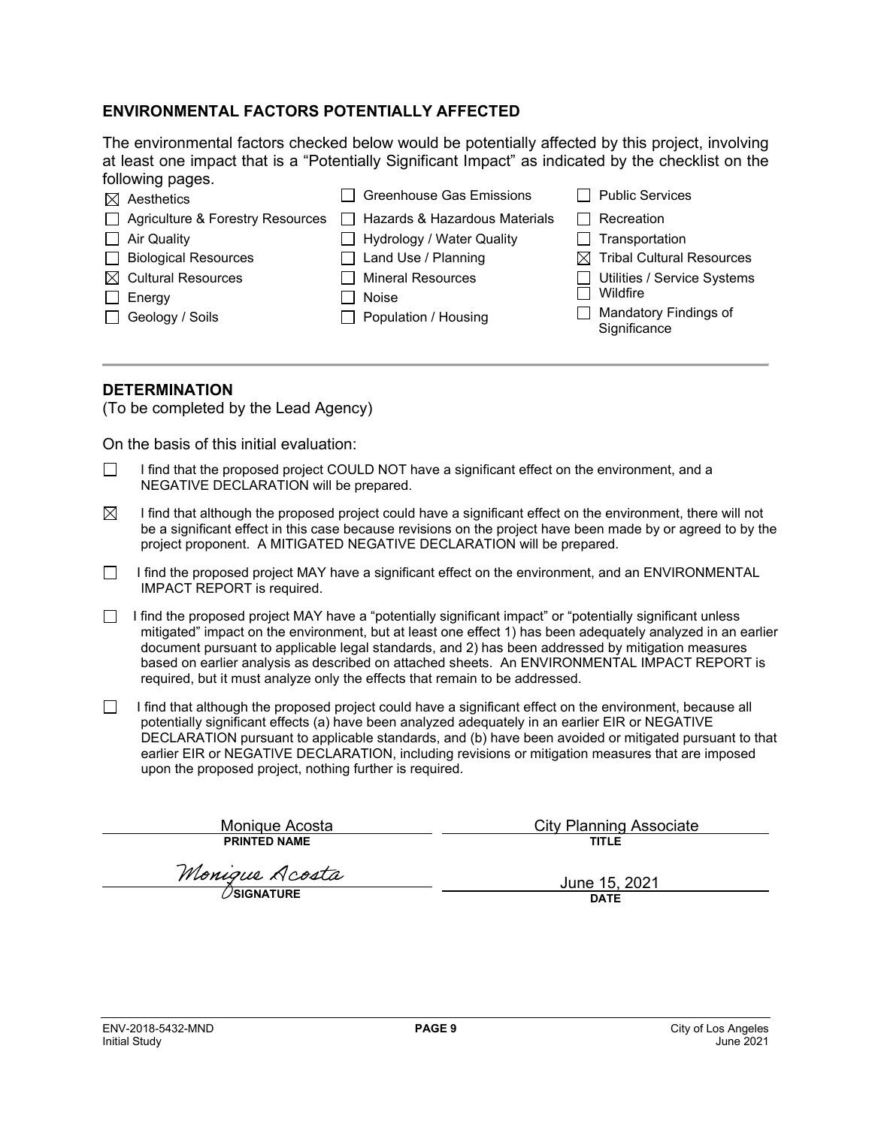#### **ENVIRONMENTAL FACTORS POTENTIALLY AFFECTED**

The environmental factors checked below would be potentially affected by this project, involving at least one impact that is a "Potentially Significant Impact" as indicated by the checklist on the following pages.

| $\boxtimes$ Aesthetics           | <b>Greenhouse Gas Emissions</b>      | <b>Public Services</b>                       |
|----------------------------------|--------------------------------------|----------------------------------------------|
| Agriculture & Forestry Resources | $\Box$ Hazards & Hazardous Materials | Recreation                                   |
| $\Box$ Air Quality               | <b>Hydrology / Water Quality</b>     | Transportation                               |
| □ Biological Resources           | $\Box$ Land Use / Planning           | $\boxtimes$ Tribal Cultural Resources        |
| $\boxtimes$ Cultural Resources   | <b>Mineral Resources</b>             | Utilities / Service Systems                  |
| Energy                           | Noise                                | Wildfire                                     |
| Geology / Soils                  | Population / Housing                 | <b>Mandatory Findings of</b><br>Significance |
|                                  |                                      |                                              |

#### **DETERMINATION**

(To be completed by the Lead Agency)

On the basis of this initial evaluation:

- I find that the proposed project COULD NOT have a significant effect on the environment, and a NEGATIVE DECLARATION will be prepared.
- $\boxtimes$  I find that although the proposed project could have a significant effect on the environment, there will not be a significant effect in this case because revisions on the project have been made by or agreed to by the project proponent. A MITIGATED NEGATIVE DECLARATION will be prepared.
- I find the proposed project MAY have a significant effect on the environment, and an ENVIRONMENTAL IMPACT REPORT is required.
- I find the proposed project MAY have a "potentially significant impact" or "potentially significant unless mitigated" impact on the environment, but at least one effect 1) has been adequately analyzed in an earlier document pursuant to applicable legal standards, and 2) has been addressed by mitigation measures based on earlier analysis as described on attached sheets. An ENVIRONMENTAL IMPACT REPORT is required, but it must analyze only the effects that remain to be addressed.
- $\Box$  I find that although the proposed project could have a significant effect on the environment, because all potentially significant effects (a) have been analyzed adequately in an earlier EIR or NEGATIVE DECLARATION pursuant to applicable standards, and (b) have been avoided or mitigated pursuant to that earlier EIR or NEGATIVE DECLARATION, including revisions or mitigation measures that are imposed upon the proposed project, nothing further is required.

Monique Acosta **PRINTED NAME**

City Planning Associate

**TITLE**

Monique Acosta

June 15, 2021 **DATE**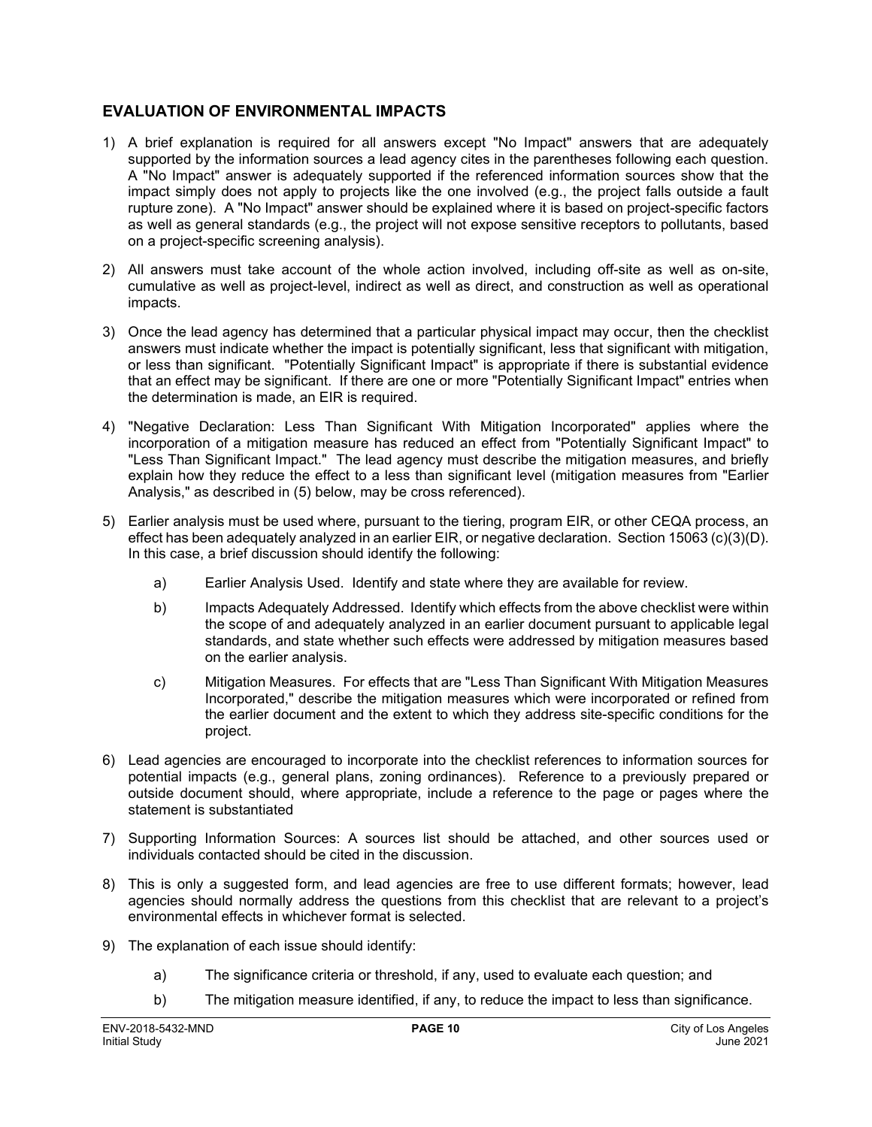#### **EVALUATION OF ENVIRONMENTAL IMPACTS**

- 1) A brief explanation is required for all answers except "No Impact" answers that are adequately supported by the information sources a lead agency cites in the parentheses following each question. A "No Impact" answer is adequately supported if the referenced information sources show that the impact simply does not apply to projects like the one involved (e.g., the project falls outside a fault rupture zone). A "No Impact" answer should be explained where it is based on project-specific factors as well as general standards (e.g., the project will not expose sensitive receptors to pollutants, based on a project-specific screening analysis).
- 2) All answers must take account of the whole action involved, including off-site as well as on-site, cumulative as well as project-level, indirect as well as direct, and construction as well as operational impacts.
- 3) Once the lead agency has determined that a particular physical impact may occur, then the checklist answers must indicate whether the impact is potentially significant, less that significant with mitigation, or less than significant. "Potentially Significant Impact" is appropriate if there is substantial evidence that an effect may be significant. If there are one or more "Potentially Significant Impact" entries when the determination is made, an EIR is required.
- 4) "Negative Declaration: Less Than Significant With Mitigation Incorporated" applies where the incorporation of a mitigation measure has reduced an effect from "Potentially Significant Impact" to "Less Than Significant Impact." The lead agency must describe the mitigation measures, and briefly explain how they reduce the effect to a less than significant level (mitigation measures from "Earlier Analysis," as described in (5) below, may be cross referenced).
- 5) Earlier analysis must be used where, pursuant to the tiering, program EIR, or other CEQA process, an effect has been adequately analyzed in an earlier EIR, or negative declaration. Section 15063 (c)(3)(D). In this case, a brief discussion should identify the following:
	- a) Earlier Analysis Used. Identify and state where they are available for review.
	- b) Impacts Adequately Addressed. Identify which effects from the above checklist were within the scope of and adequately analyzed in an earlier document pursuant to applicable legal standards, and state whether such effects were addressed by mitigation measures based on the earlier analysis.
	- c) Mitigation Measures. For effects that are "Less Than Significant With Mitigation Measures Incorporated," describe the mitigation measures which were incorporated or refined from the earlier document and the extent to which they address site-specific conditions for the project.
- 6) Lead agencies are encouraged to incorporate into the checklist references to information sources for potential impacts (e.g., general plans, zoning ordinances). Reference to a previously prepared or outside document should, where appropriate, include a reference to the page or pages where the statement is substantiated
- 7) Supporting Information Sources: A sources list should be attached, and other sources used or individuals contacted should be cited in the discussion.
- 8) This is only a suggested form, and lead agencies are free to use different formats; however, lead agencies should normally address the questions from this checklist that are relevant to a project's environmental effects in whichever format is selected.
- 9) The explanation of each issue should identify:
	- a) The significance criteria or threshold, if any, used to evaluate each question; and
	- b) The mitigation measure identified, if any, to reduce the impact to less than significance.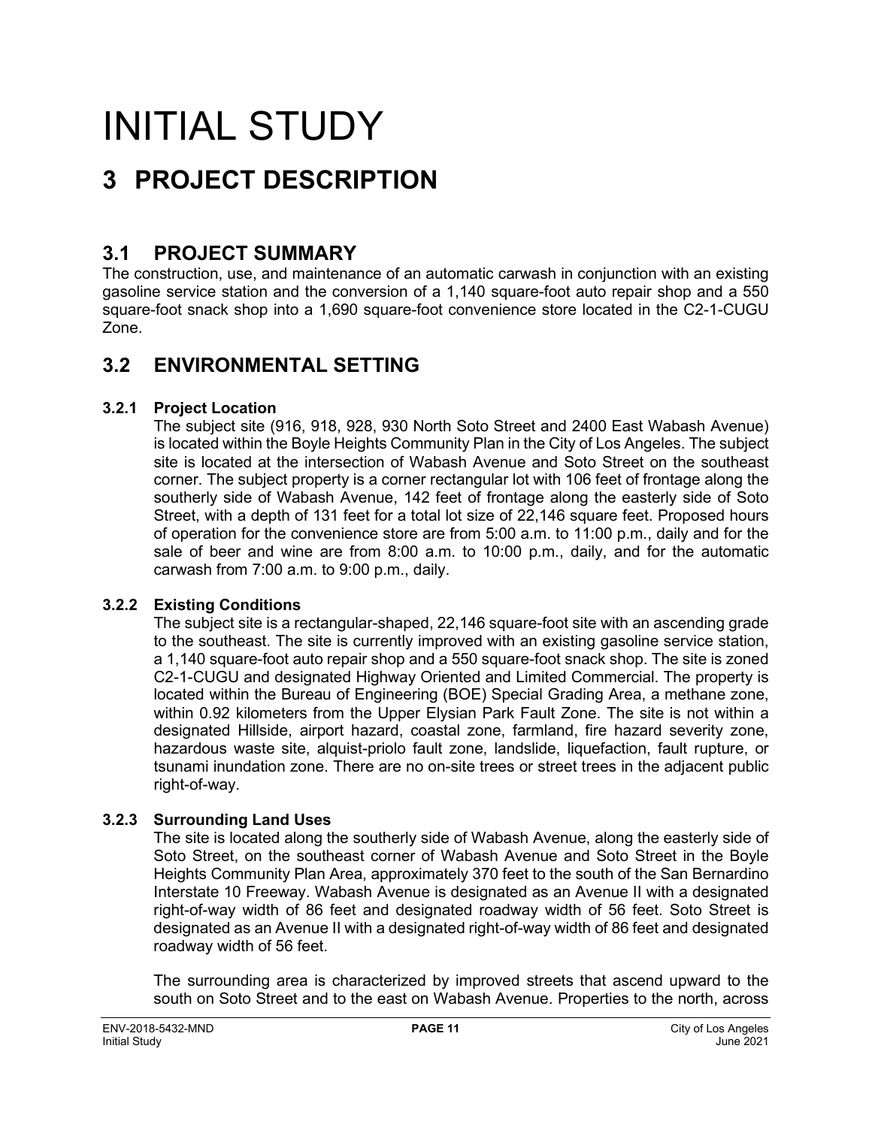# INITIAL STUDY

## **3 PROJECT DESCRIPTION**

### **3.1 PROJECT SUMMARY**

The construction, use, and maintenance of an automatic carwash in conjunction with an existing gasoline service station and the conversion of a 1,140 square-foot auto repair shop and a 550 square-foot snack shop into a 1,690 square-foot convenience store located in the C2-1-CUGU Zone.

### **3.2 ENVIRONMENTAL SETTING**

#### **3.2.1 Project Location**

The subject site (916, 918, 928, 930 North Soto Street and 2400 East Wabash Avenue) is located within the Boyle Heights Community Plan in the City of Los Angeles. The subject site is located at the intersection of Wabash Avenue and Soto Street on the southeast corner. The subject property is a corner rectangular lot with 106 feet of frontage along the southerly side of Wabash Avenue, 142 feet of frontage along the easterly side of Soto Street, with a depth of 131 feet for a total lot size of 22,146 square feet. Proposed hours of operation for the convenience store are from 5:00 a.m. to 11:00 p.m., daily and for the sale of beer and wine are from 8:00 a.m. to 10:00 p.m., daily, and for the automatic carwash from 7:00 a.m. to 9:00 p.m., daily.

#### **3.2.2 Existing Conditions**

The subject site is a rectangular-shaped, 22,146 square-foot site with an ascending grade to the southeast. The site is currently improved with an existing gasoline service station, a 1,140 square-foot auto repair shop and a 550 square-foot snack shop. The site is zoned C2-1-CUGU and designated Highway Oriented and Limited Commercial. The property is located within the Bureau of Engineering (BOE) Special Grading Area, a methane zone, within 0.92 kilometers from the Upper Elysian Park Fault Zone. The site is not within a designated Hillside, airport hazard, coastal zone, farmland, fire hazard severity zone, hazardous waste site, alquist-priolo fault zone, landslide, liquefaction, fault rupture, or tsunami inundation zone. There are no on-site trees or street trees in the adjacent public right-of-way.

#### **3.2.3 Surrounding Land Uses**

The site is located along the southerly side of Wabash Avenue, along the easterly side of Soto Street, on the southeast corner of Wabash Avenue and Soto Street in the Boyle Heights Community Plan Area, approximately 370 feet to the south of the San Bernardino Interstate 10 Freeway. Wabash Avenue is designated as an Avenue II with a designated right-of-way width of 86 feet and designated roadway width of 56 feet. Soto Street is designated as an Avenue II with a designated right-of-way width of 86 feet and designated roadway width of 56 feet.

The surrounding area is characterized by improved streets that ascend upward to the south on Soto Street and to the east on Wabash Avenue. Properties to the north, across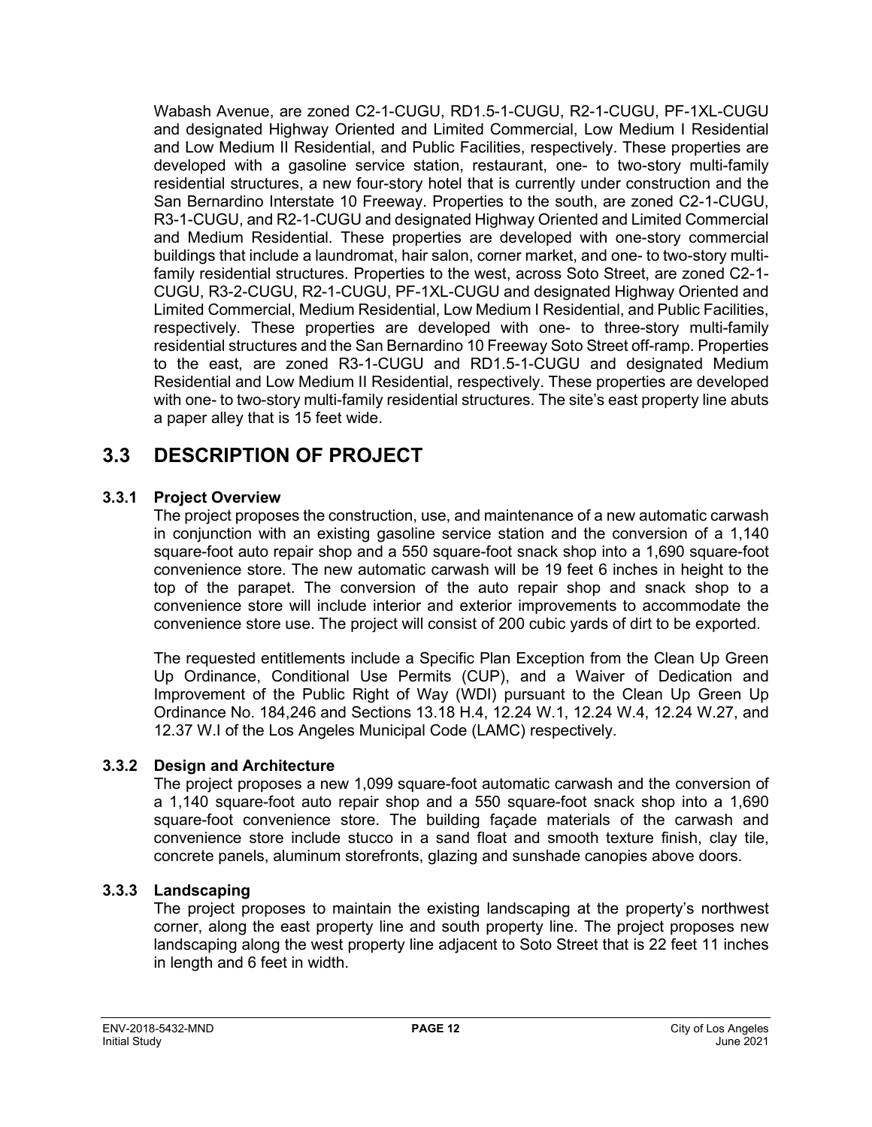Wabash Avenue, are zoned C2-1-CUGU, RD1.5-1-CUGU, R2-1-CUGU, PF-1XL-CUGU and designated Highway Oriented and Limited Commercial, Low Medium I Residential and Low Medium II Residential, and Public Facilities, respectively. These properties are developed with a gasoline service station, restaurant, one- to two-story multi-family residential structures, a new four-story hotel that is currently under construction and the San Bernardino Interstate 10 Freeway. Properties to the south, are zoned C2-1-CUGU, R3-1-CUGU, and R2-1-CUGU and designated Highway Oriented and Limited Commercial and Medium Residential. These properties are developed with one-story commercial buildings that include a laundromat, hair salon, corner market, and one- to two-story multifamily residential structures. Properties to the west, across Soto Street, are zoned C2-1- CUGU, R3-2-CUGU, R2-1-CUGU, PF-1XL-CUGU and designated Highway Oriented and Limited Commercial, Medium Residential, Low Medium I Residential, and Public Facilities, respectively. These properties are developed with one- to three-story multi-family residential structures and the San Bernardino 10 Freeway Soto Street off-ramp. Properties to the east, are zoned R3-1-CUGU and RD1.5-1-CUGU and designated Medium Residential and Low Medium II Residential, respectively. These properties are developed with one- to two-story multi-family residential structures. The site's east property line abuts a paper alley that is 15 feet wide.

## **3.3 DESCRIPTION OF PROJECT**

#### **3.3.1 Project Overview**

The project proposes the construction, use, and maintenance of a new automatic carwash in conjunction with an existing gasoline service station and the conversion of a 1,140 square-foot auto repair shop and a 550 square-foot snack shop into a 1,690 square-foot convenience store. The new automatic carwash will be 19 feet 6 inches in height to the top of the parapet. The conversion of the auto repair shop and snack shop to a convenience store will include interior and exterior improvements to accommodate the convenience store use. The project will consist of 200 cubic yards of dirt to be exported.

The requested entitlements include a Specific Plan Exception from the Clean Up Green Up Ordinance, Conditional Use Permits (CUP), and a Waiver of Dedication and Improvement of the Public Right of Way (WDI) pursuant to the Clean Up Green Up Ordinance No. 184,246 and Sections 13.18 H.4, 12.24 W.1, 12.24 W.4, 12.24 W.27, and 12.37 W.I of the Los Angeles Municipal Code (LAMC) respectively.

#### **3.3.2 Design and Architecture**

The project proposes a new 1,099 square-foot automatic carwash and the conversion of a 1,140 square-foot auto repair shop and a 550 square-foot snack shop into a 1,690 square-foot convenience store. The building façade materials of the carwash and convenience store include stucco in a sand float and smooth texture finish, clay tile, concrete panels, aluminum storefronts, glazing and sunshade canopies above doors.

#### **3.3.3 Landscaping**

The project proposes to maintain the existing landscaping at the property's northwest corner, along the east property line and south property line. The project proposes new landscaping along the west property line adjacent to Soto Street that is 22 feet 11 inches in length and 6 feet in width.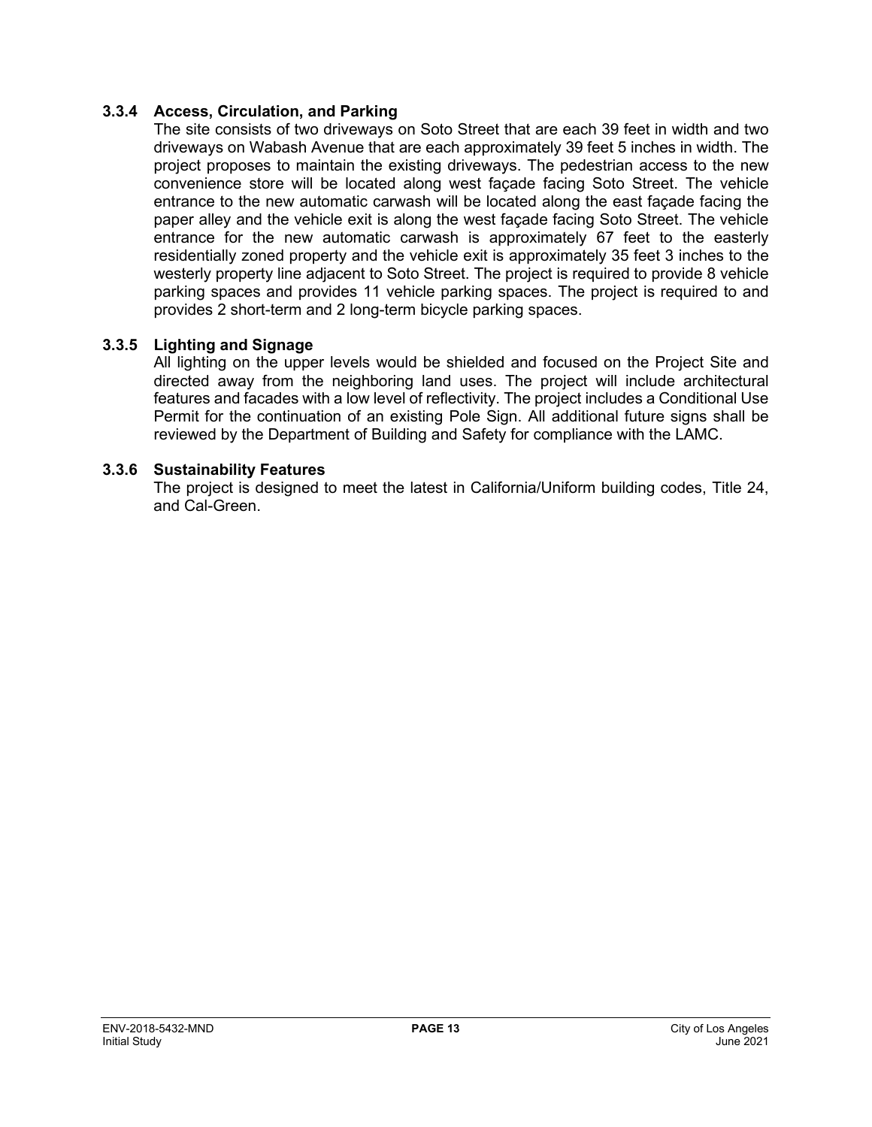#### **3.3.4 Access, Circulation, and Parking**

The site consists of two driveways on Soto Street that are each 39 feet in width and two driveways on Wabash Avenue that are each approximately 39 feet 5 inches in width. The project proposes to maintain the existing driveways. The pedestrian access to the new convenience store will be located along west façade facing Soto Street. The vehicle entrance to the new automatic carwash will be located along the east façade facing the paper alley and the vehicle exit is along the west façade facing Soto Street. The vehicle entrance for the new automatic carwash is approximately 67 feet to the easterly residentially zoned property and the vehicle exit is approximately 35 feet 3 inches to the westerly property line adjacent to Soto Street. The project is required to provide 8 vehicle parking spaces and provides 11 vehicle parking spaces. The project is required to and provides 2 short-term and 2 long-term bicycle parking spaces.

#### **3.3.5 Lighting and Signage**

All lighting on the upper levels would be shielded and focused on the Project Site and directed away from the neighboring land uses. The project will include architectural features and facades with a low level of reflectivity. The project includes a Conditional Use Permit for the continuation of an existing Pole Sign. All additional future signs shall be reviewed by the Department of Building and Safety for compliance with the LAMC.

#### **3.3.6 Sustainability Features**

The project is designed to meet the latest in California/Uniform building codes, Title 24, and Cal-Green.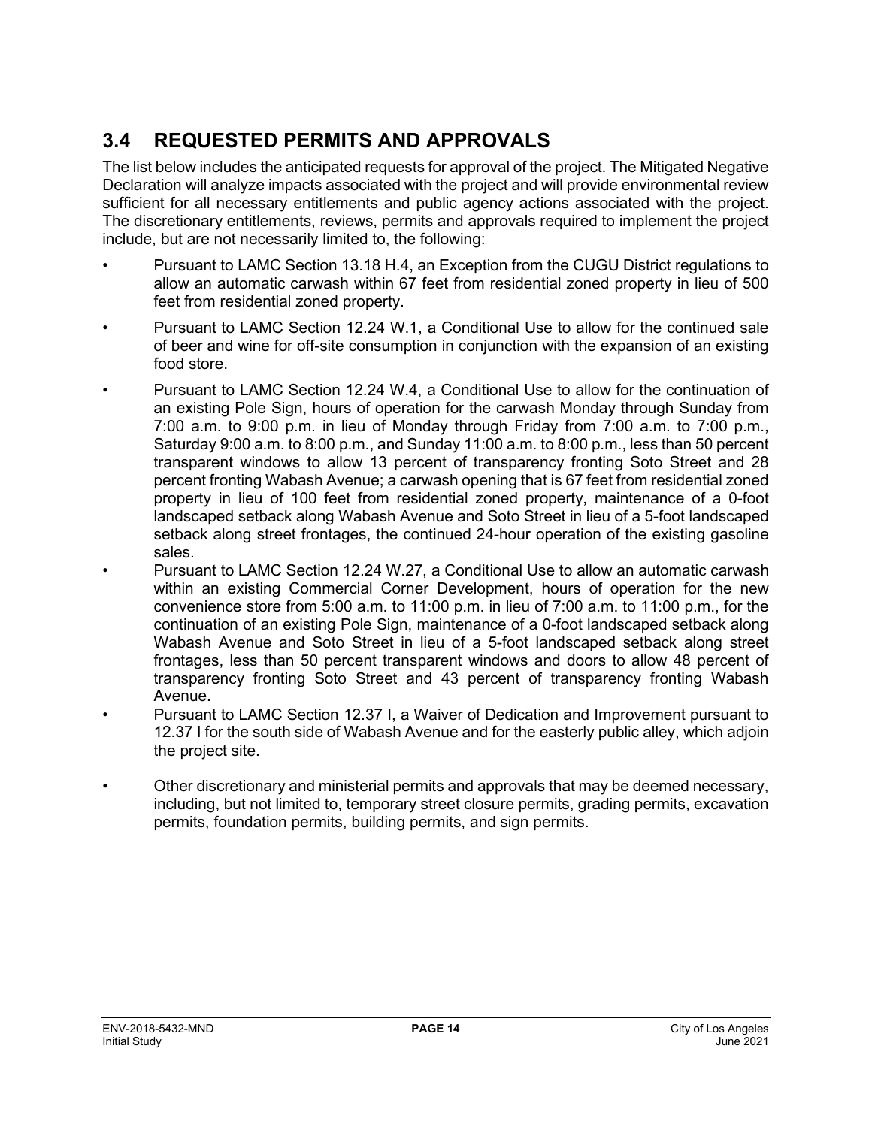## **3.4 REQUESTED PERMITS AND APPROVALS**

The list below includes the anticipated requests for approval of the project. The Mitigated Negative Declaration will analyze impacts associated with the project and will provide environmental review sufficient for all necessary entitlements and public agency actions associated with the project. The discretionary entitlements, reviews, permits and approvals required to implement the project include, but are not necessarily limited to, the following:

- Pursuant to LAMC Section 13.18 H.4, an Exception from the CUGU District regulations to allow an automatic carwash within 67 feet from residential zoned property in lieu of 500 feet from residential zoned property.
- Pursuant to LAMC Section 12.24 W.1, a Conditional Use to allow for the continued sale of beer and wine for off-site consumption in conjunction with the expansion of an existing food store.
- Pursuant to LAMC Section 12.24 W.4, a Conditional Use to allow for the continuation of an existing Pole Sign, hours of operation for the carwash Monday through Sunday from 7:00 a.m. to 9:00 p.m. in lieu of Monday through Friday from 7:00 a.m. to 7:00 p.m., Saturday 9:00 a.m. to 8:00 p.m., and Sunday 11:00 a.m. to 8:00 p.m., less than 50 percent transparent windows to allow 13 percent of transparency fronting Soto Street and 28 percent fronting Wabash Avenue; a carwash opening that is 67 feet from residential zoned property in lieu of 100 feet from residential zoned property, maintenance of a 0-foot landscaped setback along Wabash Avenue and Soto Street in lieu of a 5-foot landscaped setback along street frontages, the continued 24-hour operation of the existing gasoline sales.
- Pursuant to LAMC Section 12.24 W.27, a Conditional Use to allow an automatic carwash within an existing Commercial Corner Development, hours of operation for the new convenience store from 5:00 a.m. to 11:00 p.m. in lieu of 7:00 a.m. to 11:00 p.m., for the continuation of an existing Pole Sign, maintenance of a 0-foot landscaped setback along Wabash Avenue and Soto Street in lieu of a 5-foot landscaped setback along street frontages, less than 50 percent transparent windows and doors to allow 48 percent of transparency fronting Soto Street and 43 percent of transparency fronting Wabash Avenue.
- Pursuant to LAMC Section 12.37 I, a Waiver of Dedication and Improvement pursuant to 12.37 I for the south side of Wabash Avenue and for the easterly public alley, which adjoin the project site.
- Other discretionary and ministerial permits and approvals that may be deemed necessary, including, but not limited to, temporary street closure permits, grading permits, excavation permits, foundation permits, building permits, and sign permits.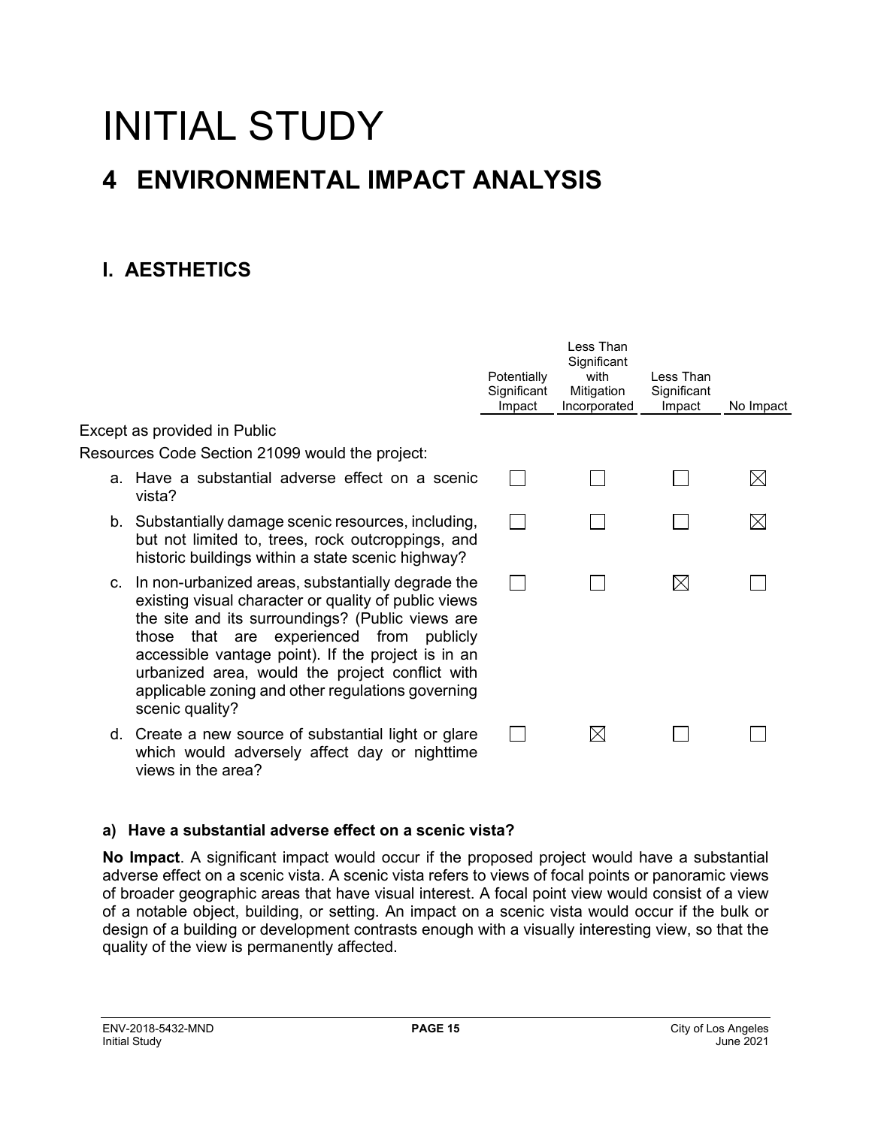# INITIAL STUDY **4 ENVIRONMENTAL IMPACT ANALYSIS**

## **I. AESTHETICS**

|                                                                                                                                                                                                                                                                                                                                                                                                  | Potentially<br>Significant<br>Impact | Less Than<br>Significant<br>with<br>Mitigation<br>Incorporated | I ess Than<br>Significant<br>Impact | No Impact   |
|--------------------------------------------------------------------------------------------------------------------------------------------------------------------------------------------------------------------------------------------------------------------------------------------------------------------------------------------------------------------------------------------------|--------------------------------------|----------------------------------------------------------------|-------------------------------------|-------------|
| Except as provided in Public                                                                                                                                                                                                                                                                                                                                                                     |                                      |                                                                |                                     |             |
| Resources Code Section 21099 would the project:                                                                                                                                                                                                                                                                                                                                                  |                                      |                                                                |                                     |             |
| a. Have a substantial adverse effect on a scenic<br>vista?                                                                                                                                                                                                                                                                                                                                       |                                      |                                                                |                                     | $\boxtimes$ |
| b. Substantially damage scenic resources, including,<br>but not limited to, trees, rock outcroppings, and<br>historic buildings within a state scenic highway?                                                                                                                                                                                                                                   |                                      |                                                                |                                     |             |
| c. In non-urbanized areas, substantially degrade the<br>existing visual character or quality of public views<br>the site and its surroundings? (Public views are<br>that are experienced from publicly<br>those<br>accessible vantage point). If the project is in an<br>urbanized area, would the project conflict with<br>applicable zoning and other regulations governing<br>scenic quality? |                                      |                                                                | $\boxtimes$                         |             |
| d. Create a new source of substantial light or glare<br>which would adversely affect day or nighttime<br>views in the area?                                                                                                                                                                                                                                                                      |                                      | $\boxtimes$                                                    |                                     |             |

#### **a) Have a substantial adverse effect on a scenic vista?**

**No Impact**. A significant impact would occur if the proposed project would have a substantial adverse effect on a scenic vista. A scenic vista refers to views of focal points or panoramic views of broader geographic areas that have visual interest. A focal point view would consist of a view of a notable object, building, or setting. An impact on a scenic vista would occur if the bulk or design of a building or development contrasts enough with a visually interesting view, so that the quality of the view is permanently affected.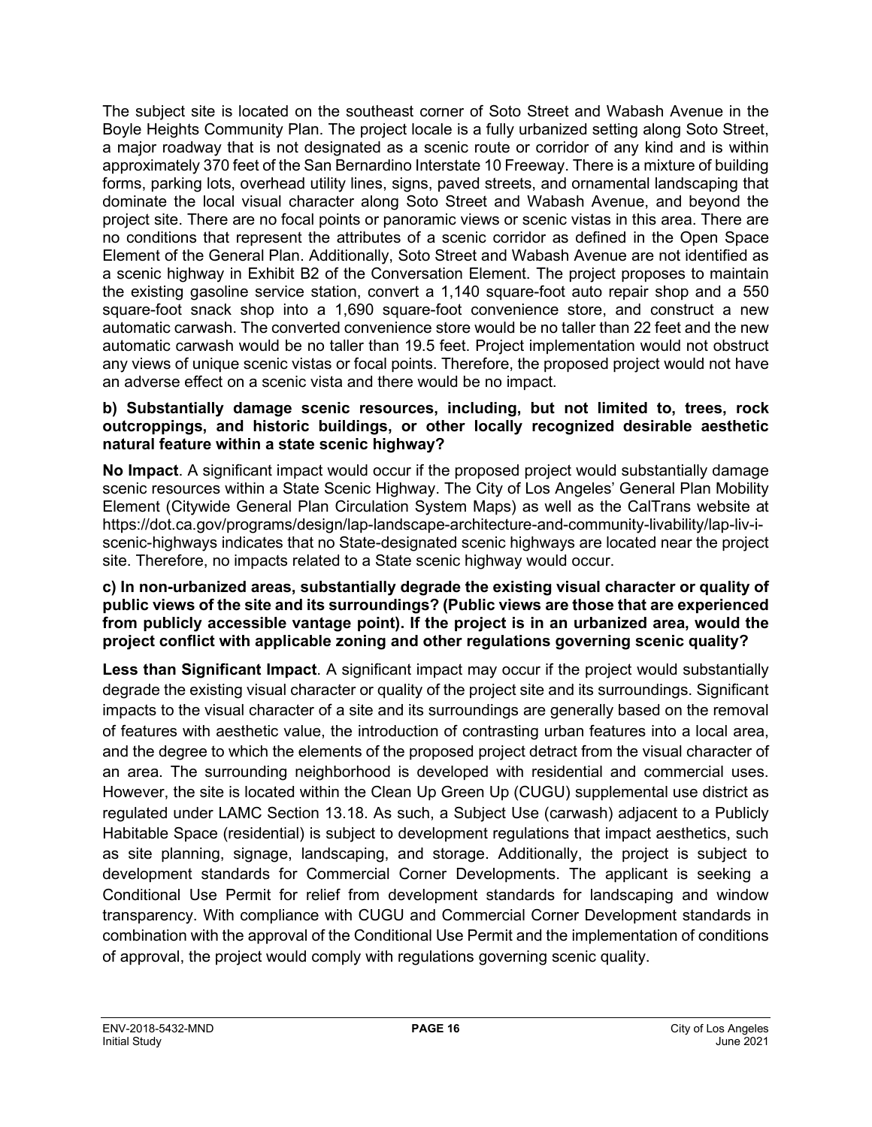The subject site is located on the southeast corner of Soto Street and Wabash Avenue in the Boyle Heights Community Plan. The project locale is a fully urbanized setting along Soto Street, a major roadway that is not designated as a scenic route or corridor of any kind and is within approximately 370 feet of the San Bernardino Interstate 10 Freeway. There is a mixture of building forms, parking lots, overhead utility lines, signs, paved streets, and ornamental landscaping that dominate the local visual character along Soto Street and Wabash Avenue, and beyond the project site. There are no focal points or panoramic views or scenic vistas in this area. There are no conditions that represent the attributes of a scenic corridor as defined in the Open Space Element of the General Plan. Additionally, Soto Street and Wabash Avenue are not identified as a scenic highway in Exhibit B2 of the Conversation Element. The project proposes to maintain the existing gasoline service station, convert a 1,140 square-foot auto repair shop and a 550 square-foot snack shop into a 1,690 square-foot convenience store, and construct a new automatic carwash. The converted convenience store would be no taller than 22 feet and the new automatic carwash would be no taller than 19.5 feet. Project implementation would not obstruct any views of unique scenic vistas or focal points. Therefore, the proposed project would not have an adverse effect on a scenic vista and there would be no impact.

#### **b) Substantially damage scenic resources, including, but not limited to, trees, rock outcroppings, and historic buildings, or other locally recognized desirable aesthetic natural feature within a state scenic highway?**

**No Impact**. A significant impact would occur if the proposed project would substantially damage scenic resources within a State Scenic Highway. The City of Los Angeles' General Plan Mobility Element (Citywide General Plan Circulation System Maps) as well as the CalTrans website at https://dot.ca.gov/programs/design/lap-landscape-architecture-and-community-livability/lap-liv-iscenic-highways indicates that no State-designated scenic highways are located near the project site. Therefore, no impacts related to a State scenic highway would occur.

#### **c) In non-urbanized areas, substantially degrade the existing visual character or quality of public views of the site and its surroundings? (Public views are those that are experienced from publicly accessible vantage point). If the project is in an urbanized area, would the project conflict with applicable zoning and other regulations governing scenic quality?**

**Less than Significant Impact**. A significant impact may occur if the project would substantially degrade the existing visual character or quality of the project site and its surroundings. Significant impacts to the visual character of a site and its surroundings are generally based on the removal of features with aesthetic value, the introduction of contrasting urban features into a local area, and the degree to which the elements of the proposed project detract from the visual character of an area. The surrounding neighborhood is developed with residential and commercial uses. However, the site is located within the Clean Up Green Up (CUGU) supplemental use district as regulated under LAMC Section 13.18. As such, a Subject Use (carwash) adjacent to a Publicly Habitable Space (residential) is subject to development regulations that impact aesthetics, such as site planning, signage, landscaping, and storage. Additionally, the project is subject to development standards for Commercial Corner Developments. The applicant is seeking a Conditional Use Permit for relief from development standards for landscaping and window transparency. With compliance with CUGU and Commercial Corner Development standards in combination with the approval of the Conditional Use Permit and the implementation of conditions of approval, the project would comply with regulations governing scenic quality.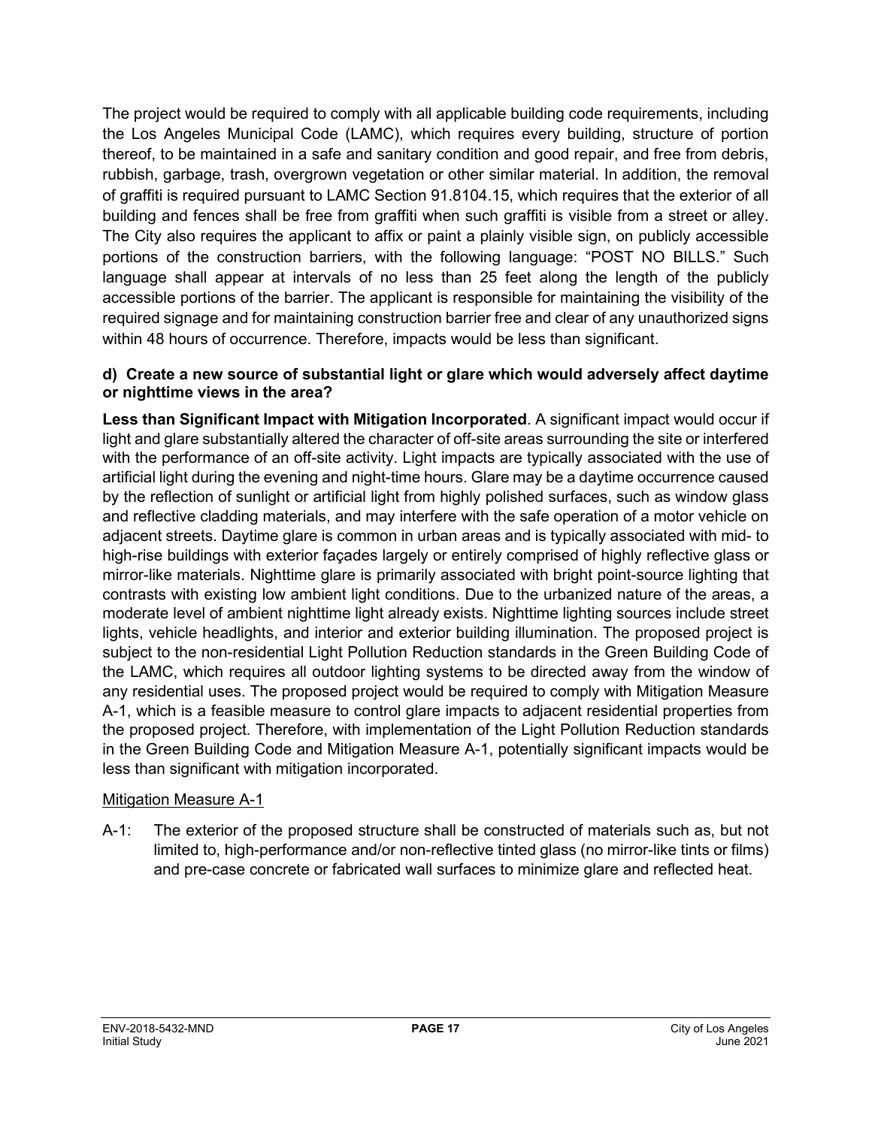The project would be required to comply with all applicable building code requirements, including the Los Angeles Municipal Code (LAMC), which requires every building, structure of portion thereof, to be maintained in a safe and sanitary condition and good repair, and free from debris, rubbish, garbage, trash, overgrown vegetation or other similar material. In addition, the removal of graffiti is required pursuant to LAMC Section 91.8104.15, which requires that the exterior of all building and fences shall be free from graffiti when such graffiti is visible from a street or alley. The City also requires the applicant to affix or paint a plainly visible sign, on publicly accessible portions of the construction barriers, with the following language: "POST NO BILLS." Such language shall appear at intervals of no less than 25 feet along the length of the publicly accessible portions of the barrier. The applicant is responsible for maintaining the visibility of the required signage and for maintaining construction barrier free and clear of any unauthorized signs within 48 hours of occurrence. Therefore, impacts would be less than significant.

#### **d) Create a new source of substantial light or glare which would adversely affect daytime or nighttime views in the area?**

**Less than Significant Impact with Mitigation Incorporated**. A significant impact would occur if light and glare substantially altered the character of off-site areas surrounding the site or interfered with the performance of an off-site activity. Light impacts are typically associated with the use of artificial light during the evening and night-time hours. Glare may be a daytime occurrence caused by the reflection of sunlight or artificial light from highly polished surfaces, such as window glass and reflective cladding materials, and may interfere with the safe operation of a motor vehicle on adjacent streets. Daytime glare is common in urban areas and is typically associated with mid- to high-rise buildings with exterior façades largely or entirely comprised of highly reflective glass or mirror-like materials. Nighttime glare is primarily associated with bright point-source lighting that contrasts with existing low ambient light conditions. Due to the urbanized nature of the areas, a moderate level of ambient nighttime light already exists. Nighttime lighting sources include street lights, vehicle headlights, and interior and exterior building illumination. The proposed project is subject to the non-residential Light Pollution Reduction standards in the Green Building Code of the LAMC, which requires all outdoor lighting systems to be directed away from the window of any residential uses. The proposed project would be required to comply with Mitigation Measure A-1, which is a feasible measure to control glare impacts to adjacent residential properties from the proposed project. Therefore, with implementation of the Light Pollution Reduction standards in the Green Building Code and Mitigation Measure A-1, potentially significant impacts would be less than significant with mitigation incorporated.

#### Mitigation Measure A-1

A-1: The exterior of the proposed structure shall be constructed of materials such as, but not limited to, high-performance and/or non-reflective tinted glass (no mirror-like tints or films) and pre-case concrete or fabricated wall surfaces to minimize glare and reflected heat.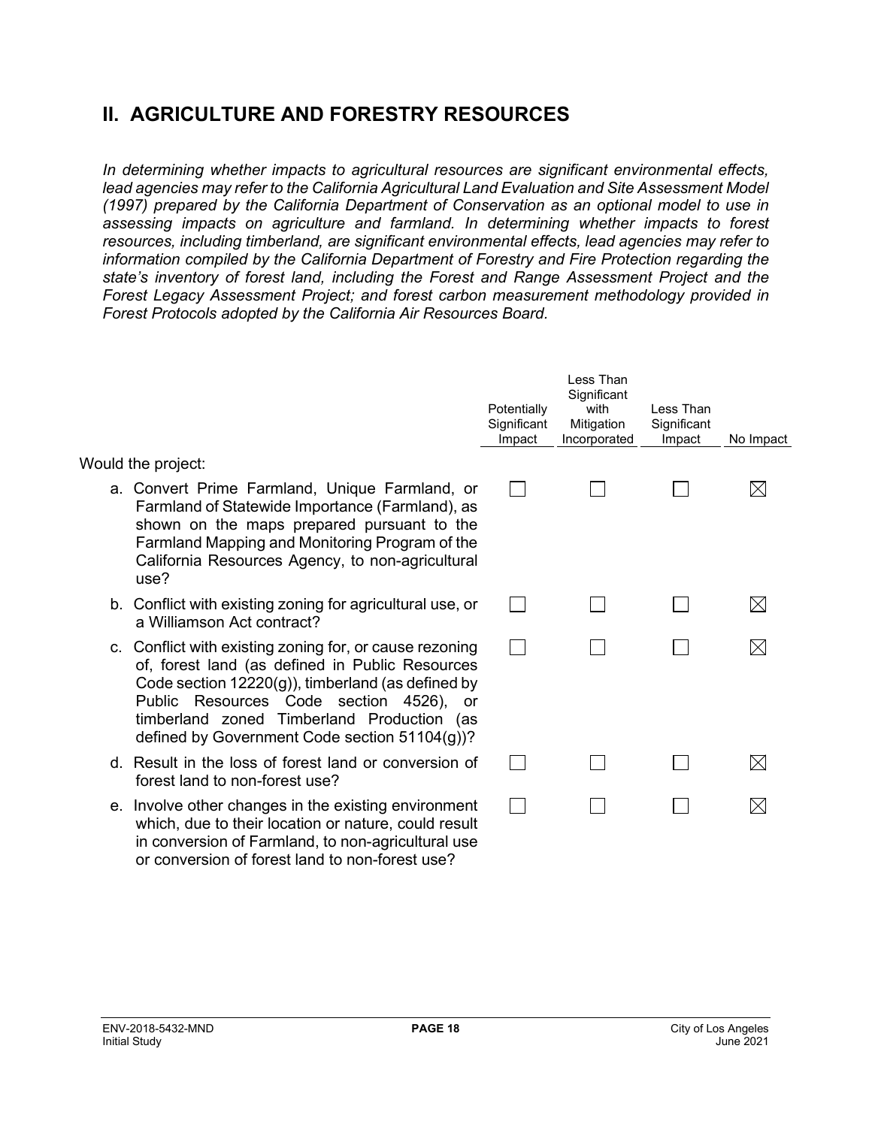## **II. AGRICULTURE AND FORESTRY RESOURCES**

*In determining whether impacts to agricultural resources are significant environmental effects, lead agencies may refer to the California Agricultural Land Evaluation and Site Assessment Model (1997) prepared by the California Department of Conservation as an optional model to use in assessing impacts on agriculture and farmland. In determining whether impacts to forest resources, including timberland, are significant environmental effects, lead agencies may refer to information compiled by the California Department of Forestry and Fire Protection regarding the state's inventory of forest land, including the Forest and Range Assessment Project and the Forest Legacy Assessment Project; and forest carbon measurement methodology provided in Forest Protocols adopted by the California Air Resources Board.* 

|                                                                                                                                                                                                                                                                                                           | Potentially<br>Significant<br>Impact | Less Than<br>Significant<br>with<br>Mitigation<br>Incorporated | Less Than<br>Significant<br>Impact | No Impact   |
|-----------------------------------------------------------------------------------------------------------------------------------------------------------------------------------------------------------------------------------------------------------------------------------------------------------|--------------------------------------|----------------------------------------------------------------|------------------------------------|-------------|
| Would the project:<br>a. Convert Prime Farmland, Unique Farmland, or                                                                                                                                                                                                                                      |                                      |                                                                |                                    | $\boxtimes$ |
| Farmland of Statewide Importance (Farmland), as<br>shown on the maps prepared pursuant to the<br>Farmland Mapping and Monitoring Program of the<br>California Resources Agency, to non-agricultural<br>use?                                                                                               |                                      |                                                                |                                    |             |
| b. Conflict with existing zoning for agricultural use, or<br>a Williamson Act contract?                                                                                                                                                                                                                   |                                      |                                                                |                                    | $\boxtimes$ |
| c. Conflict with existing zoning for, or cause rezoning<br>of, forest land (as defined in Public Resources<br>Code section 12220(g)), timberland (as defined by<br>Public Resources Code section 4526), or<br>timberland zoned Timberland Production (as<br>defined by Government Code section 51104(g))? |                                      |                                                                |                                    | $\boxtimes$ |
| d. Result in the loss of forest land or conversion of<br>forest land to non-forest use?                                                                                                                                                                                                                   |                                      |                                                                |                                    | $\boxtimes$ |
| e. Involve other changes in the existing environment<br>which, due to their location or nature, could result<br>in conversion of Farmland, to non-agricultural use<br>or conversion of forest land to non-forest use?                                                                                     |                                      |                                                                |                                    | $\boxtimes$ |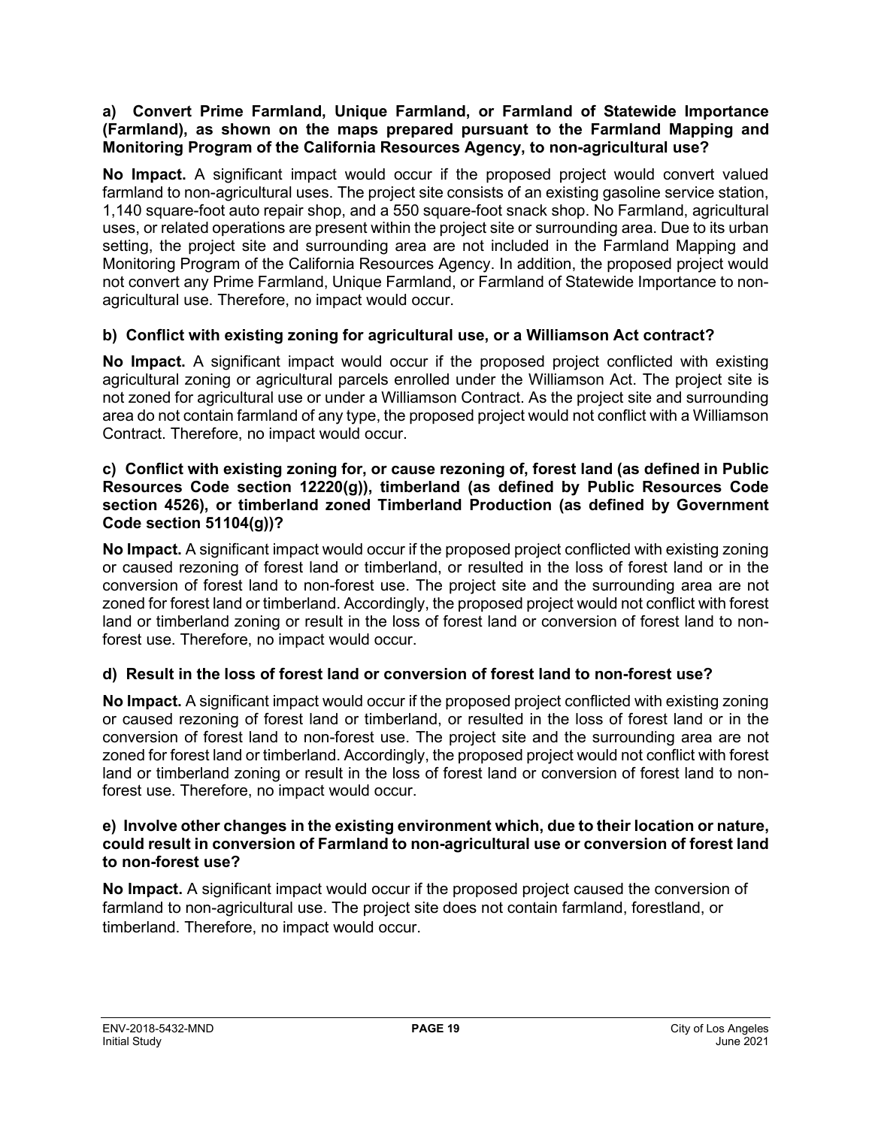#### **a) Convert Prime Farmland, Unique Farmland, or Farmland of Statewide Importance (Farmland), as shown on the maps prepared pursuant to the Farmland Mapping and Monitoring Program of the California Resources Agency, to non-agricultural use?**

**No Impact.** A significant impact would occur if the proposed project would convert valued farmland to non-agricultural uses. The project site consists of an existing gasoline service station, 1,140 square-foot auto repair shop, and a 550 square-foot snack shop. No Farmland, agricultural uses, or related operations are present within the project site or surrounding area. Due to its urban setting, the project site and surrounding area are not included in the Farmland Mapping and Monitoring Program of the California Resources Agency. In addition, the proposed project would not convert any Prime Farmland, Unique Farmland, or Farmland of Statewide Importance to nonagricultural use. Therefore, no impact would occur.

#### **b) Conflict with existing zoning for agricultural use, or a Williamson Act contract?**

**No Impact.** A significant impact would occur if the proposed project conflicted with existing agricultural zoning or agricultural parcels enrolled under the Williamson Act. The project site is not zoned for agricultural use or under a Williamson Contract. As the project site and surrounding area do not contain farmland of any type, the proposed project would not conflict with a Williamson Contract. Therefore, no impact would occur.

#### **c) Conflict with existing zoning for, or cause rezoning of, forest land (as defined in Public Resources Code section 12220(g)), timberland (as defined by Public Resources Code section 4526), or timberland zoned Timberland Production (as defined by Government Code section 51104(g))?**

**No Impact.** A significant impact would occur if the proposed project conflicted with existing zoning or caused rezoning of forest land or timberland, or resulted in the loss of forest land or in the conversion of forest land to non-forest use. The project site and the surrounding area are not zoned for forest land or timberland. Accordingly, the proposed project would not conflict with forest land or timberland zoning or result in the loss of forest land or conversion of forest land to nonforest use. Therefore, no impact would occur.

#### **d) Result in the loss of forest land or conversion of forest land to non-forest use?**

**No Impact.** A significant impact would occur if the proposed project conflicted with existing zoning or caused rezoning of forest land or timberland, or resulted in the loss of forest land or in the conversion of forest land to non-forest use. The project site and the surrounding area are not zoned for forest land or timberland. Accordingly, the proposed project would not conflict with forest land or timberland zoning or result in the loss of forest land or conversion of forest land to nonforest use. Therefore, no impact would occur.

#### **e) Involve other changes in the existing environment which, due to their location or nature, could result in conversion of Farmland to non-agricultural use or conversion of forest land to non-forest use?**

**No Impact.** A significant impact would occur if the proposed project caused the conversion of farmland to non-agricultural use. The project site does not contain farmland, forestland, or timberland. Therefore, no impact would occur.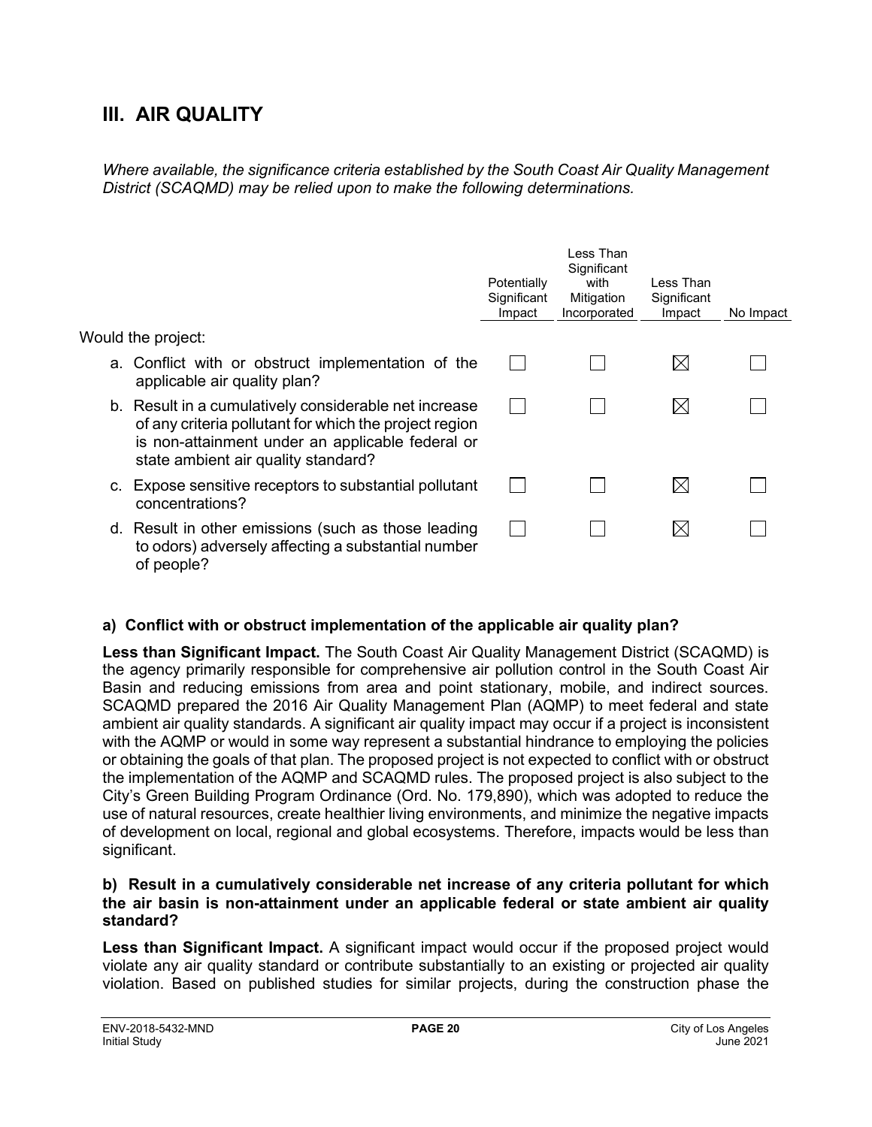## **III. AIR QUALITY**

*Where available, the significance criteria established by the South Coast Air Quality Management District (SCAQMD) may be relied upon to make the following determinations.*

|                                                                                                                                                                                                            | Potentially<br>Significant<br>Impact | Less Than<br>Significant<br>with<br>Mitigation<br>Incorporated | Less Than<br>Significant<br>Impact | No Impact |
|------------------------------------------------------------------------------------------------------------------------------------------------------------------------------------------------------------|--------------------------------------|----------------------------------------------------------------|------------------------------------|-----------|
| Would the project:                                                                                                                                                                                         |                                      |                                                                |                                    |           |
| a. Conflict with or obstruct implementation of the<br>applicable air quality plan?                                                                                                                         |                                      |                                                                | M                                  |           |
| b. Result in a cumulatively considerable net increase<br>of any criteria pollutant for which the project region<br>is non-attainment under an applicable federal or<br>state ambient air quality standard? |                                      |                                                                | $\boxtimes$                        |           |
| c. Expose sensitive receptors to substantial pollutant<br>concentrations?                                                                                                                                  |                                      |                                                                | M                                  |           |
| d. Result in other emissions (such as those leading<br>to odors) adversely affecting a substantial number<br>of people?                                                                                    |                                      |                                                                | ⊠                                  |           |

#### **a) Conflict with or obstruct implementation of the applicable air quality plan?**

**Less than Significant Impact.** The South Coast Air Quality Management District (SCAQMD) is the agency primarily responsible for comprehensive air pollution control in the South Coast Air Basin and reducing emissions from area and point stationary, mobile, and indirect sources. SCAQMD prepared the 2016 Air Quality Management Plan (AQMP) to meet federal and state ambient air quality standards. A significant air quality impact may occur if a project is inconsistent with the AQMP or would in some way represent a substantial hindrance to employing the policies or obtaining the goals of that plan. The proposed project is not expected to conflict with or obstruct the implementation of the AQMP and SCAQMD rules. The proposed project is also subject to the City's Green Building Program Ordinance (Ord. No. 179,890), which was adopted to reduce the use of natural resources, create healthier living environments, and minimize the negative impacts of development on local, regional and global ecosystems. Therefore, impacts would be less than significant.

#### **b) Result in a cumulatively considerable net increase of any criteria pollutant for which the air basin is non-attainment under an applicable federal or state ambient air quality standard?**

**Less than Significant Impact.** A significant impact would occur if the proposed project would violate any air quality standard or contribute substantially to an existing or projected air quality violation. Based on published studies for similar projects, during the construction phase the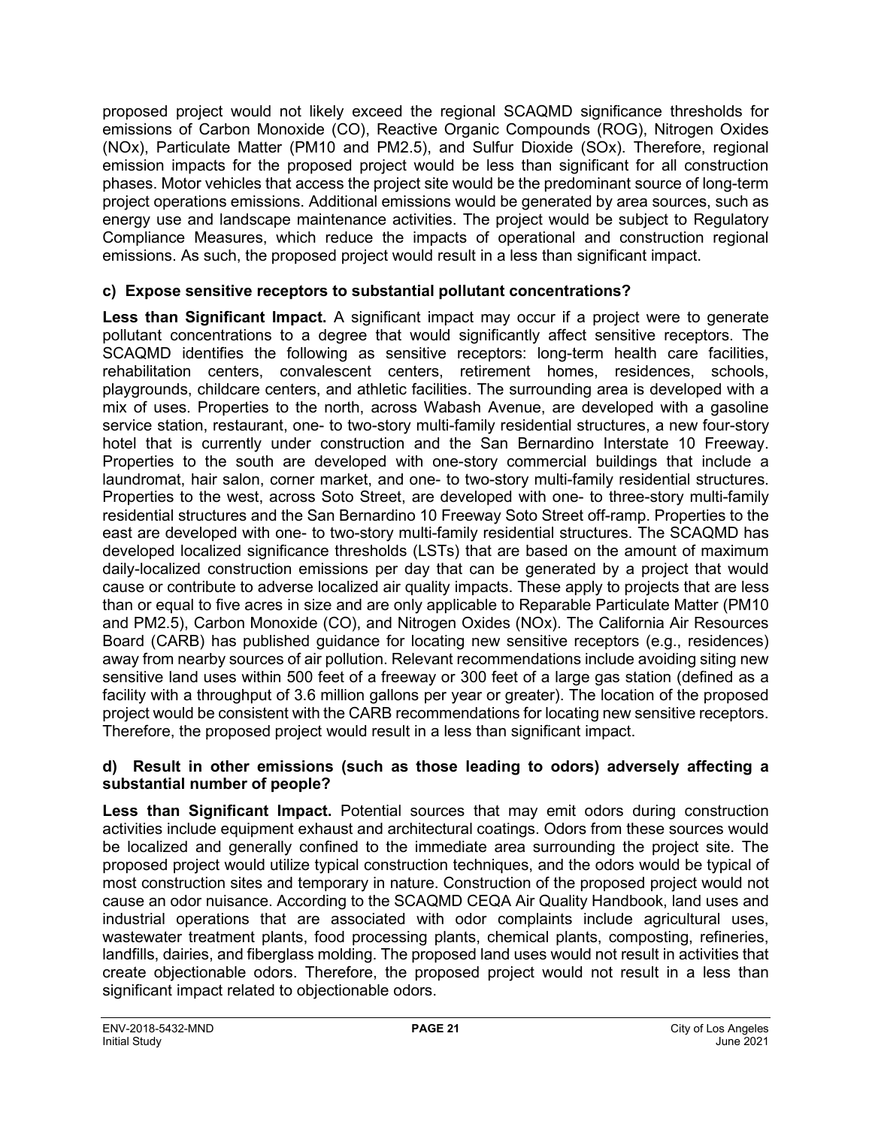proposed project would not likely exceed the regional SCAQMD significance thresholds for emissions of Carbon Monoxide (CO), Reactive Organic Compounds (ROG), Nitrogen Oxides (NOx), Particulate Matter (PM10 and PM2.5), and Sulfur Dioxide (SOx). Therefore, regional emission impacts for the proposed project would be less than significant for all construction phases. Motor vehicles that access the project site would be the predominant source of long-term project operations emissions. Additional emissions would be generated by area sources, such as energy use and landscape maintenance activities. The project would be subject to Regulatory Compliance Measures, which reduce the impacts of operational and construction regional emissions. As such, the proposed project would result in a less than significant impact.

#### **c) Expose sensitive receptors to substantial pollutant concentrations?**

**Less than Significant Impact.** A significant impact may occur if a project were to generate pollutant concentrations to a degree that would significantly affect sensitive receptors. The SCAQMD identifies the following as sensitive receptors: long-term health care facilities, rehabilitation centers, convalescent centers, retirement homes, residences, schools, playgrounds, childcare centers, and athletic facilities. The surrounding area is developed with a mix of uses. Properties to the north, across Wabash Avenue, are developed with a gasoline service station, restaurant, one- to two-story multi-family residential structures, a new four-story hotel that is currently under construction and the San Bernardino Interstate 10 Freeway. Properties to the south are developed with one-story commercial buildings that include a laundromat, hair salon, corner market, and one- to two-story multi-family residential structures. Properties to the west, across Soto Street, are developed with one- to three-story multi-family residential structures and the San Bernardino 10 Freeway Soto Street off-ramp. Properties to the east are developed with one- to two-story multi-family residential structures. The SCAQMD has developed localized significance thresholds (LSTs) that are based on the amount of maximum daily-localized construction emissions per day that can be generated by a project that would cause or contribute to adverse localized air quality impacts. These apply to projects that are less than or equal to five acres in size and are only applicable to Reparable Particulate Matter (PM10 and PM2.5), Carbon Monoxide (CO), and Nitrogen Oxides (NOx). The California Air Resources Board (CARB) has published guidance for locating new sensitive receptors (e.g., residences) away from nearby sources of air pollution. Relevant recommendations include avoiding siting new sensitive land uses within 500 feet of a freeway or 300 feet of a large gas station (defined as a facility with a throughput of 3.6 million gallons per year or greater). The location of the proposed project would be consistent with the CARB recommendations for locating new sensitive receptors. Therefore, the proposed project would result in a less than significant impact.

#### **d) Result in other emissions (such as those leading to odors) adversely affecting a substantial number of people?**

**Less than Significant Impact.** Potential sources that may emit odors during construction activities include equipment exhaust and architectural coatings. Odors from these sources would be localized and generally confined to the immediate area surrounding the project site. The proposed project would utilize typical construction techniques, and the odors would be typical of most construction sites and temporary in nature. Construction of the proposed project would not cause an odor nuisance. According to the SCAQMD CEQA Air Quality Handbook, land uses and industrial operations that are associated with odor complaints include agricultural uses, wastewater treatment plants, food processing plants, chemical plants, composting, refineries, landfills, dairies, and fiberglass molding. The proposed land uses would not result in activities that create objectionable odors. Therefore, the proposed project would not result in a less than significant impact related to objectionable odors.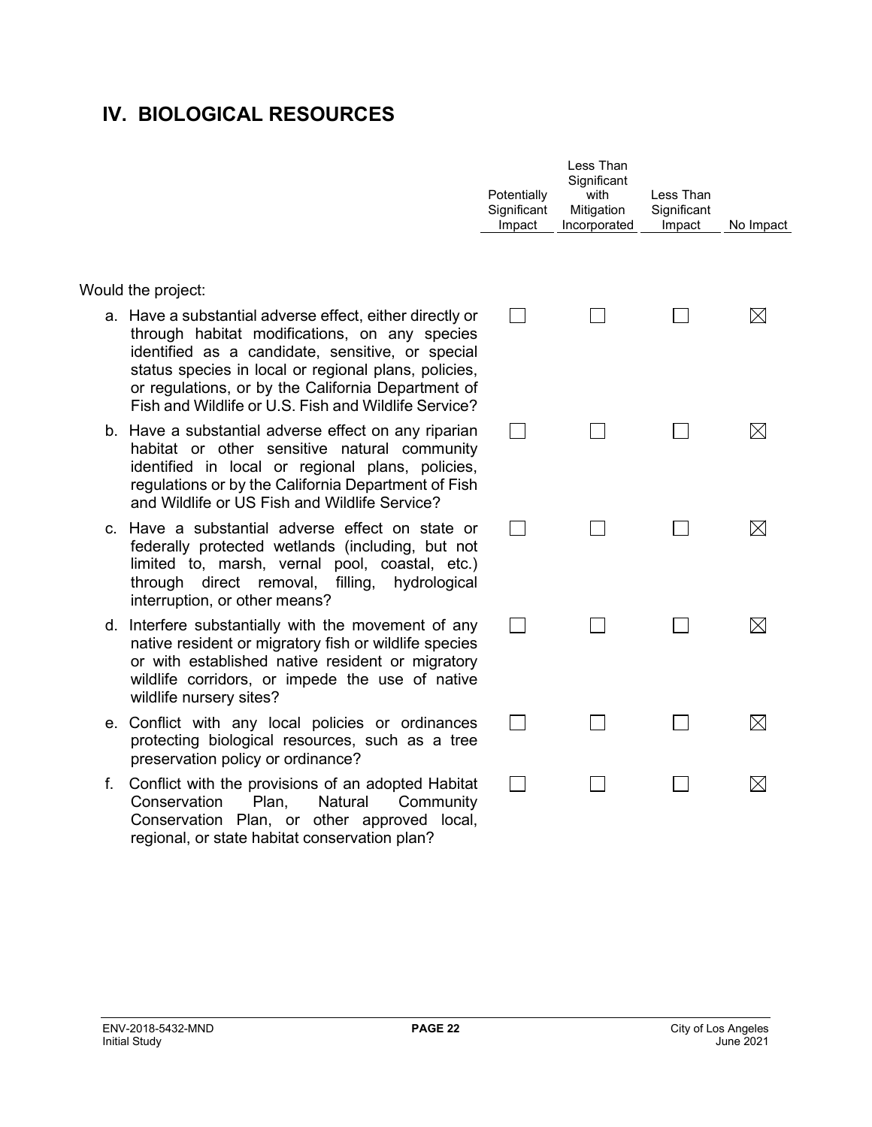## **IV. BIOLOGICAL RESOURCES**

Would the project:

- a. Have a substantial adverse effect, either directly or through habitat modifications, on any species identified as a candidate, sensitive, or special status species in local or regional plans, policies, or regulations, or by the California Department of Fish and Wildlife or U.S. Fish and Wildlife Service?
- b. Have a substantial adverse effect on any riparian habitat or other sensitive natural community identified in local or regional plans, policies, regulations or by the California Department of Fish and Wildlife or US Fish and Wildlife Service?
- c. Have a substantial adverse effect on state or federally protected wetlands (including, but not limited to, marsh, vernal pool, coastal, etc.) through direct removal, filling, hydrological interruption, or other means?
- d. Interfere substantially with the movement of any native resident or migratory fish or wildlife species or with established native resident or migratory wildlife corridors, or impede the use of native wildlife nursery sites?
- e. Conflict with any local policies or ordinances protecting biological resources, such as a tree preservation policy or ordinance?
- f. Conflict with the provisions of an adopted Habitat Conservation Plan, Natural Community Conservation Plan, or other approved local, regional, or state habitat conservation plan?

| Potentially<br>Significant<br>Impact | Less Than<br>Significant<br>with<br>Mitigation<br>Incorporated | Less Than<br>Significant<br>Impact | No Impact   |
|--------------------------------------|----------------------------------------------------------------|------------------------------------|-------------|
|                                      |                                                                |                                    | ⊠           |
|                                      |                                                                |                                    | $\boxtimes$ |
|                                      |                                                                |                                    | $\boxtimes$ |
|                                      |                                                                |                                    | $\boxtimes$ |
|                                      |                                                                |                                    | $\boxtimes$ |
|                                      |                                                                |                                    |             |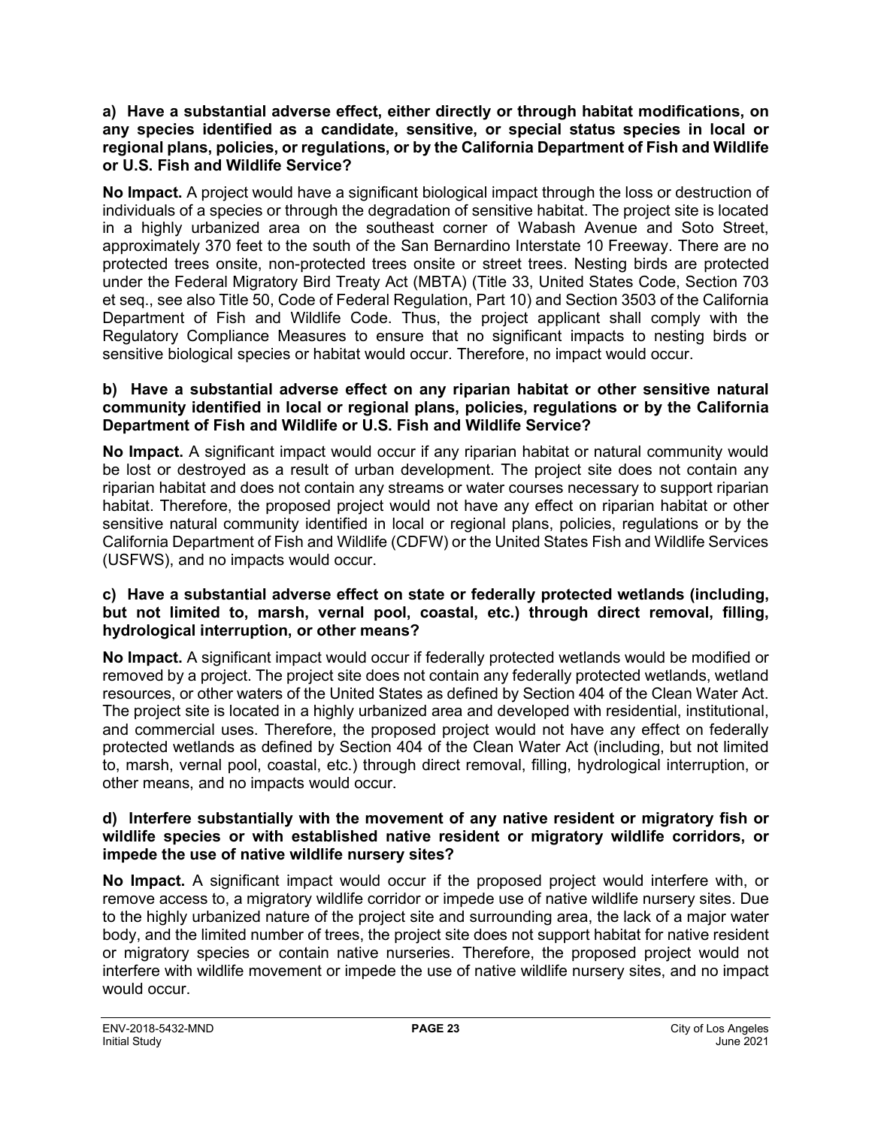#### **a) Have a substantial adverse effect, either directly or through habitat modifications, on any species identified as a candidate, sensitive, or special status species in local or regional plans, policies, or regulations, or by the California Department of Fish and Wildlife or U.S. Fish and Wildlife Service?**

**No Impact.** A project would have a significant biological impact through the loss or destruction of individuals of a species or through the degradation of sensitive habitat. The project site is located in a highly urbanized area on the southeast corner of Wabash Avenue and Soto Street, approximately 370 feet to the south of the San Bernardino Interstate 10 Freeway. There are no protected trees onsite, non-protected trees onsite or street trees. Nesting birds are protected under the Federal Migratory Bird Treaty Act (MBTA) (Title 33, United States Code, Section 703 et seq., see also Title 50, Code of Federal Regulation, Part 10) and Section 3503 of the California Department of Fish and Wildlife Code. Thus, the project applicant shall comply with the Regulatory Compliance Measures to ensure that no significant impacts to nesting birds or sensitive biological species or habitat would occur. Therefore, no impact would occur.

#### **b) Have a substantial adverse effect on any riparian habitat or other sensitive natural community identified in local or regional plans, policies, regulations or by the California Department of Fish and Wildlife or U.S. Fish and Wildlife Service?**

**No Impact.** A significant impact would occur if any riparian habitat or natural community would be lost or destroyed as a result of urban development. The project site does not contain any riparian habitat and does not contain any streams or water courses necessary to support riparian habitat. Therefore, the proposed project would not have any effect on riparian habitat or other sensitive natural community identified in local or regional plans, policies, regulations or by the California Department of Fish and Wildlife (CDFW) or the United States Fish and Wildlife Services (USFWS), and no impacts would occur.

#### **c) Have a substantial adverse effect on state or federally protected wetlands (including, but not limited to, marsh, vernal pool, coastal, etc.) through direct removal, filling, hydrological interruption, or other means?**

**No Impact.** A significant impact would occur if federally protected wetlands would be modified or removed by a project. The project site does not contain any federally protected wetlands, wetland resources, or other waters of the United States as defined by Section 404 of the Clean Water Act. The project site is located in a highly urbanized area and developed with residential, institutional, and commercial uses. Therefore, the proposed project would not have any effect on federally protected wetlands as defined by Section 404 of the Clean Water Act (including, but not limited to, marsh, vernal pool, coastal, etc.) through direct removal, filling, hydrological interruption, or other means, and no impacts would occur.

#### **d) Interfere substantially with the movement of any native resident or migratory fish or wildlife species or with established native resident or migratory wildlife corridors, or impede the use of native wildlife nursery sites?**

**No Impact.** A significant impact would occur if the proposed project would interfere with, or remove access to, a migratory wildlife corridor or impede use of native wildlife nursery sites. Due to the highly urbanized nature of the project site and surrounding area, the lack of a major water body, and the limited number of trees, the project site does not support habitat for native resident or migratory species or contain native nurseries. Therefore, the proposed project would not interfere with wildlife movement or impede the use of native wildlife nursery sites, and no impact would occur.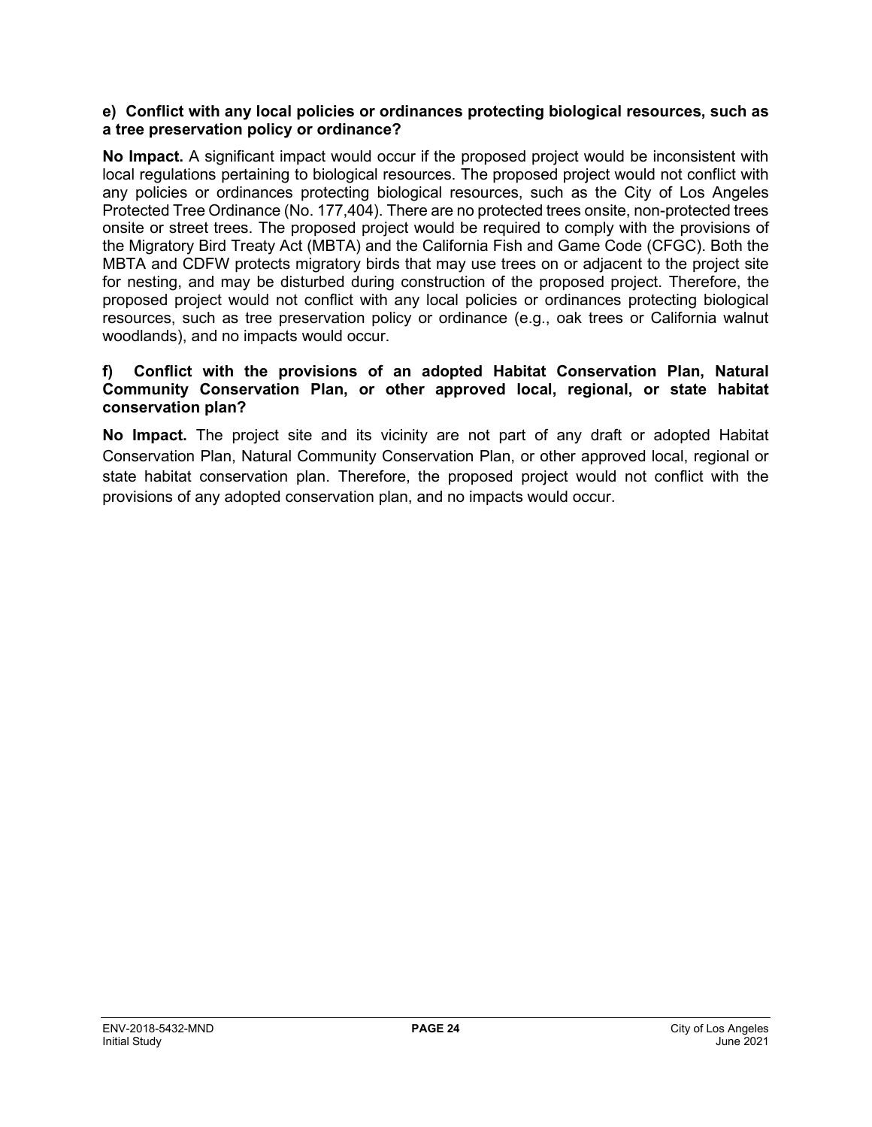#### **e) Conflict with any local policies or ordinances protecting biological resources, such as a tree preservation policy or ordinance?**

**No Impact.** A significant impact would occur if the proposed project would be inconsistent with local regulations pertaining to biological resources. The proposed project would not conflict with any policies or ordinances protecting biological resources, such as the City of Los Angeles Protected Tree Ordinance (No. 177,404). There are no protected trees onsite, non-protected trees onsite or street trees. The proposed project would be required to comply with the provisions of the Migratory Bird Treaty Act (MBTA) and the California Fish and Game Code (CFGC). Both the MBTA and CDFW protects migratory birds that may use trees on or adjacent to the project site for nesting, and may be disturbed during construction of the proposed project. Therefore, the proposed project would not conflict with any local policies or ordinances protecting biological resources, such as tree preservation policy or ordinance (e.g., oak trees or California walnut woodlands), and no impacts would occur.

#### **f) Conflict with the provisions of an adopted Habitat Conservation Plan, Natural Community Conservation Plan, or other approved local, regional, or state habitat conservation plan?**

**No Impact.** The project site and its vicinity are not part of any draft or adopted Habitat Conservation Plan, Natural Community Conservation Plan, or other approved local, regional or state habitat conservation plan. Therefore, the proposed project would not conflict with the provisions of any adopted conservation plan, and no impacts would occur.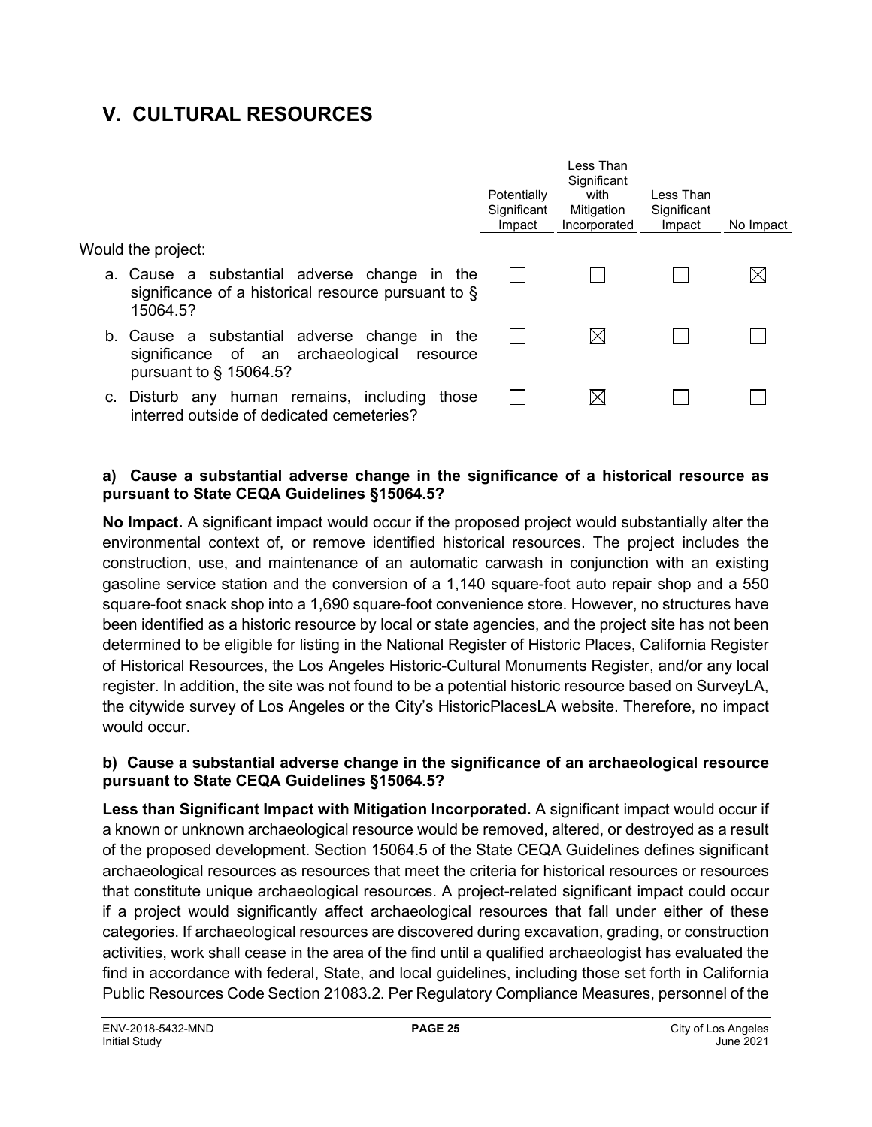## **V. CULTURAL RESOURCES**

|                                                                                                                            | Potentially<br>Significant<br>Impact | l ess Than<br>Significant<br>with<br>Mitigation<br>Incorporated | Less Than<br>Significant<br>Impact | No Impact |
|----------------------------------------------------------------------------------------------------------------------------|--------------------------------------|-----------------------------------------------------------------|------------------------------------|-----------|
| Would the project:                                                                                                         |                                      |                                                                 |                                    |           |
| a. Cause a substantial adverse change in the<br>significance of a historical resource pursuant to $\S$<br>15064.5?         |                                      |                                                                 |                                    |           |
| b. Cause a substantial adverse change in the<br>significance of an archaeological<br>resource<br>pursuant to $\S$ 15064.5? |                                      | $\boxtimes$                                                     |                                    |           |
| c. Disturb any human remains, including<br>those<br>interred outside of dedicated cemeteries?                              |                                      | $\boxtimes$                                                     |                                    |           |

#### **a) Cause a substantial adverse change in the significance of a historical resource as pursuant to State CEQA Guidelines §15064.5?**

**No Impact.** A significant impact would occur if the proposed project would substantially alter the environmental context of, or remove identified historical resources. The project includes the construction, use, and maintenance of an automatic carwash in conjunction with an existing gasoline service station and the conversion of a 1,140 square-foot auto repair shop and a 550 square-foot snack shop into a 1,690 square-foot convenience store. However, no structures have been identified as a historic resource by local or state agencies, and the project site has not been determined to be eligible for listing in the National Register of Historic Places, California Register of Historical Resources, the Los Angeles Historic-Cultural Monuments Register, and/or any local register. In addition, the site was not found to be a potential historic resource based on SurveyLA, the citywide survey of Los Angeles or the City's HistoricPlacesLA website. Therefore, no impact would occur.

#### **b) Cause a substantial adverse change in the significance of an archaeological resource pursuant to State CEQA Guidelines §15064.5?**

**Less than Significant Impact with Mitigation Incorporated.** A significant impact would occur if a known or unknown archaeological resource would be removed, altered, or destroyed as a result of the proposed development. Section 15064.5 of the State CEQA Guidelines defines significant archaeological resources as resources that meet the criteria for historical resources or resources that constitute unique archaeological resources. A project-related significant impact could occur if a project would significantly affect archaeological resources that fall under either of these categories. If archaeological resources are discovered during excavation, grading, or construction activities, work shall cease in the area of the find until a qualified archaeologist has evaluated the find in accordance with federal, State, and local guidelines, including those set forth in California Public Resources Code Section 21083.2. Per Regulatory Compliance Measures, personnel of the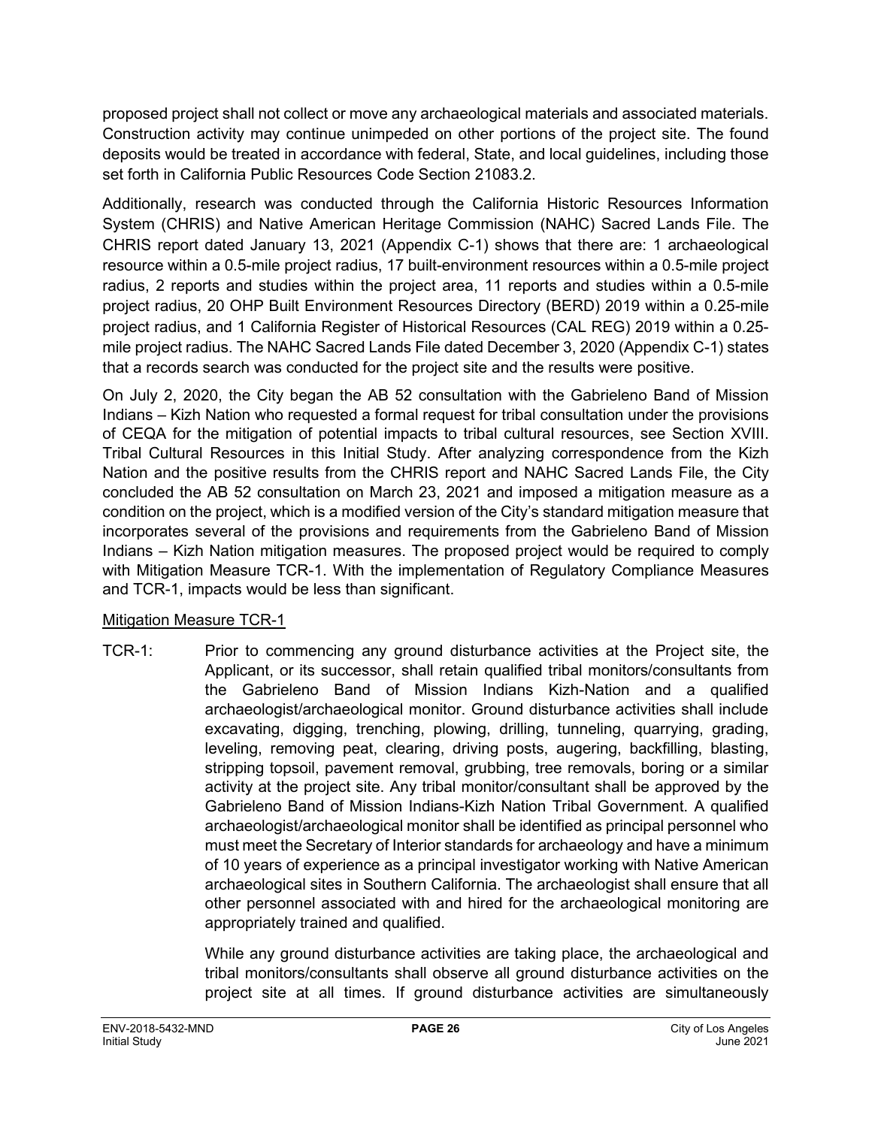proposed project shall not collect or move any archaeological materials and associated materials. Construction activity may continue unimpeded on other portions of the project site. The found deposits would be treated in accordance with federal, State, and local guidelines, including those set forth in California Public Resources Code Section 21083.2.

Additionally, research was conducted through the California Historic Resources Information System (CHRIS) and Native American Heritage Commission (NAHC) Sacred Lands File. The CHRIS report dated January 13, 2021 (Appendix C-1) shows that there are: 1 archaeological resource within a 0.5-mile project radius, 17 built-environment resources within a 0.5-mile project radius, 2 reports and studies within the project area, 11 reports and studies within a 0.5-mile project radius, 20 OHP Built Environment Resources Directory (BERD) 2019 within a 0.25-mile project radius, and 1 California Register of Historical Resources (CAL REG) 2019 within a 0.25 mile project radius. The NAHC Sacred Lands File dated December 3, 2020 (Appendix C-1) states that a records search was conducted for the project site and the results were positive.

On July 2, 2020, the City began the AB 52 consultation with the Gabrieleno Band of Mission Indians – Kizh Nation who requested a formal request for tribal consultation under the provisions of CEQA for the mitigation of potential impacts to tribal cultural resources, see Section XVIII. Tribal Cultural Resources in this Initial Study. After analyzing correspondence from the Kizh Nation and the positive results from the CHRIS report and NAHC Sacred Lands File, the City concluded the AB 52 consultation on March 23, 2021 and imposed a mitigation measure as a condition on the project, which is a modified version of the City's standard mitigation measure that incorporates several of the provisions and requirements from the Gabrieleno Band of Mission Indians – Kizh Nation mitigation measures. The proposed project would be required to comply with Mitigation Measure TCR-1. With the implementation of Regulatory Compliance Measures and TCR-1, impacts would be less than significant.

#### Mitigation Measure TCR-1

TCR-1: Prior to commencing any ground disturbance activities at the Project site, the Applicant, or its successor, shall retain qualified tribal monitors/consultants from the Gabrieleno Band of Mission Indians Kizh-Nation and a qualified archaeologist/archaeological monitor. Ground disturbance activities shall include excavating, digging, trenching, plowing, drilling, tunneling, quarrying, grading, leveling, removing peat, clearing, driving posts, augering, backfilling, blasting, stripping topsoil, pavement removal, grubbing, tree removals, boring or a similar activity at the project site. Any tribal monitor/consultant shall be approved by the Gabrieleno Band of Mission Indians-Kizh Nation Tribal Government. A qualified archaeologist/archaeological monitor shall be identified as principal personnel who must meet the Secretary of Interior standards for archaeology and have a minimum of 10 years of experience as a principal investigator working with Native American archaeological sites in Southern California. The archaeologist shall ensure that all other personnel associated with and hired for the archaeological monitoring are appropriately trained and qualified.

> While any ground disturbance activities are taking place, the archaeological and tribal monitors/consultants shall observe all ground disturbance activities on the project site at all times. If ground disturbance activities are simultaneously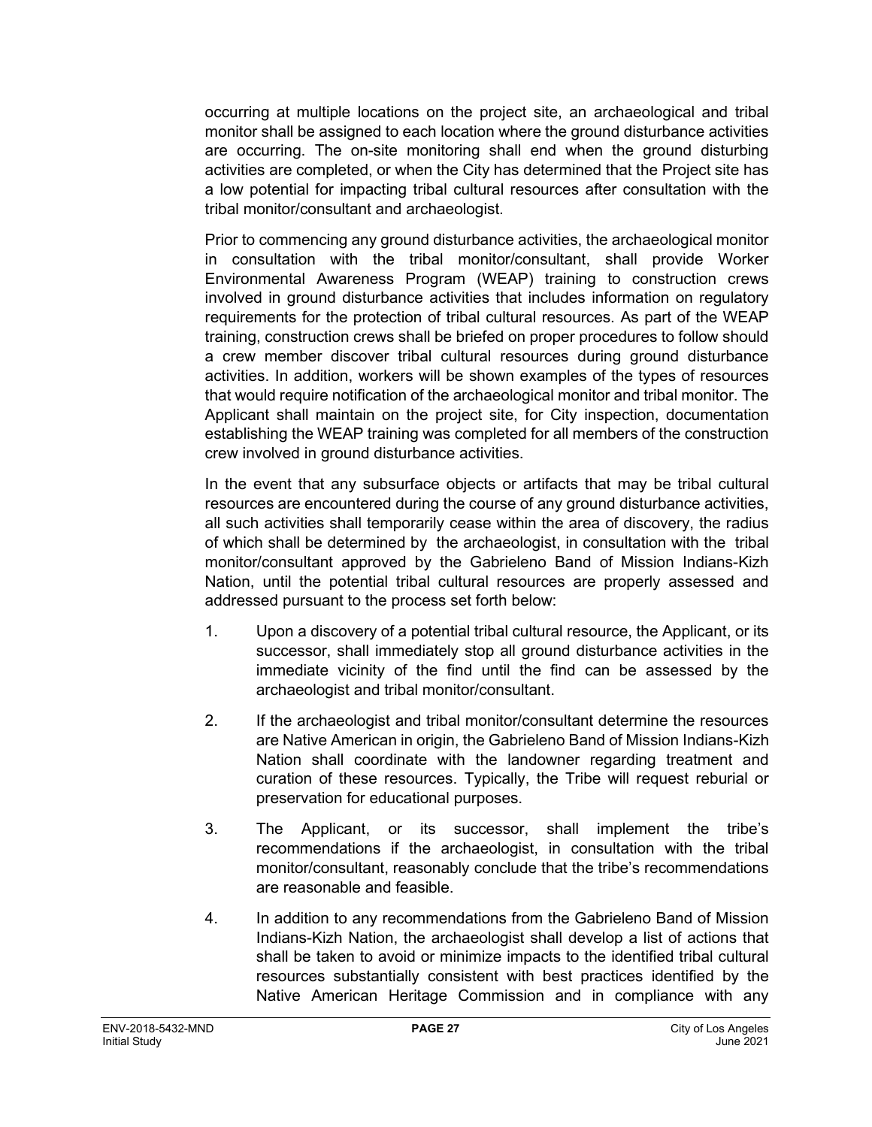occurring at multiple locations on the project site, an archaeological and tribal monitor shall be assigned to each location where the ground disturbance activities are occurring. The on-site monitoring shall end when the ground disturbing activities are completed, or when the City has determined that the Project site has a low potential for impacting tribal cultural resources after consultation with the tribal monitor/consultant and archaeologist.

Prior to commencing any ground disturbance activities, the archaeological monitor in consultation with the tribal monitor/consultant, shall provide Worker Environmental Awareness Program (WEAP) training to construction crews involved in ground disturbance activities that includes information on regulatory requirements for the protection of tribal cultural resources. As part of the WEAP training, construction crews shall be briefed on proper procedures to follow should a crew member discover tribal cultural resources during ground disturbance activities. In addition, workers will be shown examples of the types of resources that would require notification of the archaeological monitor and tribal monitor. The Applicant shall maintain on the project site, for City inspection, documentation establishing the WEAP training was completed for all members of the construction crew involved in ground disturbance activities.

In the event that any subsurface objects or artifacts that may be tribal cultural resources are encountered during the course of any ground disturbance activities, all such activities shall temporarily cease within the area of discovery, the radius of which shall be determined by the archaeologist, in consultation with the tribal monitor/consultant approved by the Gabrieleno Band of Mission Indians-Kizh Nation, until the potential tribal cultural resources are properly assessed and addressed pursuant to the process set forth below:

- 1. Upon a discovery of a potential tribal cultural resource, the Applicant, or its successor, shall immediately stop all ground disturbance activities in the immediate vicinity of the find until the find can be assessed by the archaeologist and tribal monitor/consultant.
- 2. If the archaeologist and tribal monitor/consultant determine the resources are Native American in origin, the Gabrieleno Band of Mission Indians-Kizh Nation shall coordinate with the landowner regarding treatment and curation of these resources. Typically, the Tribe will request reburial or preservation for educational purposes.
- 3. The Applicant, or its successor, shall implement the tribe's recommendations if the archaeologist, in consultation with the tribal monitor/consultant, reasonably conclude that the tribe's recommendations are reasonable and feasible.
- 4. In addition to any recommendations from the Gabrieleno Band of Mission Indians-Kizh Nation, the archaeologist shall develop a list of actions that shall be taken to avoid or minimize impacts to the identified tribal cultural resources substantially consistent with best practices identified by the Native American Heritage Commission and in compliance with any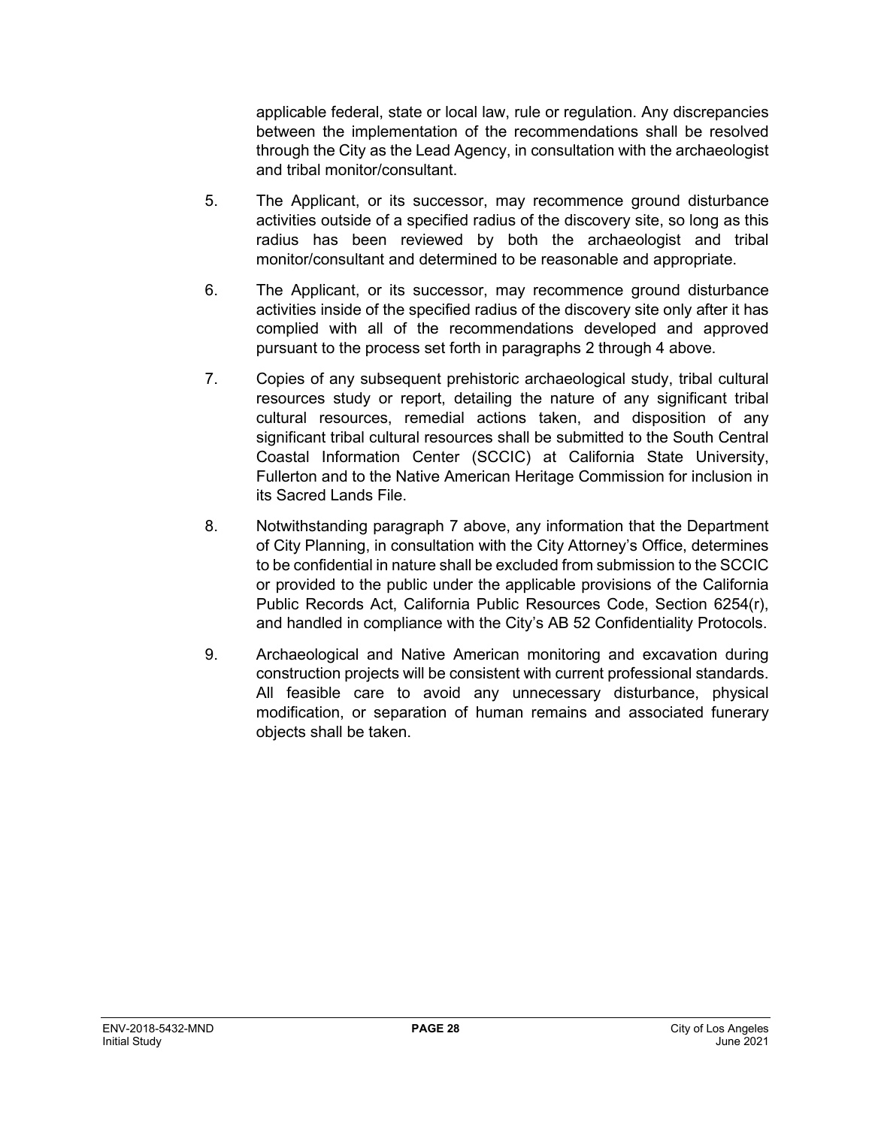applicable federal, state or local law, rule or regulation. Any discrepancies between the implementation of the recommendations shall be resolved through the City as the Lead Agency, in consultation with the archaeologist and tribal monitor/consultant.

- 5. The Applicant, or its successor, may recommence ground disturbance activities outside of a specified radius of the discovery site, so long as this radius has been reviewed by both the archaeologist and tribal monitor/consultant and determined to be reasonable and appropriate.
- 6. The Applicant, or its successor, may recommence ground disturbance activities inside of the specified radius of the discovery site only after it has complied with all of the recommendations developed and approved pursuant to the process set forth in paragraphs 2 through 4 above.
- 7. Copies of any subsequent prehistoric archaeological study, tribal cultural resources study or report, detailing the nature of any significant tribal cultural resources, remedial actions taken, and disposition of any significant tribal cultural resources shall be submitted to the South Central Coastal Information Center (SCCIC) at California State University, Fullerton and to the Native American Heritage Commission for inclusion in its Sacred Lands File.
- 8. Notwithstanding paragraph 7 above, any information that the Department of City Planning, in consultation with the City Attorney's Office, determines to be confidential in nature shall be excluded from submission to the SCCIC or provided to the public under the applicable provisions of the California Public Records Act, California Public Resources Code, Section 6254(r), and handled in compliance with the City's AB 52 Confidentiality Protocols.
- 9. Archaeological and Native American monitoring and excavation during construction projects will be consistent with current professional standards. All feasible care to avoid any unnecessary disturbance, physical modification, or separation of human remains and associated funerary objects shall be taken.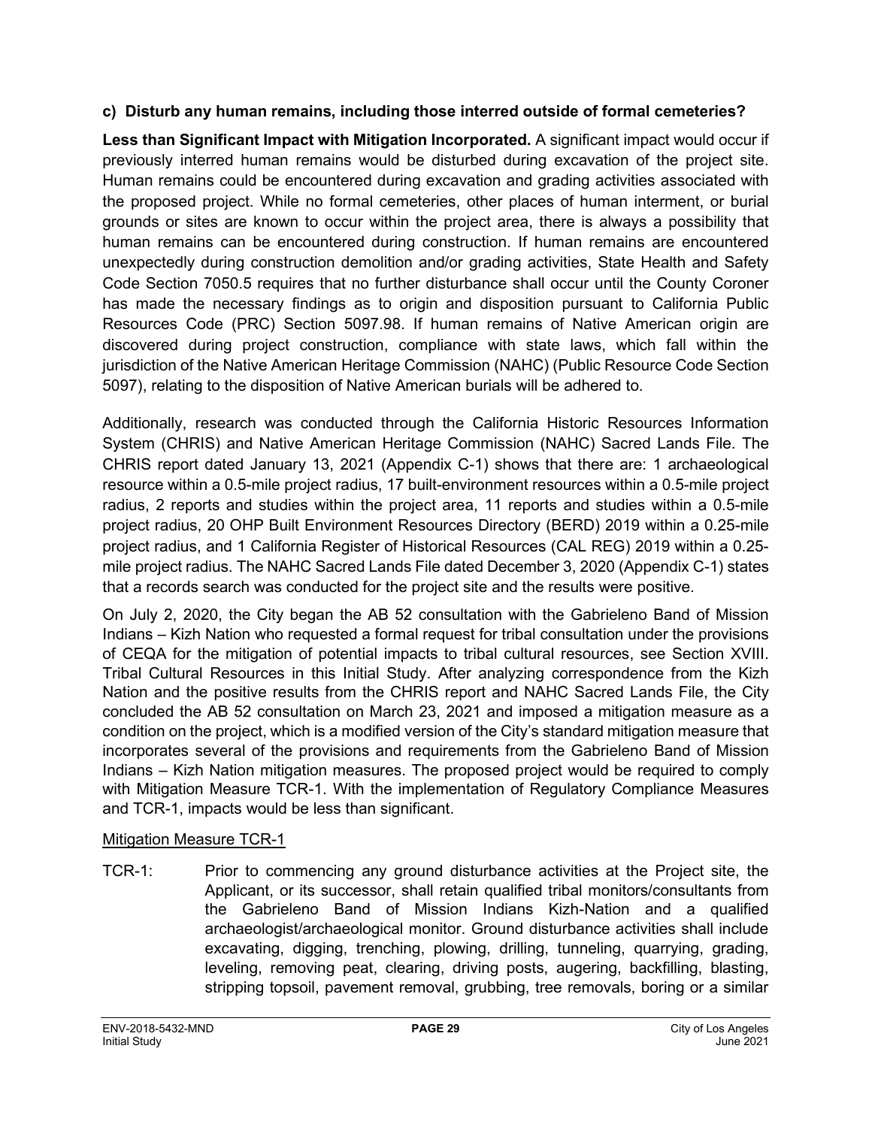#### **c) Disturb any human remains, including those interred outside of formal cemeteries?**

**Less than Significant Impact with Mitigation Incorporated.** A significant impact would occur if previously interred human remains would be disturbed during excavation of the project site. Human remains could be encountered during excavation and grading activities associated with the proposed project. While no formal cemeteries, other places of human interment, or burial grounds or sites are known to occur within the project area, there is always a possibility that human remains can be encountered during construction. If human remains are encountered unexpectedly during construction demolition and/or grading activities, State Health and Safety Code Section 7050.5 requires that no further disturbance shall occur until the County Coroner has made the necessary findings as to origin and disposition pursuant to California Public Resources Code (PRC) Section 5097.98. If human remains of Native American origin are discovered during project construction, compliance with state laws, which fall within the jurisdiction of the Native American Heritage Commission (NAHC) (Public Resource Code Section 5097), relating to the disposition of Native American burials will be adhered to.

Additionally, research was conducted through the California Historic Resources Information System (CHRIS) and Native American Heritage Commission (NAHC) Sacred Lands File. The CHRIS report dated January 13, 2021 (Appendix C-1) shows that there are: 1 archaeological resource within a 0.5-mile project radius, 17 built-environment resources within a 0.5-mile project radius, 2 reports and studies within the project area, 11 reports and studies within a 0.5-mile project radius, 20 OHP Built Environment Resources Directory (BERD) 2019 within a 0.25-mile project radius, and 1 California Register of Historical Resources (CAL REG) 2019 within a 0.25 mile project radius. The NAHC Sacred Lands File dated December 3, 2020 (Appendix C-1) states that a records search was conducted for the project site and the results were positive.

On July 2, 2020, the City began the AB 52 consultation with the Gabrieleno Band of Mission Indians – Kizh Nation who requested a formal request for tribal consultation under the provisions of CEQA for the mitigation of potential impacts to tribal cultural resources, see Section XVIII. Tribal Cultural Resources in this Initial Study. After analyzing correspondence from the Kizh Nation and the positive results from the CHRIS report and NAHC Sacred Lands File, the City concluded the AB 52 consultation on March 23, 2021 and imposed a mitigation measure as a condition on the project, which is a modified version of the City's standard mitigation measure that incorporates several of the provisions and requirements from the Gabrieleno Band of Mission Indians – Kizh Nation mitigation measures. The proposed project would be required to comply with Mitigation Measure TCR-1. With the implementation of Regulatory Compliance Measures and TCR-1, impacts would be less than significant.

#### Mitigation Measure TCR-1

TCR-1: Prior to commencing any ground disturbance activities at the Project site, the Applicant, or its successor, shall retain qualified tribal monitors/consultants from the Gabrieleno Band of Mission Indians Kizh-Nation and a qualified archaeologist/archaeological monitor. Ground disturbance activities shall include excavating, digging, trenching, plowing, drilling, tunneling, quarrying, grading, leveling, removing peat, clearing, driving posts, augering, backfilling, blasting, stripping topsoil, pavement removal, grubbing, tree removals, boring or a similar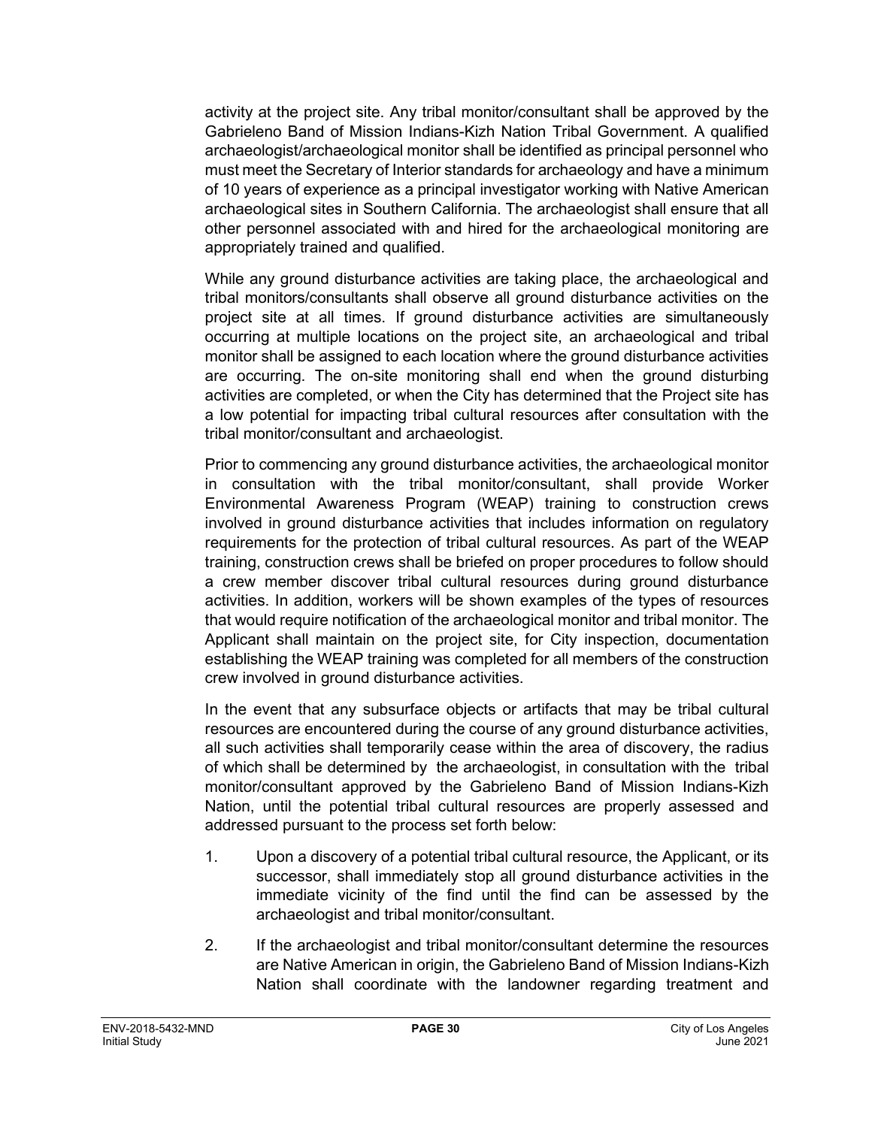activity at the project site. Any tribal monitor/consultant shall be approved by the Gabrieleno Band of Mission Indians-Kizh Nation Tribal Government. A qualified archaeologist/archaeological monitor shall be identified as principal personnel who must meet the Secretary of Interior standards for archaeology and have a minimum of 10 years of experience as a principal investigator working with Native American archaeological sites in Southern California. The archaeologist shall ensure that all other personnel associated with and hired for the archaeological monitoring are appropriately trained and qualified.

While any ground disturbance activities are taking place, the archaeological and tribal monitors/consultants shall observe all ground disturbance activities on the project site at all times. If ground disturbance activities are simultaneously occurring at multiple locations on the project site, an archaeological and tribal monitor shall be assigned to each location where the ground disturbance activities are occurring. The on-site monitoring shall end when the ground disturbing activities are completed, or when the City has determined that the Project site has a low potential for impacting tribal cultural resources after consultation with the tribal monitor/consultant and archaeologist.

Prior to commencing any ground disturbance activities, the archaeological monitor in consultation with the tribal monitor/consultant, shall provide Worker Environmental Awareness Program (WEAP) training to construction crews involved in ground disturbance activities that includes information on regulatory requirements for the protection of tribal cultural resources. As part of the WEAP training, construction crews shall be briefed on proper procedures to follow should a crew member discover tribal cultural resources during ground disturbance activities. In addition, workers will be shown examples of the types of resources that would require notification of the archaeological monitor and tribal monitor. The Applicant shall maintain on the project site, for City inspection, documentation establishing the WEAP training was completed for all members of the construction crew involved in ground disturbance activities.

In the event that any subsurface objects or artifacts that may be tribal cultural resources are encountered during the course of any ground disturbance activities, all such activities shall temporarily cease within the area of discovery, the radius of which shall be determined by the archaeologist, in consultation with the tribal monitor/consultant approved by the Gabrieleno Band of Mission Indians-Kizh Nation, until the potential tribal cultural resources are properly assessed and addressed pursuant to the process set forth below:

- 1. Upon a discovery of a potential tribal cultural resource, the Applicant, or its successor, shall immediately stop all ground disturbance activities in the immediate vicinity of the find until the find can be assessed by the archaeologist and tribal monitor/consultant.
- 2. If the archaeologist and tribal monitor/consultant determine the resources are Native American in origin, the Gabrieleno Band of Mission Indians-Kizh Nation shall coordinate with the landowner regarding treatment and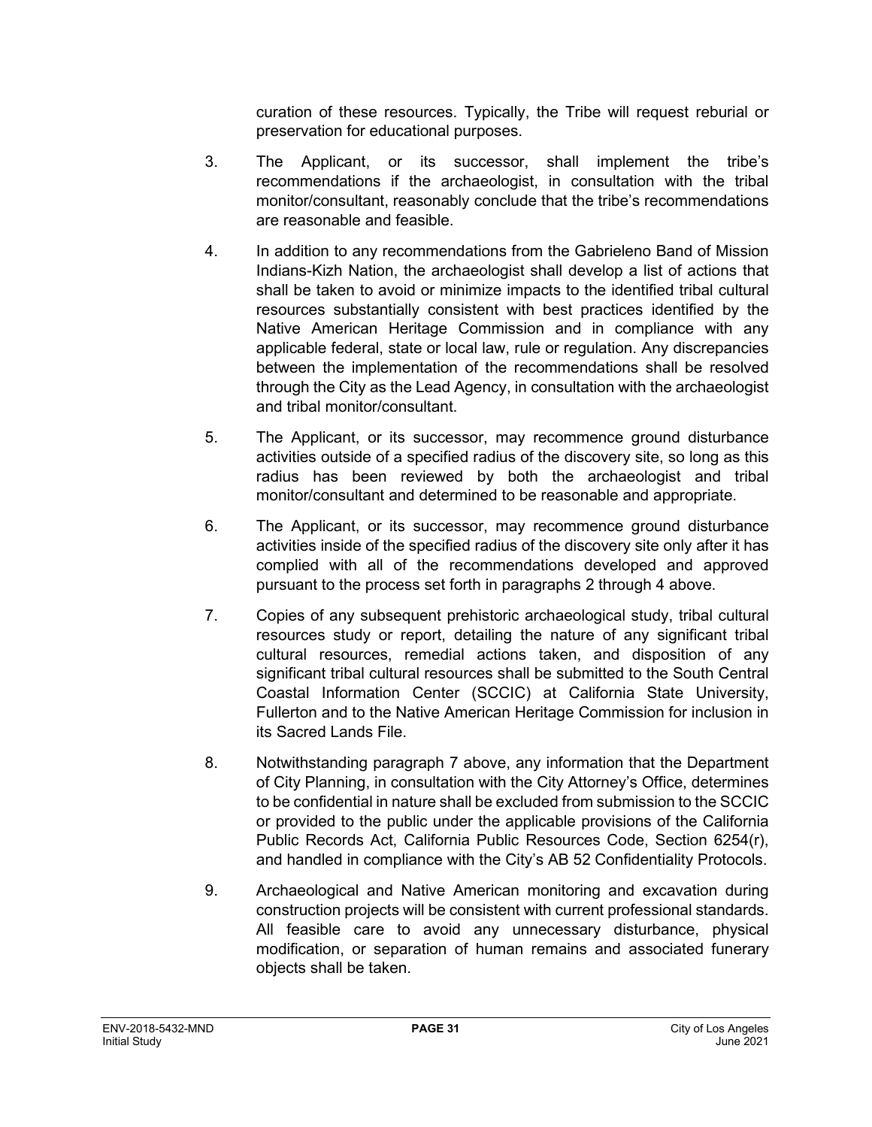curation of these resources. Typically, the Tribe will request reburial or preservation for educational purposes.

- 3. The Applicant, or its successor, shall implement the tribe's recommendations if the archaeologist, in consultation with the tribal monitor/consultant, reasonably conclude that the tribe's recommendations are reasonable and feasible.
- 4. In addition to any recommendations from the Gabrieleno Band of Mission Indians-Kizh Nation, the archaeologist shall develop a list of actions that shall be taken to avoid or minimize impacts to the identified tribal cultural resources substantially consistent with best practices identified by the Native American Heritage Commission and in compliance with any applicable federal, state or local law, rule or regulation. Any discrepancies between the implementation of the recommendations shall be resolved through the City as the Lead Agency, in consultation with the archaeologist and tribal monitor/consultant.
- 5. The Applicant, or its successor, may recommence ground disturbance activities outside of a specified radius of the discovery site, so long as this radius has been reviewed by both the archaeologist and tribal monitor/consultant and determined to be reasonable and appropriate.
- 6. The Applicant, or its successor, may recommence ground disturbance activities inside of the specified radius of the discovery site only after it has complied with all of the recommendations developed and approved pursuant to the process set forth in paragraphs 2 through 4 above.
- 7. Copies of any subsequent prehistoric archaeological study, tribal cultural resources study or report, detailing the nature of any significant tribal cultural resources, remedial actions taken, and disposition of any significant tribal cultural resources shall be submitted to the South Central Coastal Information Center (SCCIC) at California State University, Fullerton and to the Native American Heritage Commission for inclusion in its Sacred Lands File.
- 8. Notwithstanding paragraph 7 above, any information that the Department of City Planning, in consultation with the City Attorney's Office, determines to be confidential in nature shall be excluded from submission to the SCCIC or provided to the public under the applicable provisions of the California Public Records Act, California Public Resources Code, Section 6254(r), and handled in compliance with the City's AB 52 Confidentiality Protocols.
- 9. Archaeological and Native American monitoring and excavation during construction projects will be consistent with current professional standards. All feasible care to avoid any unnecessary disturbance, physical modification, or separation of human remains and associated funerary objects shall be taken.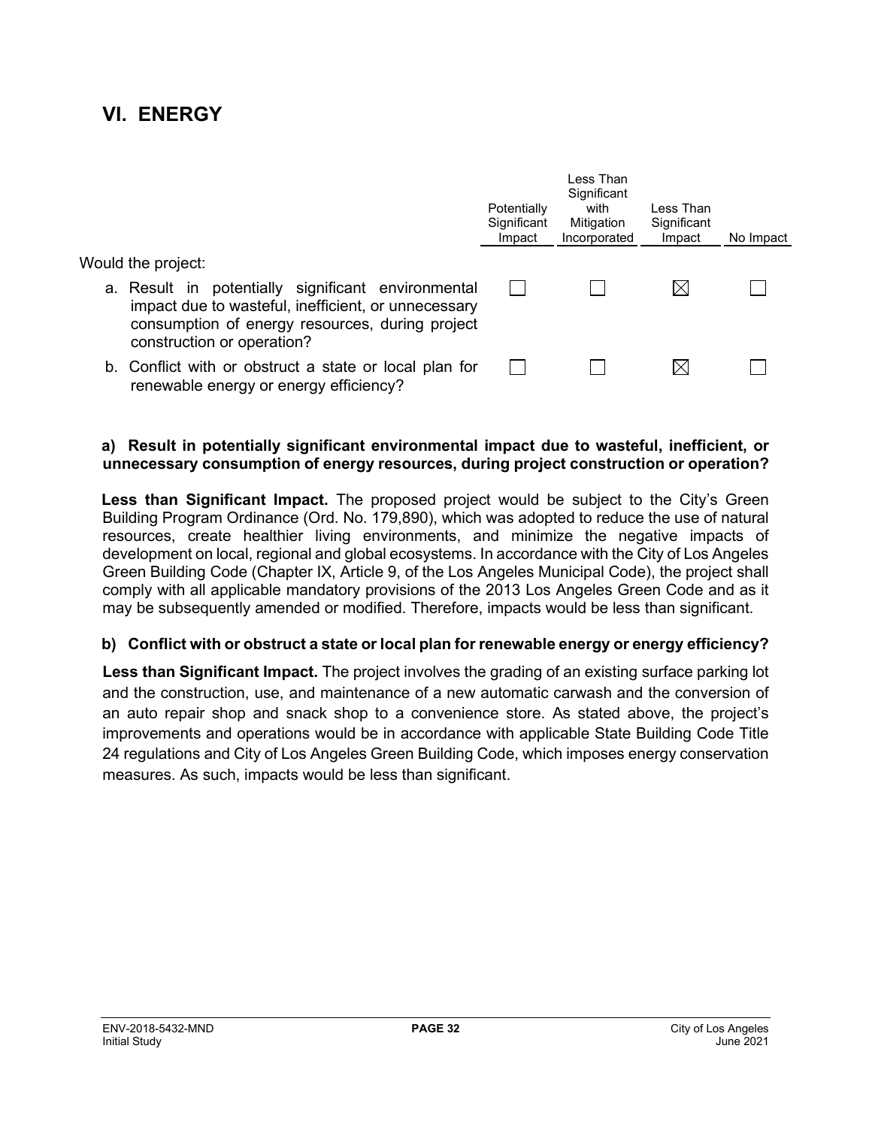## **VI. ENERGY**

|                                                                                                                                                                                            | Potentially<br>Significant<br>Impact | Less Than<br>Significant<br>with<br>Mitigation<br>Incorporated | Less Than<br>Significant<br>Impact | No Impact |
|--------------------------------------------------------------------------------------------------------------------------------------------------------------------------------------------|--------------------------------------|----------------------------------------------------------------|------------------------------------|-----------|
| Would the project:                                                                                                                                                                         |                                      |                                                                |                                    |           |
| a. Result in potentially significant environmental<br>impact due to wasteful, inefficient, or unnecessary<br>consumption of energy resources, during project<br>construction or operation? |                                      |                                                                | M                                  |           |
| b. Conflict with or obstruct a state or local plan for<br>renewable energy or energy efficiency?                                                                                           |                                      |                                                                | IХ                                 |           |

#### **a) Result in potentially significant environmental impact due to wasteful, inefficient, or unnecessary consumption of energy resources, during project construction or operation?**

**Less than Significant Impact.** The proposed project would be subject to the City's Green Building Program Ordinance (Ord. No. 179,890), which was adopted to reduce the use of natural resources, create healthier living environments, and minimize the negative impacts of development on local, regional and global ecosystems. In accordance with the City of Los Angeles Green Building Code (Chapter IX, Article 9, of the Los Angeles Municipal Code), the project shall comply with all applicable mandatory provisions of the 2013 Los Angeles Green Code and as it may be subsequently amended or modified. Therefore, impacts would be less than significant.

#### **b) Conflict with or obstruct a state or local plan for renewable energy or energy efficiency?**

**Less than Significant Impact.** The project involves the grading of an existing surface parking lot and the construction, use, and maintenance of a new automatic carwash and the conversion of an auto repair shop and snack shop to a convenience store. As stated above, the project's improvements and operations would be in accordance with applicable State Building Code Title 24 regulations and City of Los Angeles Green Building Code, which imposes energy conservation measures. As such, impacts would be less than significant.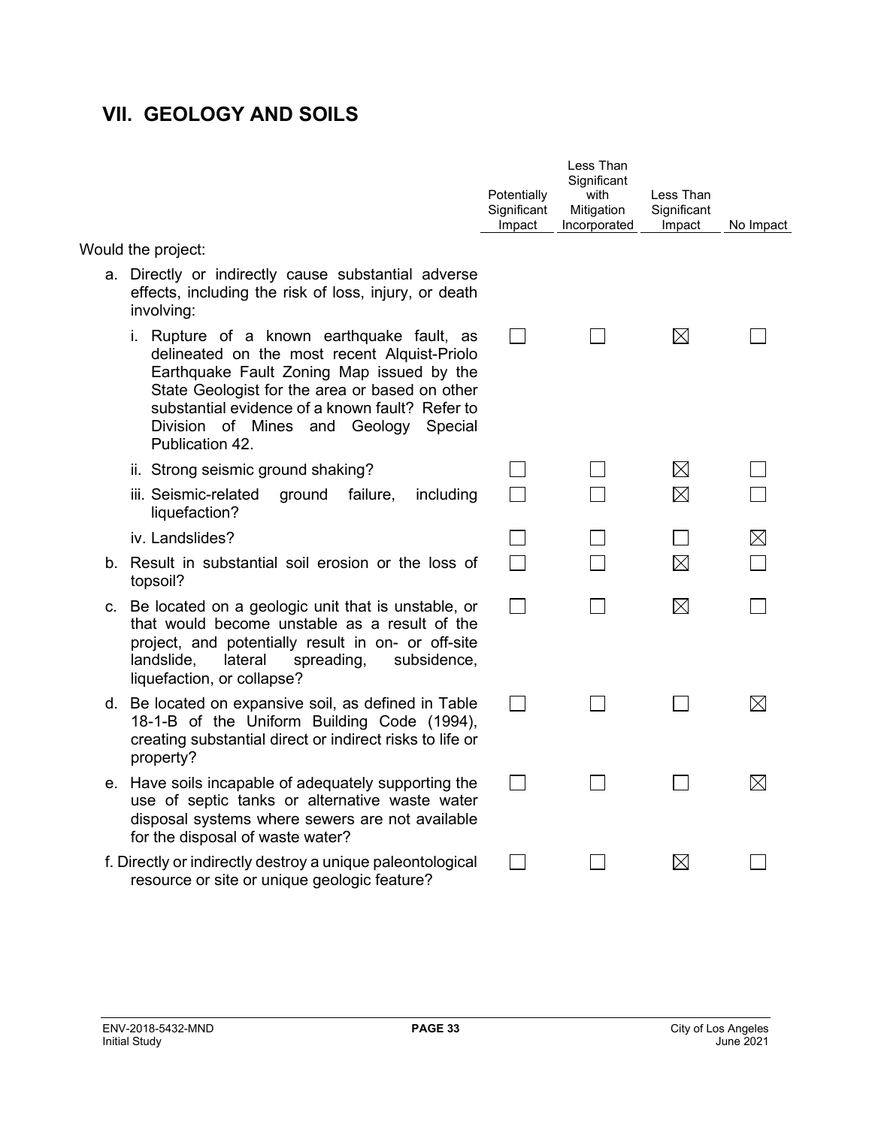## **VII. GEOLOGY AND SOILS**

|                                                                                                                                                                                                                                                                                                             | Potentially<br>Significant<br>Impact | Less Than<br>Significant<br>with<br>Mitigation<br>Incorporated | Less Than<br>Significant<br>Impact | No Impact   |
|-------------------------------------------------------------------------------------------------------------------------------------------------------------------------------------------------------------------------------------------------------------------------------------------------------------|--------------------------------------|----------------------------------------------------------------|------------------------------------|-------------|
| Would the project:                                                                                                                                                                                                                                                                                          |                                      |                                                                |                                    |             |
| a. Directly or indirectly cause substantial adverse<br>effects, including the risk of loss, injury, or death<br>involving:                                                                                                                                                                                  |                                      |                                                                |                                    |             |
| i. Rupture of a known earthquake fault, as<br>delineated on the most recent Alquist-Priolo<br>Earthquake Fault Zoning Map issued by the<br>State Geologist for the area or based on other<br>substantial evidence of a known fault? Refer to<br>Division of Mines and Geology<br>Special<br>Publication 42. |                                      |                                                                | $\boxtimes$                        |             |
| ii. Strong seismic ground shaking?                                                                                                                                                                                                                                                                          |                                      |                                                                | $\boxtimes$                        |             |
| iii. Seismic-related<br>failure,<br>ground<br>including<br>liquefaction?                                                                                                                                                                                                                                    |                                      |                                                                | $\boxtimes$                        |             |
| iv. Landslides?                                                                                                                                                                                                                                                                                             |                                      |                                                                |                                    | $\boxtimes$ |
| b. Result in substantial soil erosion or the loss of<br>topsoil?                                                                                                                                                                                                                                            |                                      |                                                                | $\boxtimes$                        |             |
| c. Be located on a geologic unit that is unstable, or<br>that would become unstable as a result of the<br>project, and potentially result in on- or off-site<br>landslide,<br>lateral<br>spreading,<br>subsidence,<br>liquefaction, or collapse?                                                            |                                      |                                                                | $\boxtimes$                        |             |
| d. Be located on expansive soil, as defined in Table<br>18-1-B of the Uniform Building Code (1994),<br>creating substantial direct or indirect risks to life or<br>property?                                                                                                                                | $\sim$                               |                                                                |                                    | ⊠           |
| e. Have soils incapable of adequately supporting the<br>use of septic tanks or alternative waste water<br>disposal systems where sewers are not available<br>for the disposal of waste water?                                                                                                               |                                      |                                                                |                                    | $\boxtimes$ |
| f. Directly or indirectly destroy a unique paleontological<br>resource or site or unique geologic feature?                                                                                                                                                                                                  |                                      |                                                                | $\boxtimes$                        |             |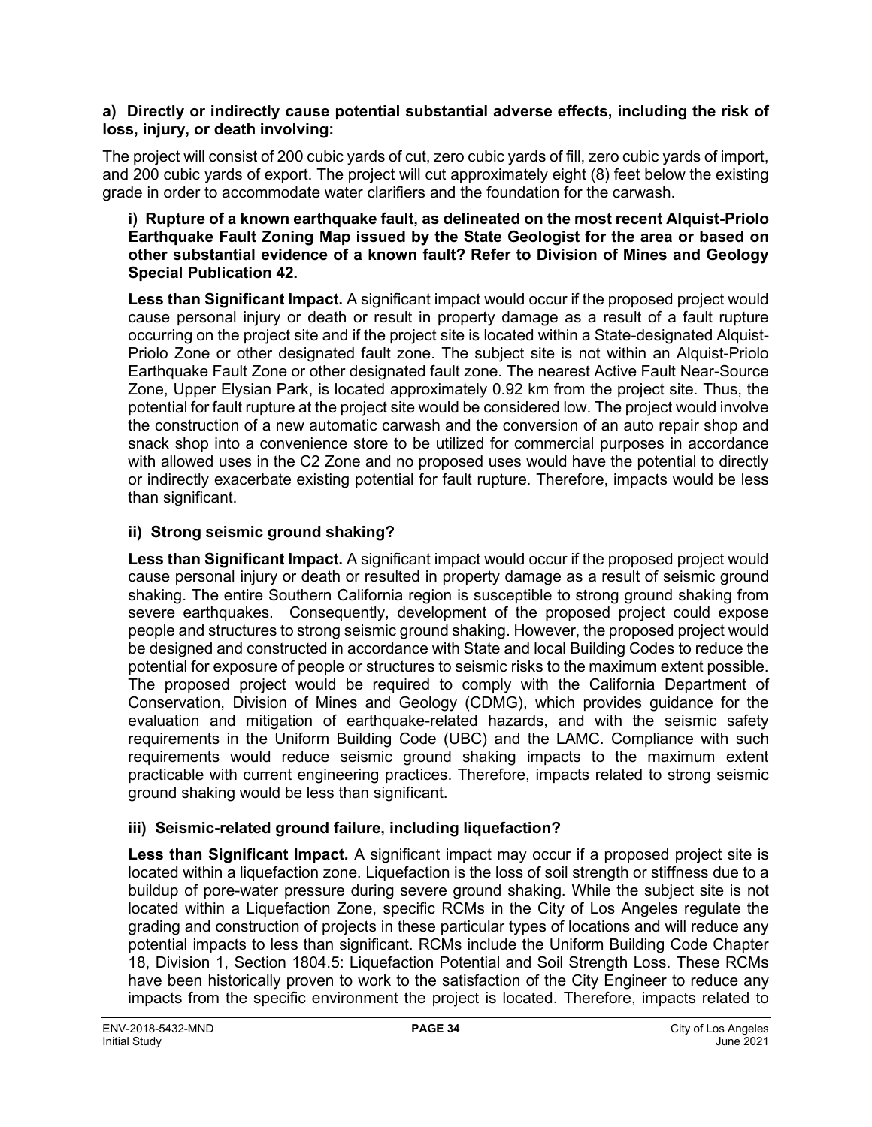#### **a) Directly or indirectly cause potential substantial adverse effects, including the risk of loss, injury, or death involving:**

The project will consist of 200 cubic yards of cut, zero cubic yards of fill, zero cubic yards of import, and 200 cubic yards of export. The project will cut approximately eight (8) feet below the existing grade in order to accommodate water clarifiers and the foundation for the carwash.

#### **i) Rupture of a known earthquake fault, as delineated on the most recent Alquist-Priolo Earthquake Fault Zoning Map issued by the State Geologist for the area or based on other substantial evidence of a known fault? Refer to Division of Mines and Geology Special Publication 42.**

**Less than Significant Impact.** A significant impact would occur if the proposed project would cause personal injury or death or result in property damage as a result of a fault rupture occurring on the project site and if the project site is located within a State-designated Alquist-Priolo Zone or other designated fault zone. The subject site is not within an Alquist-Priolo Earthquake Fault Zone or other designated fault zone. The nearest Active Fault Near-Source Zone, Upper Elysian Park, is located approximately 0.92 km from the project site. Thus, the potential for fault rupture at the project site would be considered low. The project would involve the construction of a new automatic carwash and the conversion of an auto repair shop and snack shop into a convenience store to be utilized for commercial purposes in accordance with allowed uses in the C2 Zone and no proposed uses would have the potential to directly or indirectly exacerbate existing potential for fault rupture. Therefore, impacts would be less than significant.

#### **ii) Strong seismic ground shaking?**

**Less than Significant Impact.** A significant impact would occur if the proposed project would cause personal injury or death or resulted in property damage as a result of seismic ground shaking. The entire Southern California region is susceptible to strong ground shaking from severe earthquakes. Consequently, development of the proposed project could expose people and structures to strong seismic ground shaking. However, the proposed project would be designed and constructed in accordance with State and local Building Codes to reduce the potential for exposure of people or structures to seismic risks to the maximum extent possible. The proposed project would be required to comply with the California Department of Conservation, Division of Mines and Geology (CDMG), which provides guidance for the evaluation and mitigation of earthquake-related hazards, and with the seismic safety requirements in the Uniform Building Code (UBC) and the LAMC. Compliance with such requirements would reduce seismic ground shaking impacts to the maximum extent practicable with current engineering practices. Therefore, impacts related to strong seismic ground shaking would be less than significant.

#### **iii) Seismic-related ground failure, including liquefaction?**

**Less than Significant Impact.** A significant impact may occur if a proposed project site is located within a liquefaction zone. Liquefaction is the loss of soil strength or stiffness due to a buildup of pore-water pressure during severe ground shaking. While the subject site is not located within a Liquefaction Zone, specific RCMs in the City of Los Angeles regulate the grading and construction of projects in these particular types of locations and will reduce any potential impacts to less than significant. RCMs include the Uniform Building Code Chapter 18, Division 1, Section 1804.5: Liquefaction Potential and Soil Strength Loss. These RCMs have been historically proven to work to the satisfaction of the City Engineer to reduce any impacts from the specific environment the project is located. Therefore, impacts related to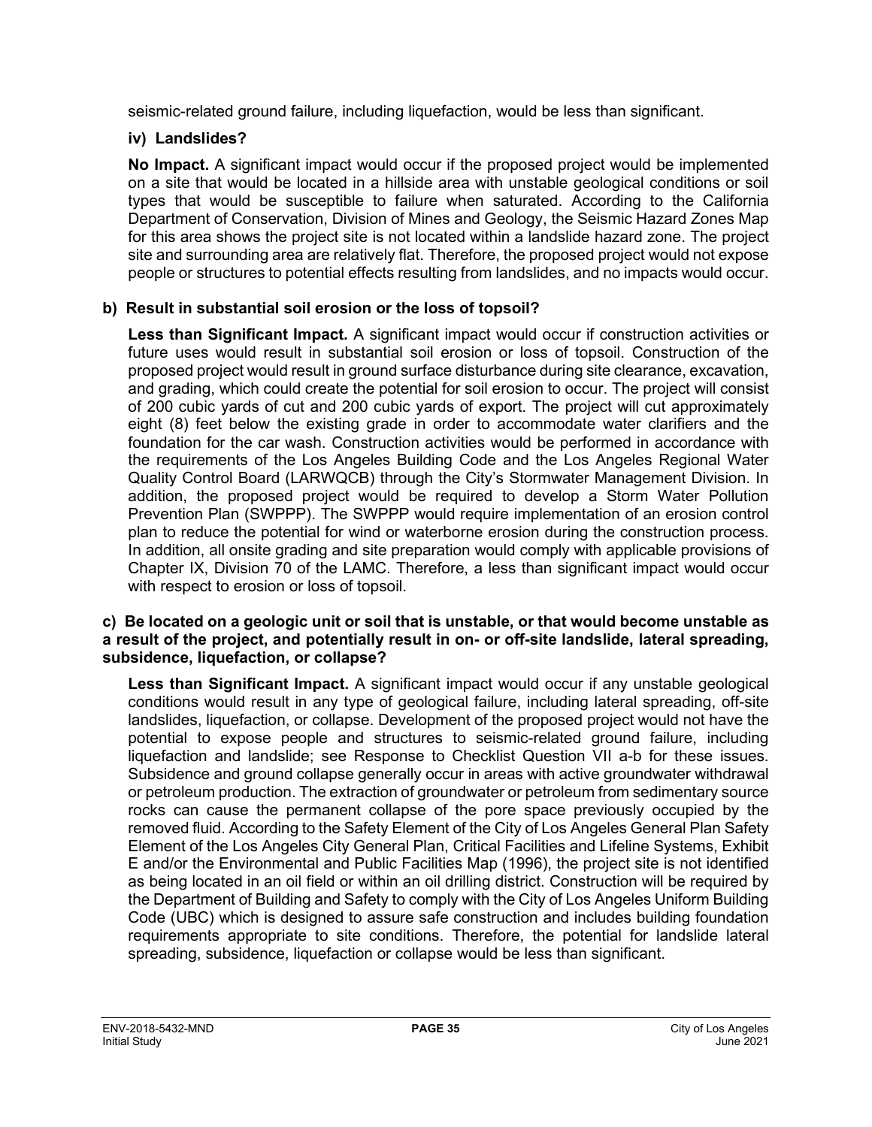seismic-related ground failure, including liquefaction, would be less than significant.

#### **iv) Landslides?**

**No Impact.** A significant impact would occur if the proposed project would be implemented on a site that would be located in a hillside area with unstable geological conditions or soil types that would be susceptible to failure when saturated. According to the California Department of Conservation, Division of Mines and Geology, the Seismic Hazard Zones Map for this area shows the project site is not located within a landslide hazard zone. The project site and surrounding area are relatively flat. Therefore, the proposed project would not expose people or structures to potential effects resulting from landslides, and no impacts would occur.

#### **b) Result in substantial soil erosion or the loss of topsoil?**

**Less than Significant Impact.** A significant impact would occur if construction activities or future uses would result in substantial soil erosion or loss of topsoil. Construction of the proposed project would result in ground surface disturbance during site clearance, excavation, and grading, which could create the potential for soil erosion to occur. The project will consist of 200 cubic yards of cut and 200 cubic yards of export. The project will cut approximately eight (8) feet below the existing grade in order to accommodate water clarifiers and the foundation for the car wash. Construction activities would be performed in accordance with the requirements of the Los Angeles Building Code and the Los Angeles Regional Water Quality Control Board (LARWQCB) through the City's Stormwater Management Division. In addition, the proposed project would be required to develop a Storm Water Pollution Prevention Plan (SWPPP). The SWPPP would require implementation of an erosion control plan to reduce the potential for wind or waterborne erosion during the construction process. In addition, all onsite grading and site preparation would comply with applicable provisions of Chapter IX, Division 70 of the LAMC. Therefore, a less than significant impact would occur with respect to erosion or loss of topsoil.

#### **c) Be located on a geologic unit or soil that is unstable, or that would become unstable as a result of the project, and potentially result in on- or off-site landslide, lateral spreading, subsidence, liquefaction, or collapse?**

**Less than Significant Impact.** A significant impact would occur if any unstable geological conditions would result in any type of geological failure, including lateral spreading, off-site landslides, liquefaction, or collapse. Development of the proposed project would not have the potential to expose people and structures to seismic-related ground failure, including liquefaction and landslide; see Response to Checklist Question VII a-b for these issues. Subsidence and ground collapse generally occur in areas with active groundwater withdrawal or petroleum production. The extraction of groundwater or petroleum from sedimentary source rocks can cause the permanent collapse of the pore space previously occupied by the removed fluid. According to the Safety Element of the City of Los Angeles General Plan Safety Element of the Los Angeles City General Plan, Critical Facilities and Lifeline Systems, Exhibit E and/or the Environmental and Public Facilities Map (1996), the project site is not identified as being located in an oil field or within an oil drilling district. Construction will be required by the Department of Building and Safety to comply with the City of Los Angeles Uniform Building Code (UBC) which is designed to assure safe construction and includes building foundation requirements appropriate to site conditions. Therefore, the potential for landslide lateral spreading, subsidence, liquefaction or collapse would be less than significant.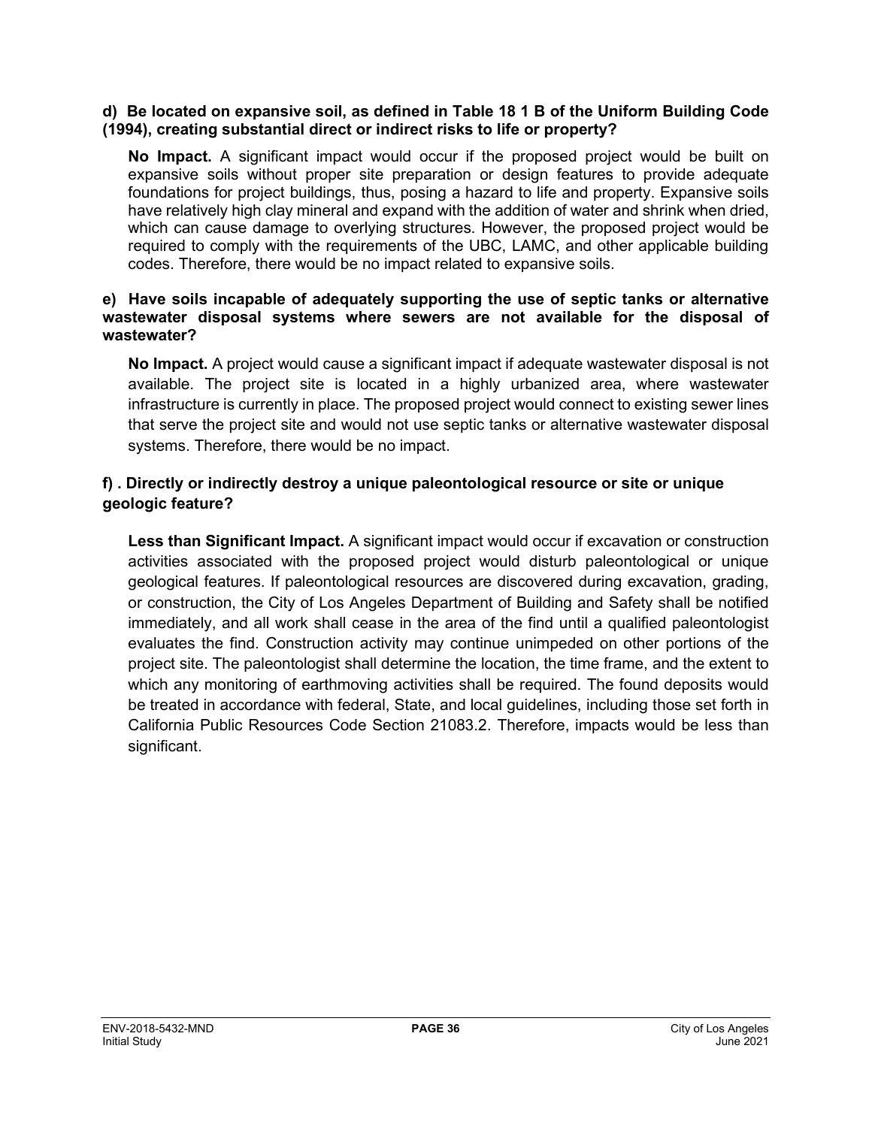#### **d) Be located on expansive soil, as defined in Table 18 1 B of the Uniform Building Code (1994), creating substantial direct or indirect risks to life or property?**

**No Impact.** A significant impact would occur if the proposed project would be built on expansive soils without proper site preparation or design features to provide adequate foundations for project buildings, thus, posing a hazard to life and property. Expansive soils have relatively high clay mineral and expand with the addition of water and shrink when dried, which can cause damage to overlying structures. However, the proposed project would be required to comply with the requirements of the UBC, LAMC, and other applicable building codes. Therefore, there would be no impact related to expansive soils.

#### **e) Have soils incapable of adequately supporting the use of septic tanks or alternative wastewater disposal systems where sewers are not available for the disposal of wastewater?**

**No Impact.** A project would cause a significant impact if adequate wastewater disposal is not available. The project site is located in a highly urbanized area, where wastewater infrastructure is currently in place. The proposed project would connect to existing sewer lines that serve the project site and would not use septic tanks or alternative wastewater disposal systems. Therefore, there would be no impact.

#### **f) . Directly or indirectly destroy a unique paleontological resource or site or unique geologic feature?**

**Less than Significant Impact.** A significant impact would occur if excavation or construction activities associated with the proposed project would disturb paleontological or unique geological features. If paleontological resources are discovered during excavation, grading, or construction, the City of Los Angeles Department of Building and Safety shall be notified immediately, and all work shall cease in the area of the find until a qualified paleontologist evaluates the find. Construction activity may continue unimpeded on other portions of the project site. The paleontologist shall determine the location, the time frame, and the extent to which any monitoring of earthmoving activities shall be required. The found deposits would be treated in accordance with federal, State, and local guidelines, including those set forth in California Public Resources Code Section 21083.2. Therefore, impacts would be less than significant.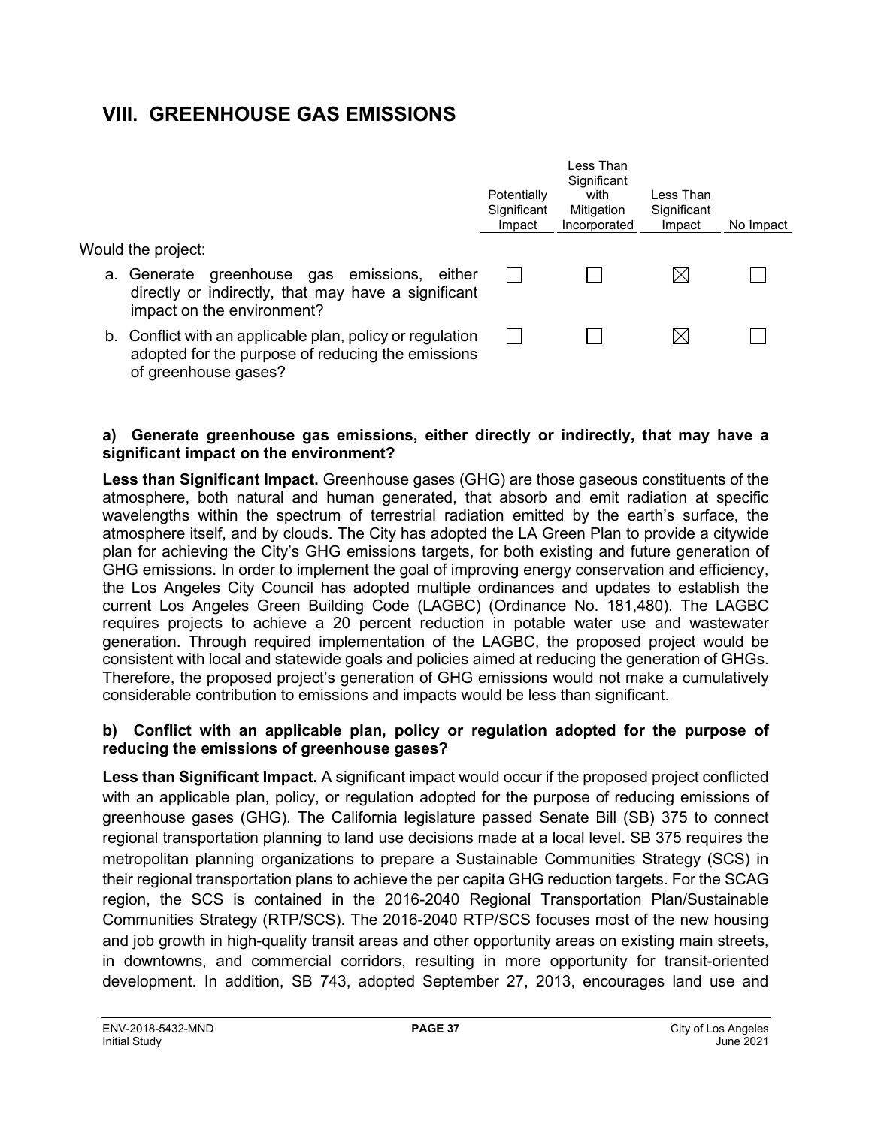## **VIII. GREENHOUSE GAS EMISSIONS**

|                                                                                                                                        | Potentially<br>Significant<br>Impact | Less Than<br>Significant<br>with<br>Mitigation<br>Incorporated | Less Than<br>Significant<br>Impact | No Impact |
|----------------------------------------------------------------------------------------------------------------------------------------|--------------------------------------|----------------------------------------------------------------|------------------------------------|-----------|
| Would the project:                                                                                                                     |                                      |                                                                |                                    |           |
| a. Generate greenhouse gas emissions, either<br>directly or indirectly, that may have a significant<br>impact on the environment?      |                                      |                                                                |                                    |           |
| b. Conflict with an applicable plan, policy or regulation<br>adopted for the purpose of reducing the emissions<br>of greenhouse gases? |                                      |                                                                |                                    |           |

#### **a) Generate greenhouse gas emissions, either directly or indirectly, that may have a significant impact on the environment?**

**Less than Significant Impact.** Greenhouse gases (GHG) are those gaseous constituents of the atmosphere, both natural and human generated, that absorb and emit radiation at specific wavelengths within the spectrum of terrestrial radiation emitted by the earth's surface, the atmosphere itself, and by clouds. The City has adopted the LA Green Plan to provide a citywide plan for achieving the City's GHG emissions targets, for both existing and future generation of GHG emissions. In order to implement the goal of improving energy conservation and efficiency, the Los Angeles City Council has adopted multiple ordinances and updates to establish the current Los Angeles Green Building Code (LAGBC) (Ordinance No. 181,480). The LAGBC requires projects to achieve a 20 percent reduction in potable water use and wastewater generation. Through required implementation of the LAGBC, the proposed project would be consistent with local and statewide goals and policies aimed at reducing the generation of GHGs. Therefore, the proposed project's generation of GHG emissions would not make a cumulatively considerable contribution to emissions and impacts would be less than significant.

#### **b) Conflict with an applicable plan, policy or regulation adopted for the purpose of reducing the emissions of greenhouse gases?**

**Less than Significant Impact.** A significant impact would occur if the proposed project conflicted with an applicable plan, policy, or regulation adopted for the purpose of reducing emissions of greenhouse gases (GHG). The California legislature passed Senate Bill (SB) 375 to connect regional transportation planning to land use decisions made at a local level. SB 375 requires the metropolitan planning organizations to prepare a Sustainable Communities Strategy (SCS) in their regional transportation plans to achieve the per capita GHG reduction targets. For the SCAG region, the SCS is contained in the 2016-2040 Regional Transportation Plan/Sustainable Communities Strategy (RTP/SCS). The 2016-2040 RTP/SCS focuses most of the new housing and job growth in high-quality transit areas and other opportunity areas on existing main streets, in downtowns, and commercial corridors, resulting in more opportunity for transit-oriented development. In addition, SB 743, adopted September 27, 2013, encourages land use and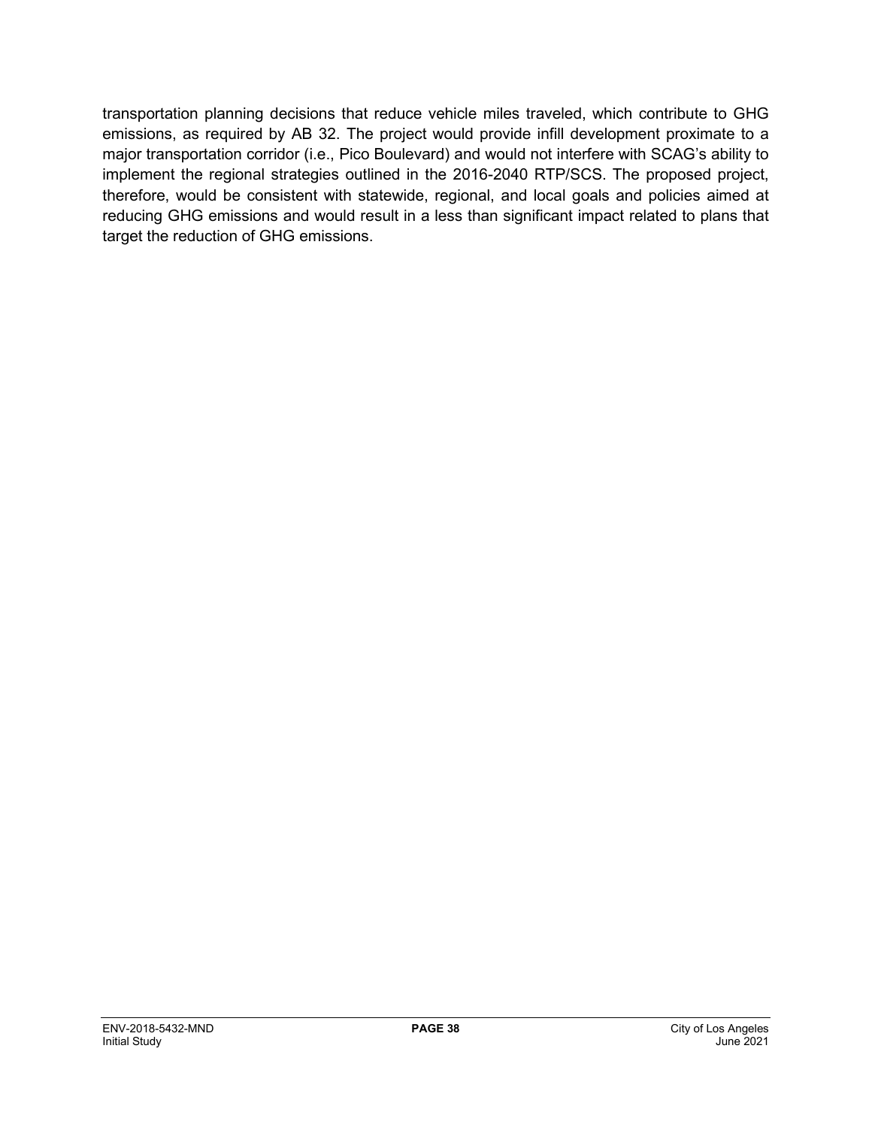transportation planning decisions that reduce vehicle miles traveled, which contribute to GHG emissions, as required by AB 32. The project would provide infill development proximate to a major transportation corridor (i.e., Pico Boulevard) and would not interfere with SCAG's ability to implement the regional strategies outlined in the 2016-2040 RTP/SCS. The proposed project, therefore, would be consistent with statewide, regional, and local goals and policies aimed at reducing GHG emissions and would result in a less than significant impact related to plans that target the reduction of GHG emissions.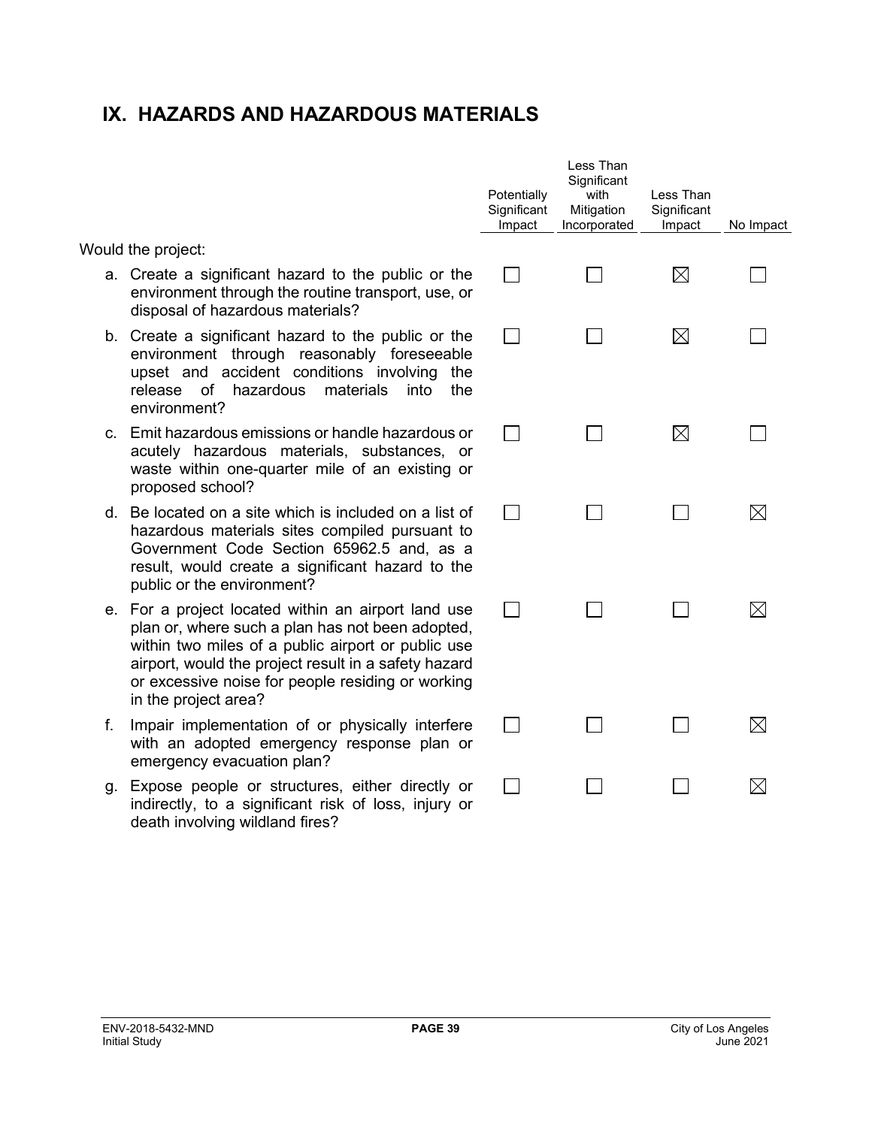## **IX. HAZARDS AND HAZARDOUS MATERIALS**

Would the project:

- a. Create a significant hazard to the public or the environment through the routine transport, use, or disposal of hazardous materials?
- b. Create a significant hazard to the public or the environment through reasonably foreseeable upset and accident conditions involving the release of hazardous materials into the environment?
- c. Emit hazardous emissions or handle hazardous or acutely hazardous materials, substances, or waste within one-quarter mile of an existing or proposed school?
- d. Be located on a site which is included on a list of hazardous materials sites compiled pursuant to Government Code Section 65962.5 and, as a result, would create a significant hazard to the public or the environment?
- e. For a project located within an airport land use plan or, where such a plan has not been adopted, within two miles of a public airport or public use airport, would the project result in a safety hazard or excessive noise for people residing or working in the project area?
- f. Impair implementation of or physically interfere with an adopted emergency response plan or emergency evacuation plan?
- g. Expose people or structures, either directly or indirectly, to a significant risk of loss, injury or death involving wildland fires?

| Potentially<br>Significant<br>Impact | Less Than<br>Significant<br>with<br>Mitigation<br>Incorporated | Less Than<br>Significant<br>Impact | No Impact   |
|--------------------------------------|----------------------------------------------------------------|------------------------------------|-------------|
|                                      |                                                                | $\boxtimes$                        |             |
|                                      |                                                                | ⊠                                  |             |
|                                      | $\sim$                                                         | $\boxtimes$                        |             |
|                                      |                                                                |                                    | $\boxtimes$ |
|                                      |                                                                |                                    | $\boxtimes$ |
|                                      |                                                                |                                    | $\boxtimes$ |
|                                      |                                                                |                                    | $\boxtimes$ |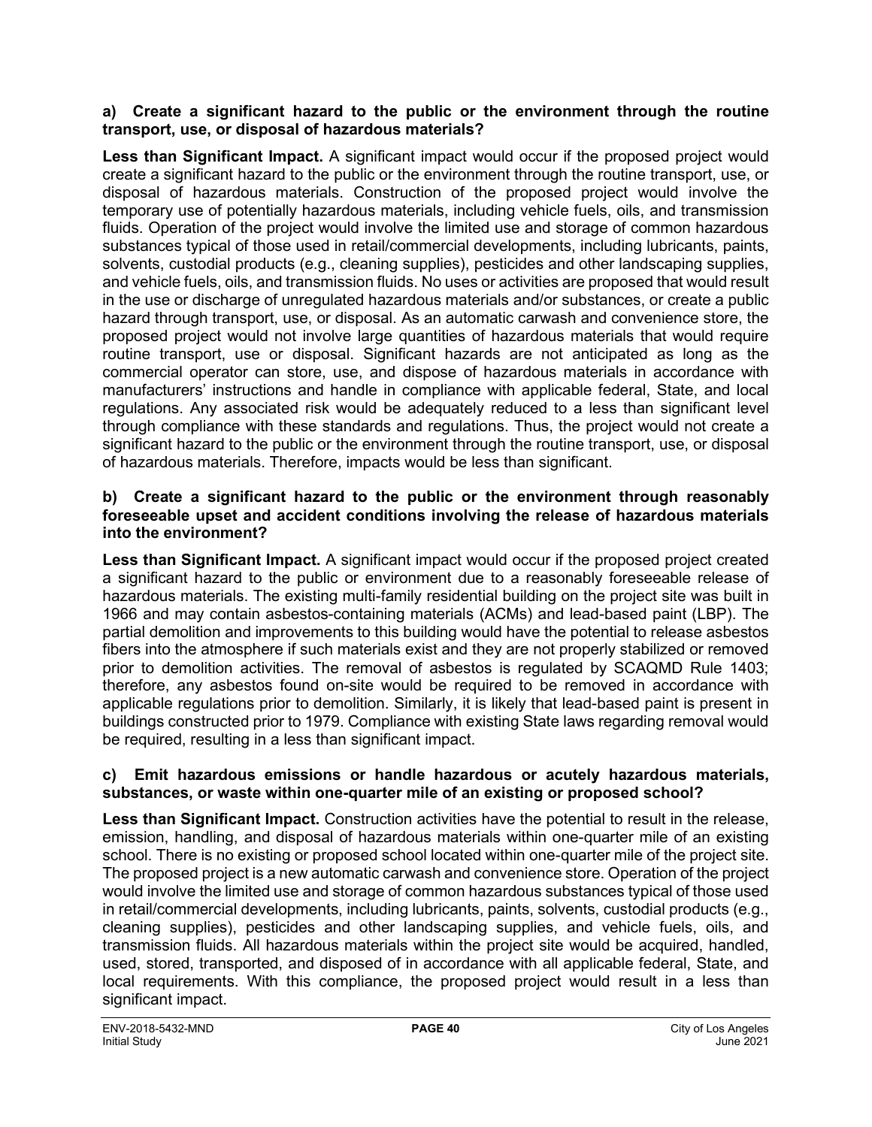#### **a) Create a significant hazard to the public or the environment through the routine transport, use, or disposal of hazardous materials?**

Less than Significant Impact. A significant impact would occur if the proposed project would create a significant hazard to the public or the environment through the routine transport, use, or disposal of hazardous materials. Construction of the proposed project would involve the temporary use of potentially hazardous materials, including vehicle fuels, oils, and transmission fluids. Operation of the project would involve the limited use and storage of common hazardous substances typical of those used in retail/commercial developments, including lubricants, paints, solvents, custodial products (e.g., cleaning supplies), pesticides and other landscaping supplies, and vehicle fuels, oils, and transmission fluids. No uses or activities are proposed that would result in the use or discharge of unregulated hazardous materials and/or substances, or create a public hazard through transport, use, or disposal. As an automatic carwash and convenience store, the proposed project would not involve large quantities of hazardous materials that would require routine transport, use or disposal. Significant hazards are not anticipated as long as the commercial operator can store, use, and dispose of hazardous materials in accordance with manufacturers' instructions and handle in compliance with applicable federal, State, and local regulations. Any associated risk would be adequately reduced to a less than significant level through compliance with these standards and regulations. Thus, the project would not create a significant hazard to the public or the environment through the routine transport, use, or disposal of hazardous materials. Therefore, impacts would be less than significant.

#### **b) Create a significant hazard to the public or the environment through reasonably foreseeable upset and accident conditions involving the release of hazardous materials into the environment?**

**Less than Significant Impact.** A significant impact would occur if the proposed project created a significant hazard to the public or environment due to a reasonably foreseeable release of hazardous materials. The existing multi-family residential building on the project site was built in 1966 and may contain asbestos-containing materials (ACMs) and lead-based paint (LBP). The partial demolition and improvements to this building would have the potential to release asbestos fibers into the atmosphere if such materials exist and they are not properly stabilized or removed prior to demolition activities. The removal of asbestos is regulated by SCAQMD Rule 1403; therefore, any asbestos found on-site would be required to be removed in accordance with applicable regulations prior to demolition. Similarly, it is likely that lead-based paint is present in buildings constructed prior to 1979. Compliance with existing State laws regarding removal would be required, resulting in a less than significant impact.

#### **c) Emit hazardous emissions or handle hazardous or acutely hazardous materials, substances, or waste within one-quarter mile of an existing or proposed school?**

**Less than Significant Impact.** Construction activities have the potential to result in the release, emission, handling, and disposal of hazardous materials within one-quarter mile of an existing school. There is no existing or proposed school located within one-quarter mile of the project site. The proposed project is a new automatic carwash and convenience store. Operation of the project would involve the limited use and storage of common hazardous substances typical of those used in retail/commercial developments, including lubricants, paints, solvents, custodial products (e.g., cleaning supplies), pesticides and other landscaping supplies, and vehicle fuels, oils, and transmission fluids. All hazardous materials within the project site would be acquired, handled, used, stored, transported, and disposed of in accordance with all applicable federal, State, and local requirements. With this compliance, the proposed project would result in a less than significant impact.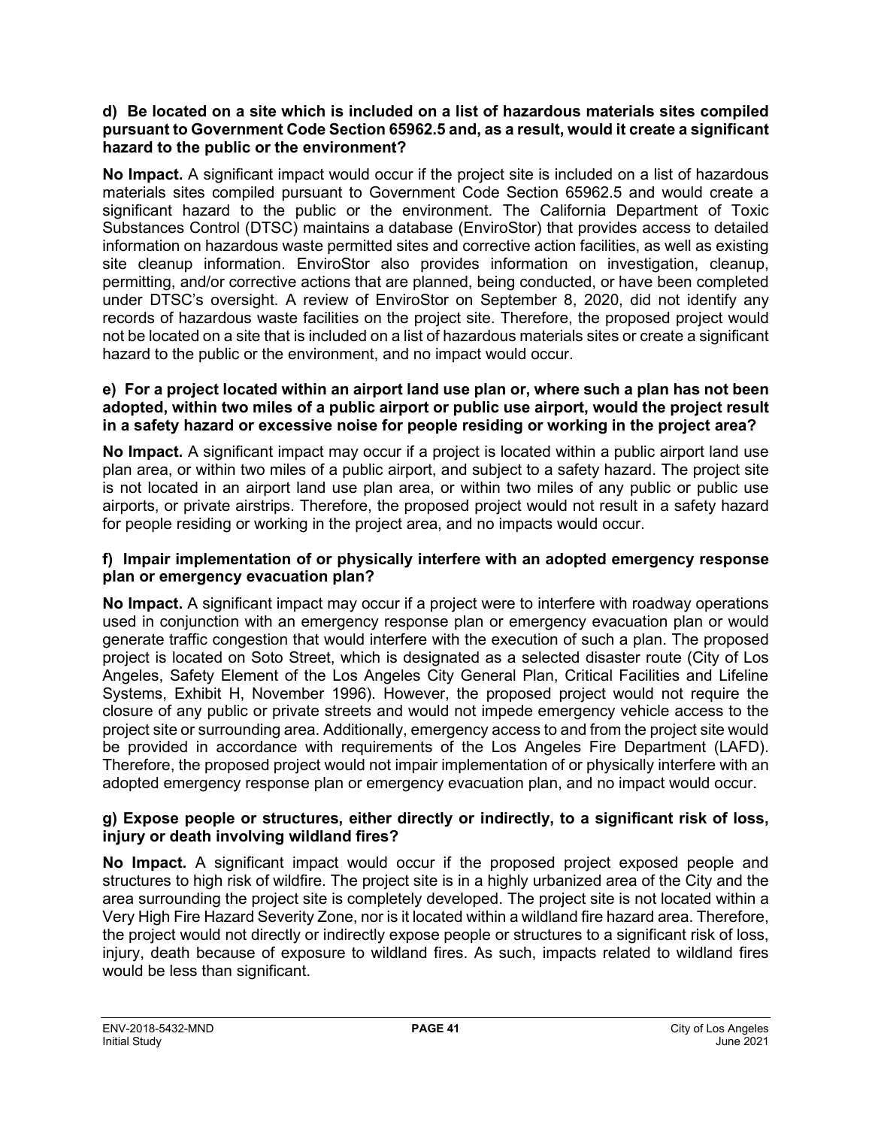#### **d) Be located on a site which is included on a list of hazardous materials sites compiled pursuant to Government Code Section 65962.5 and, as a result, would it create a significant hazard to the public or the environment?**

**No Impact.** A significant impact would occur if the project site is included on a list of hazardous materials sites compiled pursuant to Government Code Section 65962.5 and would create a significant hazard to the public or the environment. The California Department of Toxic Substances Control (DTSC) maintains a database (EnviroStor) that provides access to detailed information on hazardous waste permitted sites and corrective action facilities, as well as existing site cleanup information. EnviroStor also provides information on investigation, cleanup, permitting, and/or corrective actions that are planned, being conducted, or have been completed under DTSC's oversight. A review of EnviroStor on September 8, 2020, did not identify any records of hazardous waste facilities on the project site. Therefore, the proposed project would not be located on a site that is included on a list of hazardous materials sites or create a significant hazard to the public or the environment, and no impact would occur.

#### **e) For a project located within an airport land use plan or, where such a plan has not been adopted, within two miles of a public airport or public use airport, would the project result in a safety hazard or excessive noise for people residing or working in the project area?**

**No Impact.** A significant impact may occur if a project is located within a public airport land use plan area, or within two miles of a public airport, and subject to a safety hazard. The project site is not located in an airport land use plan area, or within two miles of any public or public use airports, or private airstrips. Therefore, the proposed project would not result in a safety hazard for people residing or working in the project area, and no impacts would occur.

#### **f) Impair implementation of or physically interfere with an adopted emergency response plan or emergency evacuation plan?**

**No Impact.** A significant impact may occur if a project were to interfere with roadway operations used in conjunction with an emergency response plan or emergency evacuation plan or would generate traffic congestion that would interfere with the execution of such a plan. The proposed project is located on Soto Street, which is designated as a selected disaster route (City of Los Angeles, Safety Element of the Los Angeles City General Plan, Critical Facilities and Lifeline Systems, Exhibit H, November 1996). However, the proposed project would not require the closure of any public or private streets and would not impede emergency vehicle access to the project site or surrounding area. Additionally, emergency access to and from the project site would be provided in accordance with requirements of the Los Angeles Fire Department (LAFD). Therefore, the proposed project would not impair implementation of or physically interfere with an adopted emergency response plan or emergency evacuation plan, and no impact would occur.

#### **g) Expose people or structures, either directly or indirectly, to a significant risk of loss, injury or death involving wildland fires?**

**No Impact.** A significant impact would occur if the proposed project exposed people and structures to high risk of wildfire. The project site is in a highly urbanized area of the City and the area surrounding the project site is completely developed. The project site is not located within a Very High Fire Hazard Severity Zone, nor is it located within a wildland fire hazard area. Therefore, the project would not directly or indirectly expose people or structures to a significant risk of loss, injury, death because of exposure to wildland fires. As such, impacts related to wildland fires would be less than significant.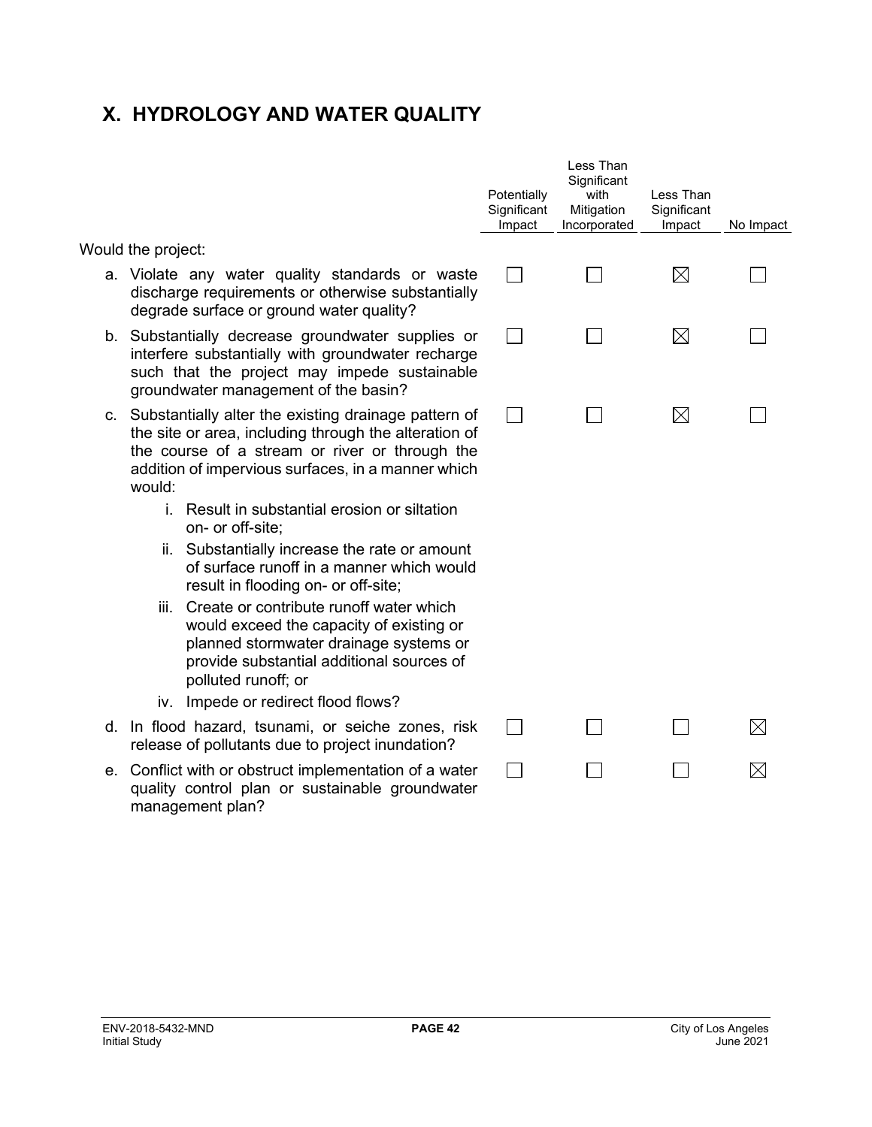## **X. HYDROLOGY AND WATER QUALITY**

|  |  | Would the project: |
|--|--|--------------------|
|--|--|--------------------|

- a. Violate any water quality standards or wa discharge requirements or otherwise substantially degrade surface or ground water quality?
- b. Substantially decrease groundwater supplies interfere substantially with groundwater rechar such that the project may impede sustaina groundwater management of the basin?
- c. Substantially alter the existing drainage pattern the site or area, including through the alteration the course of a stream or river or through addition of impervious surfaces, in a manner wh would:
	- i. Result in substantial erosion or siltation on- or off-site;
	- ii. Substantially increase the rate or amou of surface runoff in a manner which wo result in flooding on- or off-site;
	- iii. Create or contribute runoff water which would exceed the capacity of existing or planned stormwater drainage systems provide substantial additional sources polluted runoff; or
	- iv. Impede or redirect flood flows?
- d. In flood hazard, tsunami, or seiche zones, release of pollutants due to project inundation?
- e. Conflict with or obstruct implementation of a waterquality control plan or sustainable groundwa management plan?

|                            | Potentially<br>Significant<br>Impact | Less Than<br>Significant<br>with<br>Mitigation<br>Incorporated | Less Than<br>Significant<br>Impact | No Impact   |
|----------------------------|--------------------------------------|----------------------------------------------------------------|------------------------------------|-------------|
| aste<br>ially              |                                      |                                                                | $\boxtimes$                        |             |
| or (<br>ırge<br>able       |                                      |                                                                | $\boxtimes$                        |             |
| n of<br>n of<br>the<br>ich |                                      |                                                                | $\boxtimes$                        |             |
| j                          |                                      |                                                                |                                    |             |
| տt<br>uld                  |                                      |                                                                |                                    |             |
| ١<br>рr<br>or<br>of        |                                      |                                                                |                                    |             |
| risk                       |                                      |                                                                |                                    | $\boxtimes$ |
| ater<br>ater               |                                      |                                                                |                                    | $\boxtimes$ |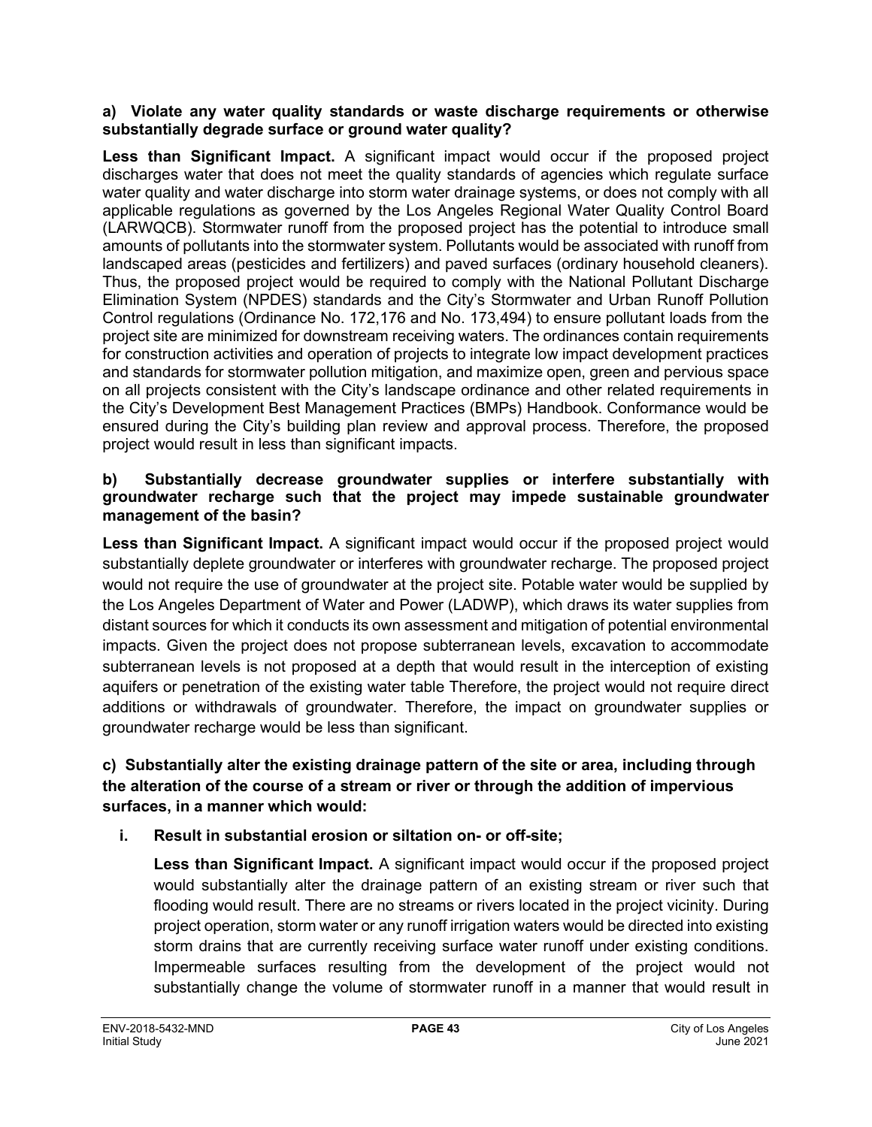#### **a) Violate any water quality standards or waste discharge requirements or otherwise substantially degrade surface or ground water quality?**

**Less than Significant Impact.** A significant impact would occur if the proposed project discharges water that does not meet the quality standards of agencies which regulate surface water quality and water discharge into storm water drainage systems, or does not comply with all applicable regulations as governed by the Los Angeles Regional Water Quality Control Board (LARWQCB). Stormwater runoff from the proposed project has the potential to introduce small amounts of pollutants into the stormwater system. Pollutants would be associated with runoff from landscaped areas (pesticides and fertilizers) and paved surfaces (ordinary household cleaners). Thus, the proposed project would be required to comply with the National Pollutant Discharge Elimination System (NPDES) standards and the City's Stormwater and Urban Runoff Pollution Control regulations (Ordinance No. 172,176 and No. 173,494) to ensure pollutant loads from the project site are minimized for downstream receiving waters. The ordinances contain requirements for construction activities and operation of projects to integrate low impact development practices and standards for stormwater pollution mitigation, and maximize open, green and pervious space on all projects consistent with the City's landscape ordinance and other related requirements in the City's Development Best Management Practices (BMPs) Handbook. Conformance would be ensured during the City's building plan review and approval process. Therefore, the proposed project would result in less than significant impacts.

#### **b) Substantially decrease groundwater supplies or interfere substantially with groundwater recharge such that the project may impede sustainable groundwater management of the basin?**

**Less than Significant Impact.** A significant impact would occur if the proposed project would substantially deplete groundwater or interferes with groundwater recharge. The proposed project would not require the use of groundwater at the project site. Potable water would be supplied by the Los Angeles Department of Water and Power (LADWP), which draws its water supplies from distant sources for which it conducts its own assessment and mitigation of potential environmental impacts. Given the project does not propose subterranean levels, excavation to accommodate subterranean levels is not proposed at a depth that would result in the interception of existing aquifers or penetration of the existing water table Therefore, the project would not require direct additions or withdrawals of groundwater. Therefore, the impact on groundwater supplies or groundwater recharge would be less than significant.

#### **c) Substantially alter the existing drainage pattern of the site or area, including through the alteration of the course of a stream or river or through the addition of impervious surfaces, in a manner which would:**

#### **i. Result in substantial erosion or siltation on- or off-site;**

**Less than Significant Impact.** A significant impact would occur if the proposed project would substantially alter the drainage pattern of an existing stream or river such that flooding would result. There are no streams or rivers located in the project vicinity. During project operation, storm water or any runoff irrigation waters would be directed into existing storm drains that are currently receiving surface water runoff under existing conditions. Impermeable surfaces resulting from the development of the project would not substantially change the volume of stormwater runoff in a manner that would result in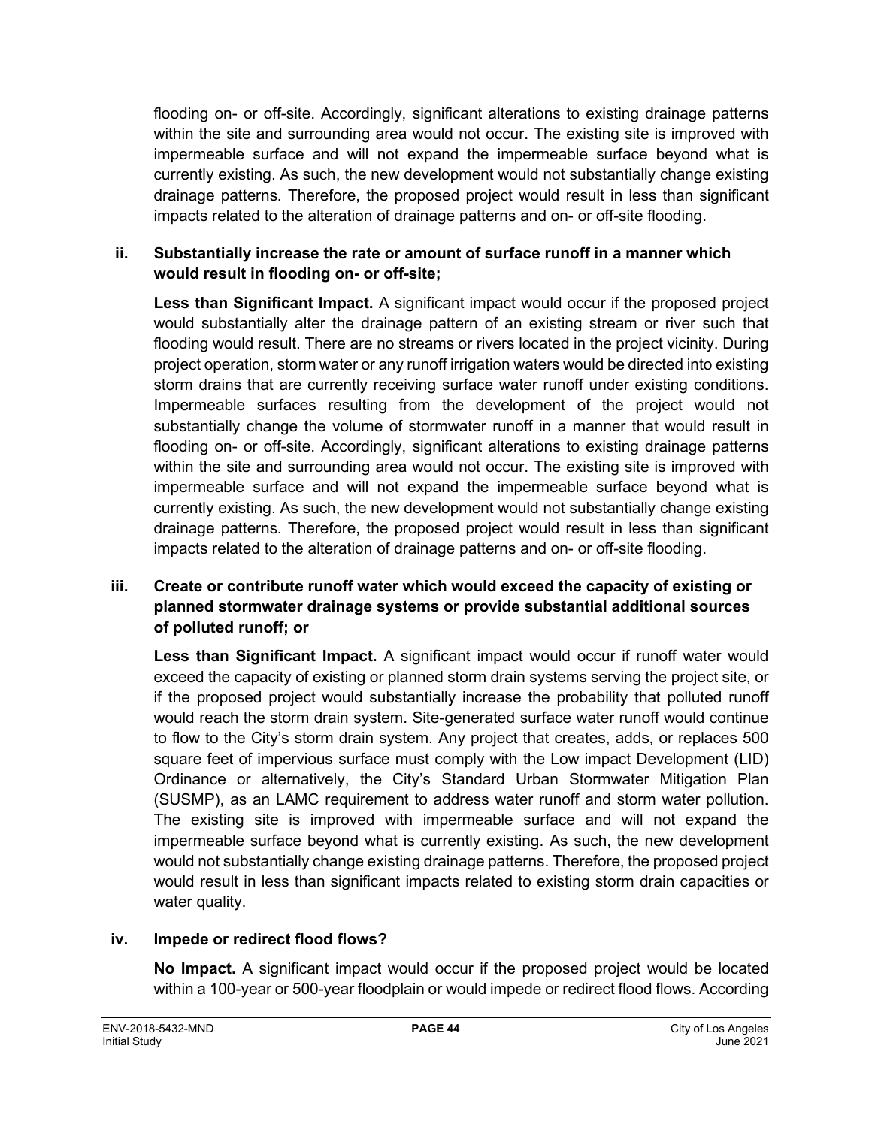flooding on- or off-site. Accordingly, significant alterations to existing drainage patterns within the site and surrounding area would not occur. The existing site is improved with impermeable surface and will not expand the impermeable surface beyond what is currently existing. As such, the new development would not substantially change existing drainage patterns. Therefore, the proposed project would result in less than significant impacts related to the alteration of drainage patterns and on- or off-site flooding.

#### **ii. Substantially increase the rate or amount of surface runoff in a manner which would result in flooding on- or off-site;**

**Less than Significant Impact.** A significant impact would occur if the proposed project would substantially alter the drainage pattern of an existing stream or river such that flooding would result. There are no streams or rivers located in the project vicinity. During project operation, storm water or any runoff irrigation waters would be directed into existing storm drains that are currently receiving surface water runoff under existing conditions. Impermeable surfaces resulting from the development of the project would not substantially change the volume of stormwater runoff in a manner that would result in flooding on- or off-site. Accordingly, significant alterations to existing drainage patterns within the site and surrounding area would not occur. The existing site is improved with impermeable surface and will not expand the impermeable surface beyond what is currently existing. As such, the new development would not substantially change existing drainage patterns. Therefore, the proposed project would result in less than significant impacts related to the alteration of drainage patterns and on- or off-site flooding.

#### **iii. Create or contribute runoff water which would exceed the capacity of existing or planned stormwater drainage systems or provide substantial additional sources of polluted runoff; or**

**Less than Significant Impact.** A significant impact would occur if runoff water would exceed the capacity of existing or planned storm drain systems serving the project site, or if the proposed project would substantially increase the probability that polluted runoff would reach the storm drain system. Site-generated surface water runoff would continue to flow to the City's storm drain system. Any project that creates, adds, or replaces 500 square feet of impervious surface must comply with the Low impact Development (LID) Ordinance or alternatively, the City's Standard Urban Stormwater Mitigation Plan (SUSMP), as an LAMC requirement to address water runoff and storm water pollution. The existing site is improved with impermeable surface and will not expand the impermeable surface beyond what is currently existing. As such, the new development would not substantially change existing drainage patterns. Therefore, the proposed project would result in less than significant impacts related to existing storm drain capacities or water quality.

#### **iv. Impede or redirect flood flows?**

**No Impact.** A significant impact would occur if the proposed project would be located within a 100-year or 500-year floodplain or would impede or redirect flood flows. According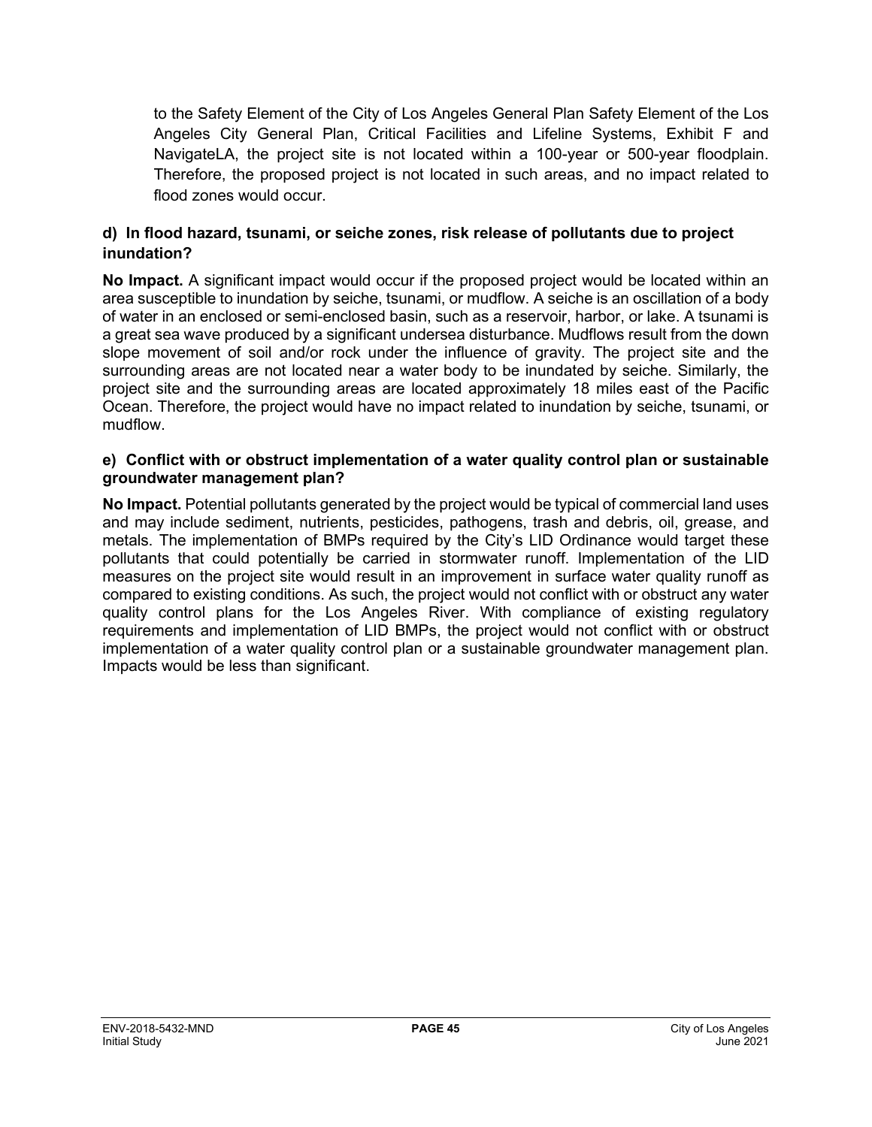to the Safety Element of the City of Los Angeles General Plan Safety Element of the Los Angeles City General Plan, Critical Facilities and Lifeline Systems, Exhibit F and NavigateLA, the project site is not located within a 100-year or 500-year floodplain. Therefore, the proposed project is not located in such areas, and no impact related to flood zones would occur.

#### **d) In flood hazard, tsunami, or seiche zones, risk release of pollutants due to project inundation?**

**No Impact.** A significant impact would occur if the proposed project would be located within an area susceptible to inundation by seiche, tsunami, or mudflow. A seiche is an oscillation of a body of water in an enclosed or semi-enclosed basin, such as a reservoir, harbor, or lake. A tsunami is a great sea wave produced by a significant undersea disturbance. Mudflows result from the down slope movement of soil and/or rock under the influence of gravity. The project site and the surrounding areas are not located near a water body to be inundated by seiche. Similarly, the project site and the surrounding areas are located approximately 18 miles east of the Pacific Ocean. Therefore, the project would have no impact related to inundation by seiche, tsunami, or mudflow.

#### **e) Conflict with or obstruct implementation of a water quality control plan or sustainable groundwater management plan?**

**No Impact.** Potential pollutants generated by the project would be typical of commercial land uses and may include sediment, nutrients, pesticides, pathogens, trash and debris, oil, grease, and metals. The implementation of BMPs required by the City's LID Ordinance would target these pollutants that could potentially be carried in stormwater runoff. Implementation of the LID measures on the project site would result in an improvement in surface water quality runoff as compared to existing conditions. As such, the project would not conflict with or obstruct any water quality control plans for the Los Angeles River. With compliance of existing regulatory requirements and implementation of LID BMPs, the project would not conflict with or obstruct implementation of a water quality control plan or a sustainable groundwater management plan. Impacts would be less than significant.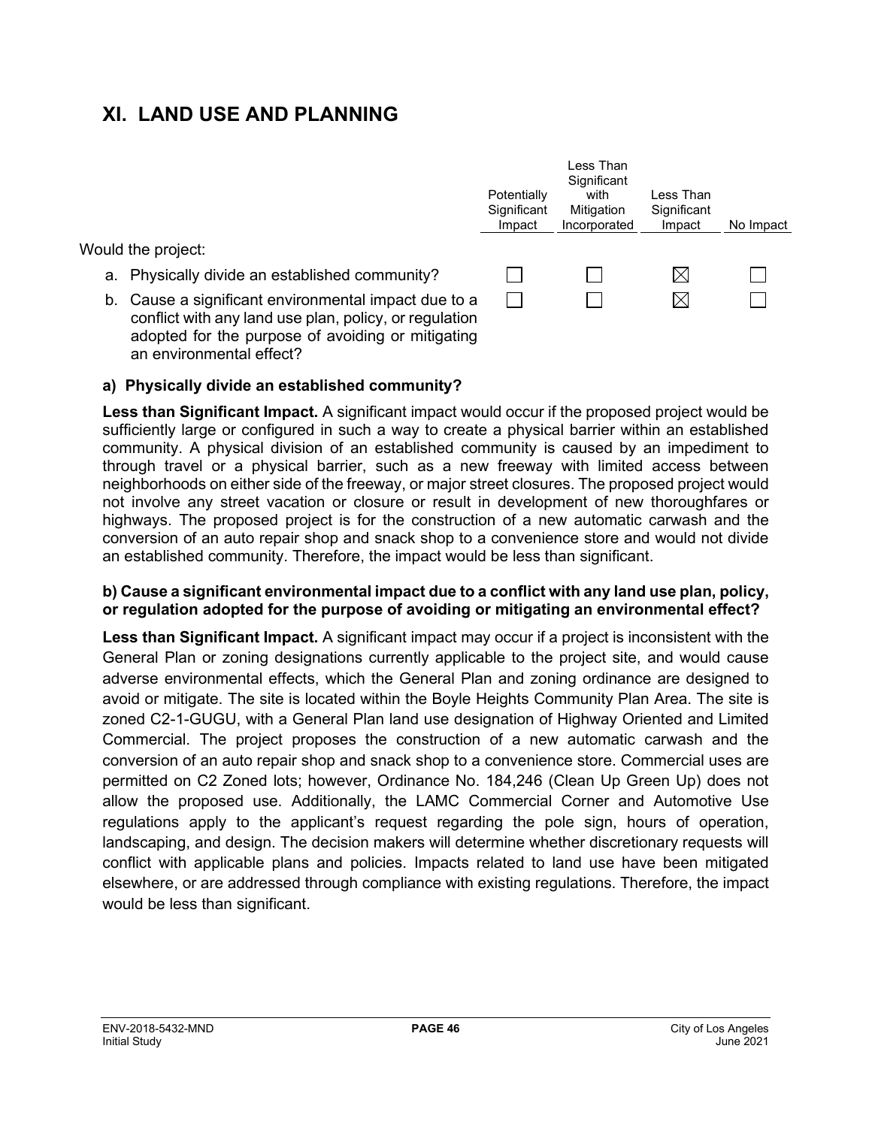## **XI. LAND USE AND PLANNING**

Would the project:

- a. Physically divide an established community?
- b. Cause a significant environmental impact due to a conflict with any land use plan, policy, or regulation adopted for the purpose of avoiding or mitigating an environmental effect?



#### **a) Physically divide an established community?**

**Less than Significant Impact.** A significant impact would occur if the proposed project would be sufficiently large or configured in such a way to create a physical barrier within an established community. A physical division of an established community is caused by an impediment to through travel or a physical barrier, such as a new freeway with limited access between neighborhoods on either side of the freeway, or major street closures. The proposed project would not involve any street vacation or closure or result in development of new thoroughfares or highways. The proposed project is for the construction of a new automatic carwash and the conversion of an auto repair shop and snack shop to a convenience store and would not divide an established community. Therefore, the impact would be less than significant.

#### **b) Cause a significant environmental impact due to a conflict with any land use plan, policy, or regulation adopted for the purpose of avoiding or mitigating an environmental effect?**

**Less than Significant Impact.** A significant impact may occur if a project is inconsistent with the General Plan or zoning designations currently applicable to the project site, and would cause adverse environmental effects, which the General Plan and zoning ordinance are designed to avoid or mitigate. The site is located within the Boyle Heights Community Plan Area. The site is zoned C2-1-GUGU, with a General Plan land use designation of Highway Oriented and Limited Commercial. The project proposes the construction of a new automatic carwash and the conversion of an auto repair shop and snack shop to a convenience store. Commercial uses are permitted on C2 Zoned lots; however, Ordinance No. 184,246 (Clean Up Green Up) does not allow the proposed use. Additionally, the LAMC Commercial Corner and Automotive Use regulations apply to the applicant's request regarding the pole sign, hours of operation, landscaping, and design. The decision makers will determine whether discretionary requests will conflict with applicable plans and policies. Impacts related to land use have been mitigated elsewhere, or are addressed through compliance with existing regulations. Therefore, the impact would be less than significant.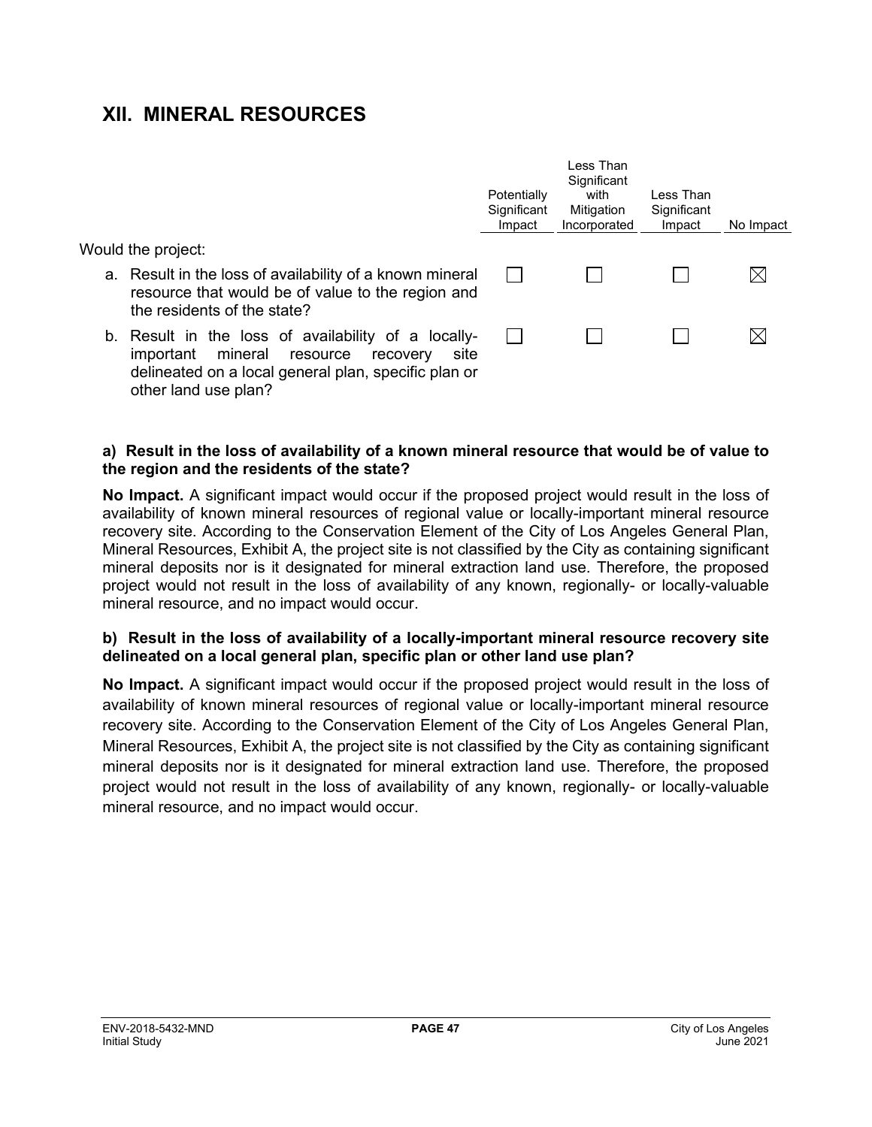## **XII. MINERAL RESOURCES**

Would the project:

- a. Result in the loss of availability of a known mineral resource that would be of value to the region and the residents of the state?
- b. Result in the loss of availability of a locallyimportant mineral resource recovery site delineated on a local general plan, specific plan or other land use plan?

| Potentially<br>Significant<br>Impact | I ess Than<br>Significant<br>with<br>Mitigation<br>Incorporated | I ess Than<br>Significant<br>Impact | No Impact |
|--------------------------------------|-----------------------------------------------------------------|-------------------------------------|-----------|
|                                      |                                                                 |                                     |           |
|                                      |                                                                 |                                     |           |

#### **a) Result in the loss of availability of a known mineral resource that would be of value to the region and the residents of the state?**

**No Impact.** A significant impact would occur if the proposed project would result in the loss of availability of known mineral resources of regional value or locally-important mineral resource recovery site. According to the Conservation Element of the City of Los Angeles General Plan, Mineral Resources, Exhibit A, the project site is not classified by the City as containing significant mineral deposits nor is it designated for mineral extraction land use. Therefore, the proposed project would not result in the loss of availability of any known, regionally- or locally-valuable mineral resource, and no impact would occur.

#### **b) Result in the loss of availability of a locally-important mineral resource recovery site delineated on a local general plan, specific plan or other land use plan?**

**No Impact.** A significant impact would occur if the proposed project would result in the loss of availability of known mineral resources of regional value or locally-important mineral resource recovery site. According to the Conservation Element of the City of Los Angeles General Plan, Mineral Resources, Exhibit A, the project site is not classified by the City as containing significant mineral deposits nor is it designated for mineral extraction land use. Therefore, the proposed project would not result in the loss of availability of any known, regionally- or locally-valuable mineral resource, and no impact would occur.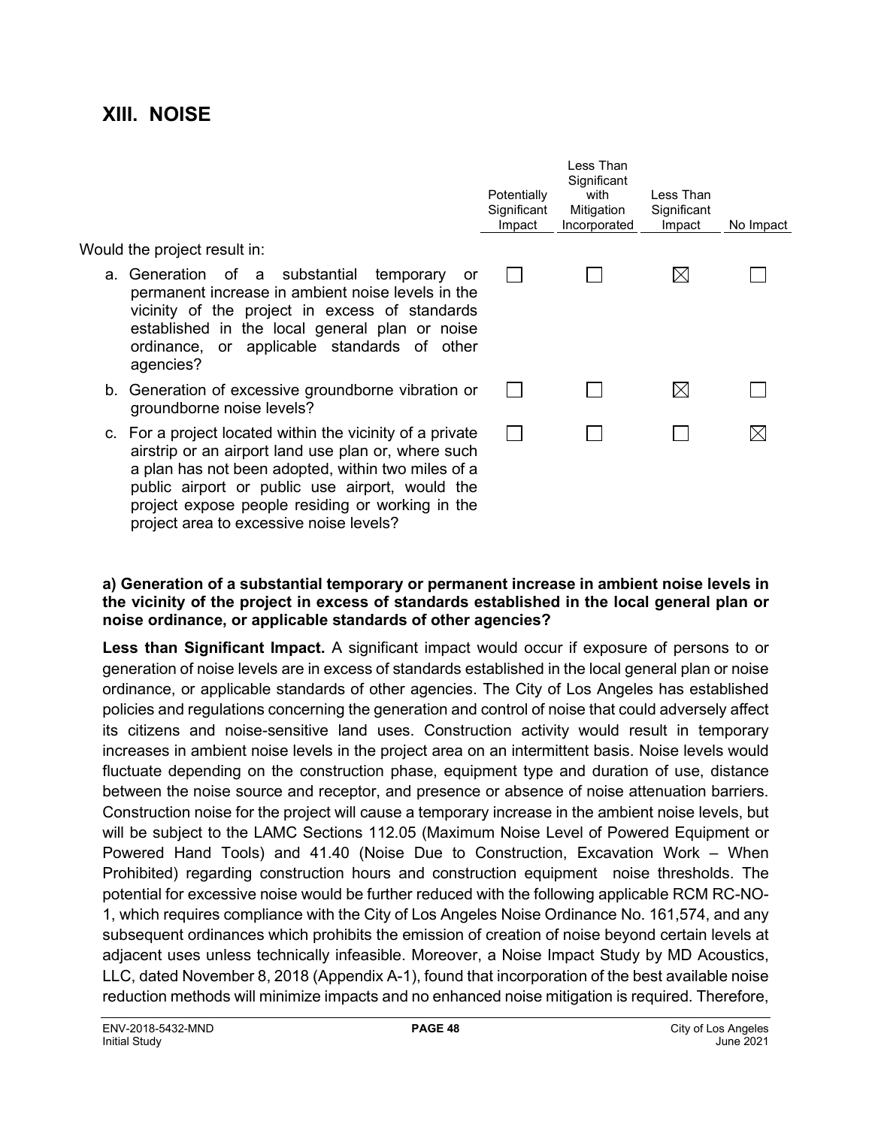## **XIII. NOISE**

Would the project result in:

- a. Generation of a substantial temporary or permanent increase in ambient noise levels in the vicinity of the project in excess of standards established in the local general plan or noise ordinance, or applicable standards of other agencies?
- b. Generation of excessive groundborne vibration or groundborne noise levels?
- c. For a project located within the vicinity of a private airstrip or an airport land use plan or, where such a plan has not been adopted, within two miles of a public airport or public use airport, would the project expose people residing or working in the project area to excessive noise levels?

| Potentially<br>Significant<br>Impact | Less Than<br>Significant<br>with<br>Mitigation<br>Incorporated | Less Than<br>Significant<br>Impact | No Impact |
|--------------------------------------|----------------------------------------------------------------|------------------------------------|-----------|
|                                      |                                                                |                                    |           |
|                                      |                                                                |                                    |           |
|                                      |                                                                |                                    |           |
|                                      |                                                                |                                    |           |

#### **a) Generation of a substantial temporary or permanent increase in ambient noise levels in the vicinity of the project in excess of standards established in the local general plan or noise ordinance, or applicable standards of other agencies?**

**Less than Significant Impact.** A significant impact would occur if exposure of persons to or generation of noise levels are in excess of standards established in the local general plan or noise ordinance, or applicable standards of other agencies. The City of Los Angeles has established policies and regulations concerning the generation and control of noise that could adversely affect its citizens and noise-sensitive land uses. Construction activity would result in temporary increases in ambient noise levels in the project area on an intermittent basis. Noise levels would fluctuate depending on the construction phase, equipment type and duration of use, distance between the noise source and receptor, and presence or absence of noise attenuation barriers. Construction noise for the project will cause a temporary increase in the ambient noise levels, but will be subject to the LAMC Sections 112.05 (Maximum Noise Level of Powered Equipment or Powered Hand Tools) and 41.40 (Noise Due to Construction, Excavation Work – When Prohibited) regarding construction hours and construction equipment noise thresholds. The potential for excessive noise would be further reduced with the following applicable RCM RC-NO-1, which requires compliance with the City of Los Angeles Noise Ordinance No. 161,574, and any subsequent ordinances which prohibits the emission of creation of noise beyond certain levels at adjacent uses unless technically infeasible. Moreover, a Noise Impact Study by MD Acoustics, LLC, dated November 8, 2018 (Appendix A-1), found that incorporation of the best available noise reduction methods will minimize impacts and no enhanced noise mitigation is required. Therefore,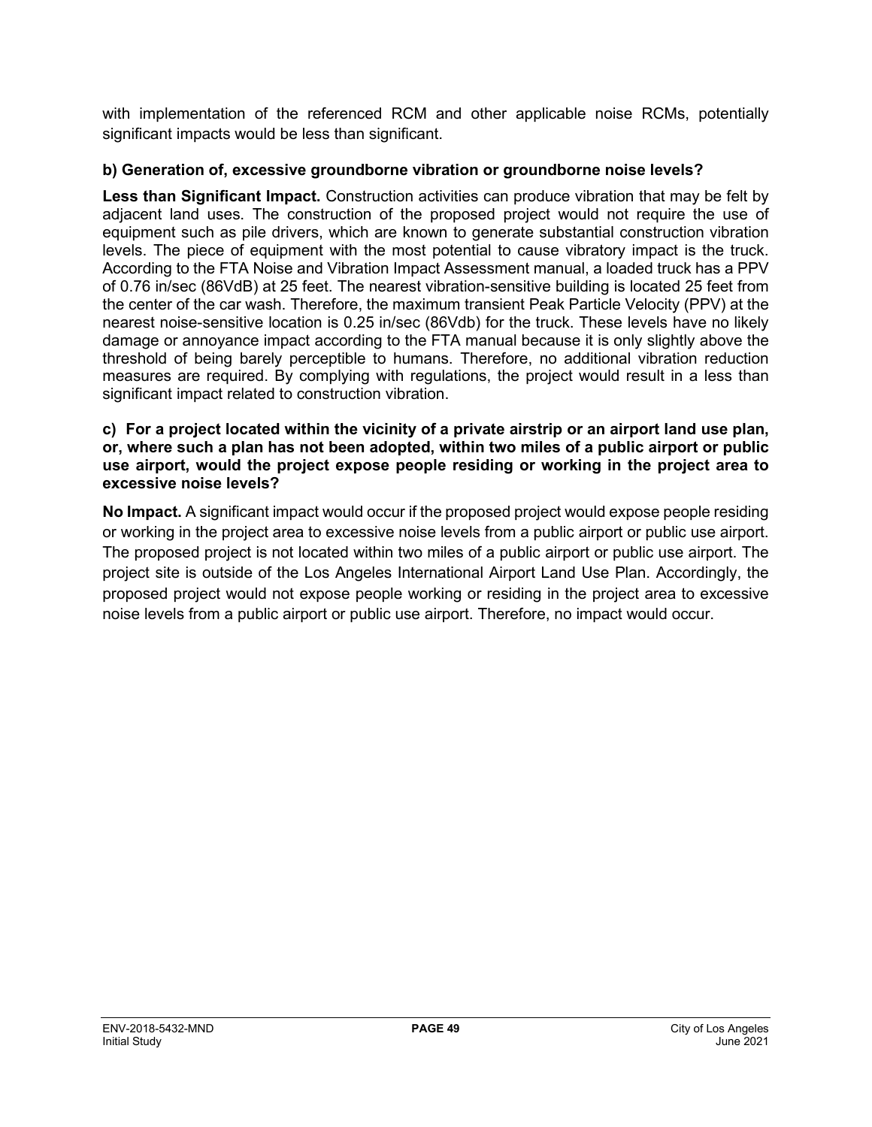with implementation of the referenced RCM and other applicable noise RCMs, potentially significant impacts would be less than significant.

#### **b) Generation of, excessive groundborne vibration or groundborne noise levels?**

**Less than Significant Impact.** Construction activities can produce vibration that may be felt by adjacent land uses. The construction of the proposed project would not require the use of equipment such as pile drivers, which are known to generate substantial construction vibration levels. The piece of equipment with the most potential to cause vibratory impact is the truck. According to the FTA Noise and Vibration Impact Assessment manual, a loaded truck has a PPV of 0.76 in/sec (86VdB) at 25 feet. The nearest vibration-sensitive building is located 25 feet from the center of the car wash. Therefore, the maximum transient Peak Particle Velocity (PPV) at the nearest noise-sensitive location is 0.25 in/sec (86Vdb) for the truck. These levels have no likely damage or annoyance impact according to the FTA manual because it is only slightly above the threshold of being barely perceptible to humans. Therefore, no additional vibration reduction measures are required. By complying with regulations, the project would result in a less than significant impact related to construction vibration.

#### **c) For a project located within the vicinity of a private airstrip or an airport land use plan, or, where such a plan has not been adopted, within two miles of a public airport or public use airport, would the project expose people residing or working in the project area to excessive noise levels?**

**No Impact.** A significant impact would occur if the proposed project would expose people residing or working in the project area to excessive noise levels from a public airport or public use airport. The proposed project is not located within two miles of a public airport or public use airport. The project site is outside of the Los Angeles International Airport Land Use Plan. Accordingly, the proposed project would not expose people working or residing in the project area to excessive noise levels from a public airport or public use airport. Therefore, no impact would occur.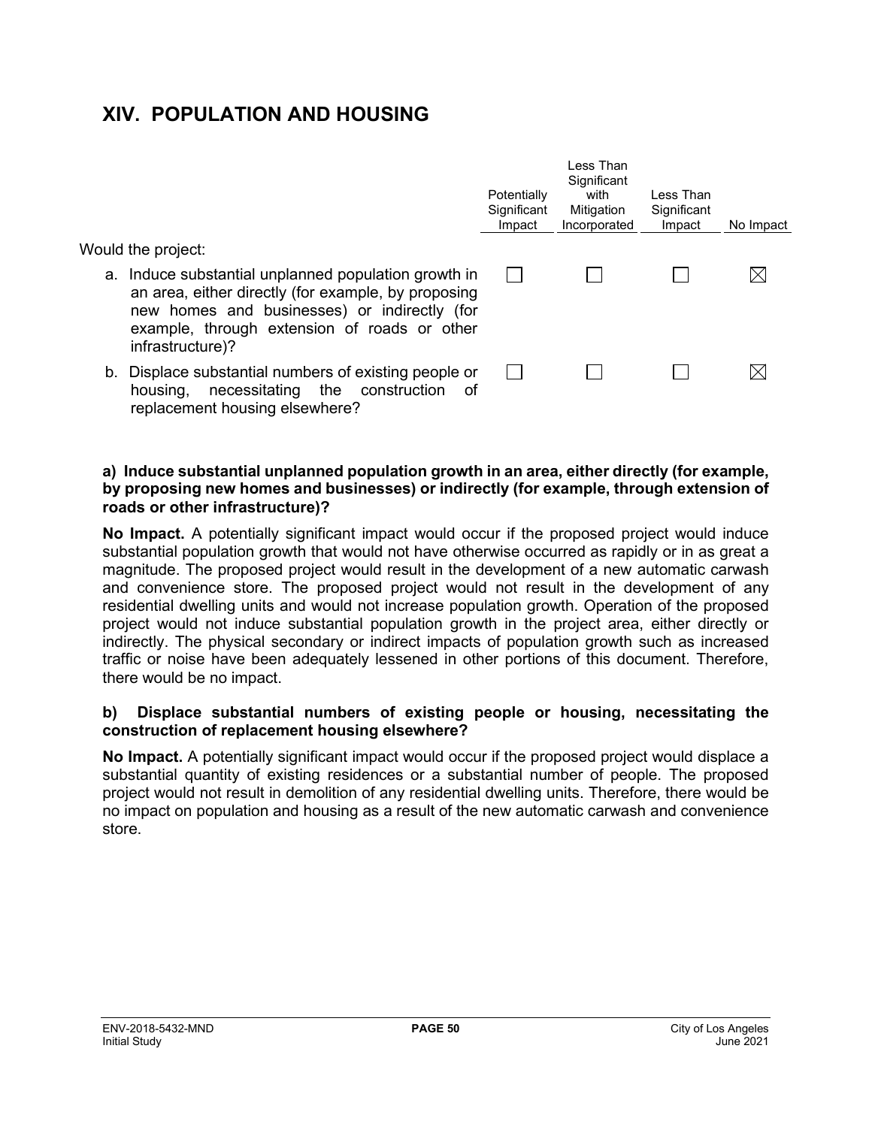## **XIV. POPULATION AND HOUSING**

Would the project:

- a. Induce substantial unplanned population growth in an area, either directly (for example, by proposing new homes and businesses) or indirectly (for example, through extension of roads or other infrastructure)?
- b. Displace substantial numbers of existing people or housing, necessitating the construction of replacement housing elsewhere?

| Potentially<br>Significant<br>Impact | Significant<br>with<br>Mitigation<br>Incorporated | Less Than<br>Significant<br>Impact | No Impact |
|--------------------------------------|---------------------------------------------------|------------------------------------|-----------|
|                                      |                                                   |                                    |           |
|                                      |                                                   |                                    |           |

Less Than

#### **a) Induce substantial unplanned population growth in an area, either directly (for example, by proposing new homes and businesses) or indirectly (for example, through extension of roads or other infrastructure)?**

**No Impact.** A potentially significant impact would occur if the proposed project would induce substantial population growth that would not have otherwise occurred as rapidly or in as great a magnitude. The proposed project would result in the development of a new automatic carwash and convenience store. The proposed project would not result in the development of any residential dwelling units and would not increase population growth. Operation of the proposed project would not induce substantial population growth in the project area, either directly or indirectly. The physical secondary or indirect impacts of population growth such as increased traffic or noise have been adequately lessened in other portions of this document. Therefore, there would be no impact.

#### **b) Displace substantial numbers of existing people or housing, necessitating the construction of replacement housing elsewhere?**

**No Impact.** A potentially significant impact would occur if the proposed project would displace a substantial quantity of existing residences or a substantial number of people. The proposed project would not result in demolition of any residential dwelling units. Therefore, there would be no impact on population and housing as a result of the new automatic carwash and convenience store.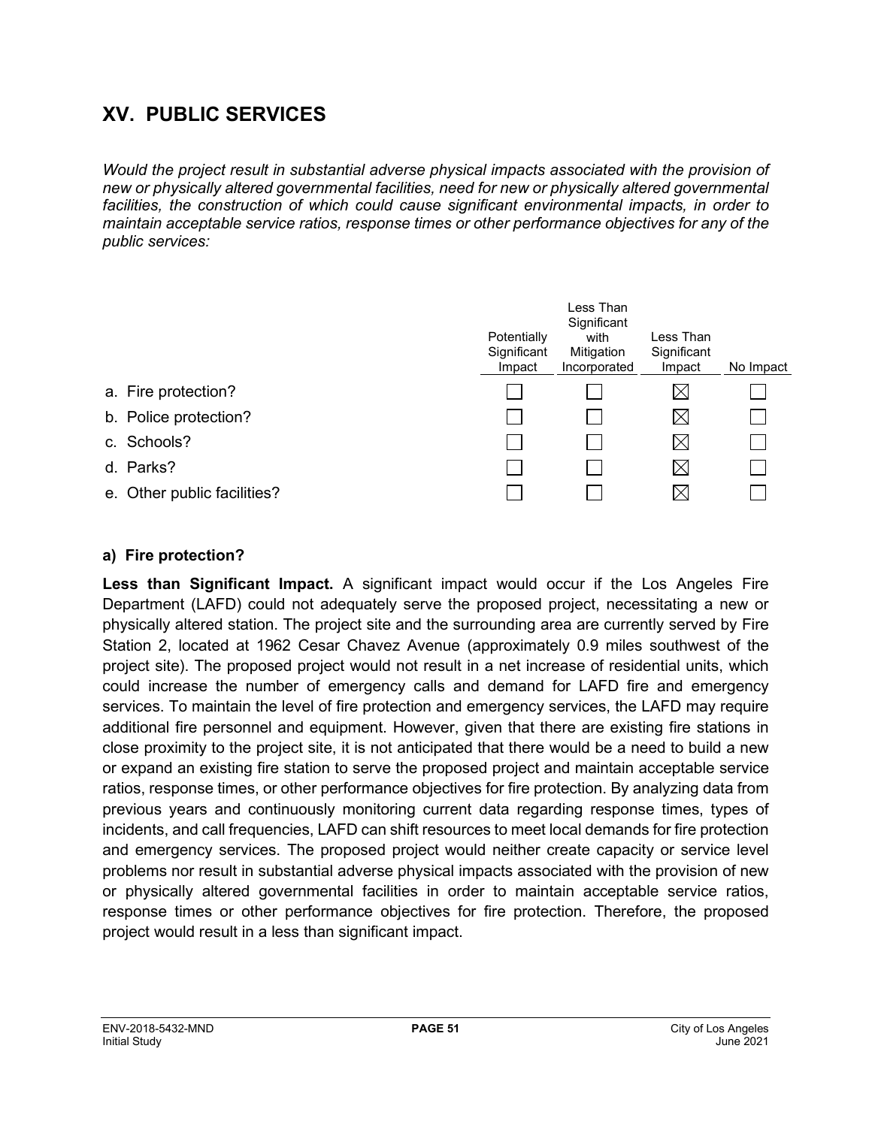## **XV. PUBLIC SERVICES**

*Would the project result in substantial adverse physical impacts associated with the provision of new or physically altered governmental facilities, need for new or physically altered governmental facilities, the construction of which could cause significant environmental impacts, in order to maintain acceptable service ratios, response times or other performance objectives for any of the public services:*

|                     |                             | Potentially<br>Significant<br>Impact | Less Than<br>Significant<br>with<br>Mitigation<br>Incorporated | Less Than<br>Significant<br>Impact | No Impact |
|---------------------|-----------------------------|--------------------------------------|----------------------------------------------------------------|------------------------------------|-----------|
| a. Fire protection? |                             |                                      |                                                                | $\boxtimes$                        |           |
|                     | b. Police protection?       |                                      |                                                                | $\boxtimes$                        |           |
| c. Schools?         |                             |                                      |                                                                | $\boxtimes$                        |           |
| d. Parks?           |                             |                                      |                                                                | $\boxtimes$                        |           |
|                     | e. Other public facilities? |                                      |                                                                | $\boxtimes$                        |           |

#### **a) Fire protection?**

**Less than Significant Impact.** A significant impact would occur if the Los Angeles Fire Department (LAFD) could not adequately serve the proposed project, necessitating a new or physically altered station. The project site and the surrounding area are currently served by Fire Station 2, located at 1962 Cesar Chavez Avenue (approximately 0.9 miles southwest of the project site). The proposed project would not result in a net increase of residential units, which could increase the number of emergency calls and demand for LAFD fire and emergency services. To maintain the level of fire protection and emergency services, the LAFD may require additional fire personnel and equipment. However, given that there are existing fire stations in close proximity to the project site, it is not anticipated that there would be a need to build a new or expand an existing fire station to serve the proposed project and maintain acceptable service ratios, response times, or other performance objectives for fire protection. By analyzing data from previous years and continuously monitoring current data regarding response times, types of incidents, and call frequencies, LAFD can shift resources to meet local demands for fire protection and emergency services. The proposed project would neither create capacity or service level problems nor result in substantial adverse physical impacts associated with the provision of new or physically altered governmental facilities in order to maintain acceptable service ratios, response times or other performance objectives for fire protection. Therefore, the proposed project would result in a less than significant impact.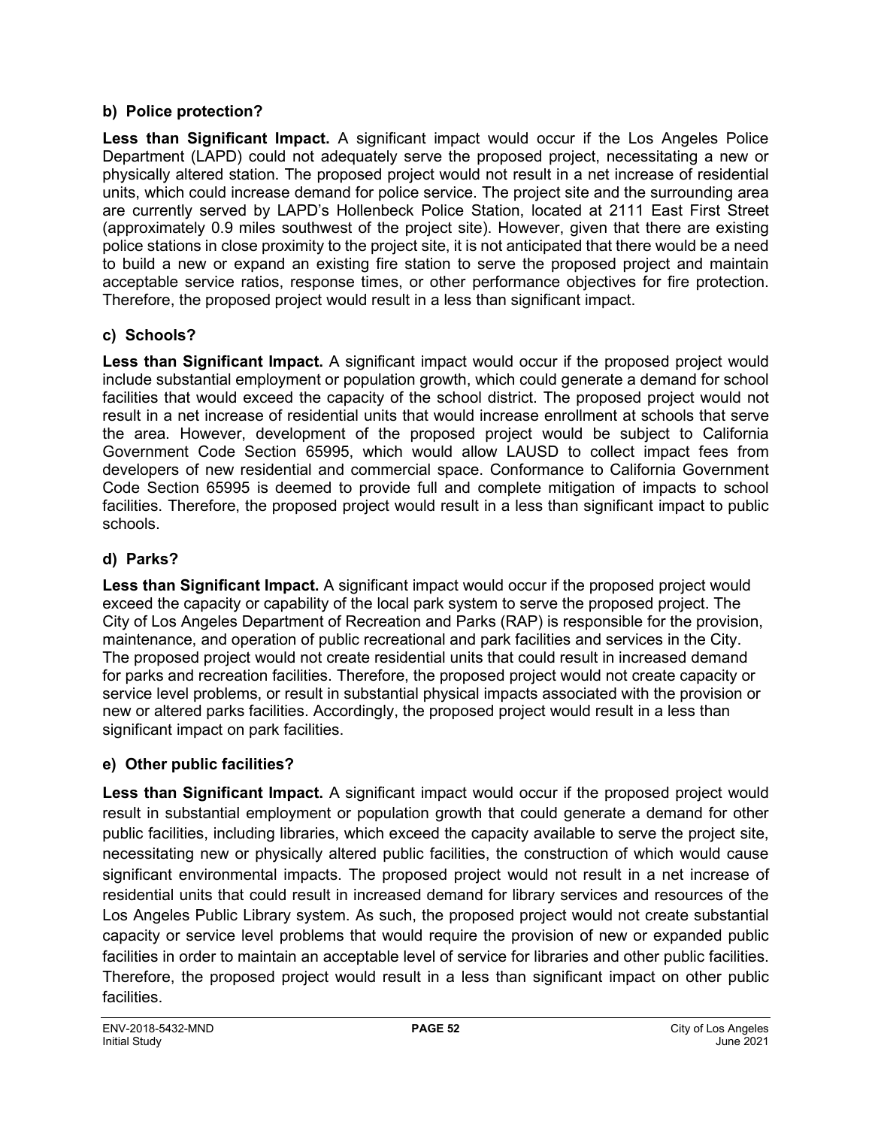#### **b) Police protection?**

**Less than Significant Impact.** A significant impact would occur if the Los Angeles Police Department (LAPD) could not adequately serve the proposed project, necessitating a new or physically altered station. The proposed project would not result in a net increase of residential units, which could increase demand for police service. The project site and the surrounding area are currently served by LAPD's Hollenbeck Police Station, located at 2111 East First Street (approximately 0.9 miles southwest of the project site). However, given that there are existing police stations in close proximity to the project site, it is not anticipated that there would be a need to build a new or expand an existing fire station to serve the proposed project and maintain acceptable service ratios, response times, or other performance objectives for fire protection. Therefore, the proposed project would result in a less than significant impact.

### **c) Schools?**

**Less than Significant Impact.** A significant impact would occur if the proposed project would include substantial employment or population growth, which could generate a demand for school facilities that would exceed the capacity of the school district. The proposed project would not result in a net increase of residential units that would increase enrollment at schools that serve the area. However, development of the proposed project would be subject to California Government Code Section 65995, which would allow LAUSD to collect impact fees from developers of new residential and commercial space. Conformance to California Government Code Section 65995 is deemed to provide full and complete mitigation of impacts to school facilities. Therefore, the proposed project would result in a less than significant impact to public schools.

### **d) Parks?**

**Less than Significant Impact.** A significant impact would occur if the proposed project would exceed the capacity or capability of the local park system to serve the proposed project. The City of Los Angeles Department of Recreation and Parks (RAP) is responsible for the provision, maintenance, and operation of public recreational and park facilities and services in the City. The proposed project would not create residential units that could result in increased demand for parks and recreation facilities. Therefore, the proposed project would not create capacity or service level problems, or result in substantial physical impacts associated with the provision or new or altered parks facilities. Accordingly, the proposed project would result in a less than significant impact on park facilities.

### **e) Other public facilities?**

**Less than Significant Impact.** A significant impact would occur if the proposed project would result in substantial employment or population growth that could generate a demand for other public facilities, including libraries, which exceed the capacity available to serve the project site, necessitating new or physically altered public facilities, the construction of which would cause significant environmental impacts. The proposed project would not result in a net increase of residential units that could result in increased demand for library services and resources of the Los Angeles Public Library system. As such, the proposed project would not create substantial capacity or service level problems that would require the provision of new or expanded public facilities in order to maintain an acceptable level of service for libraries and other public facilities. Therefore, the proposed project would result in a less than significant impact on other public facilities.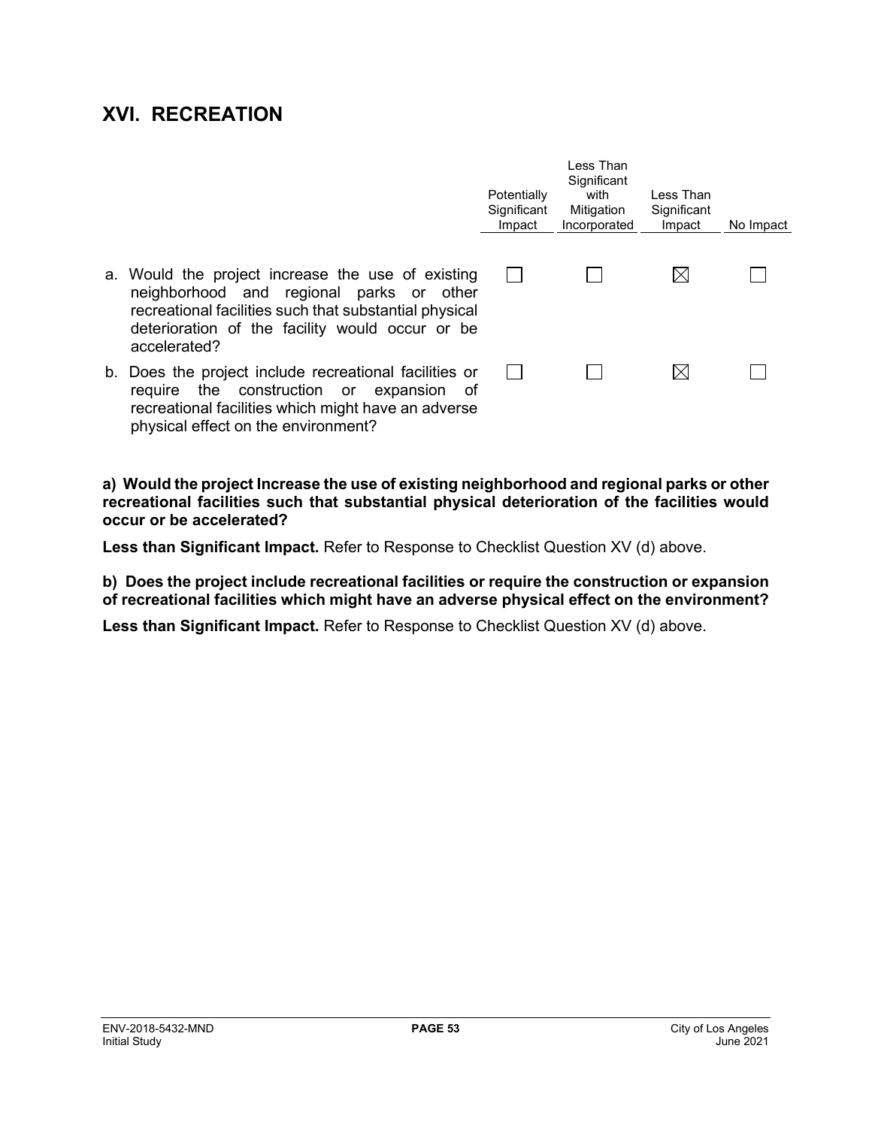## **XVI. RECREATION**

|                                                                                                                                                                                                                            | Potentially<br>Significant<br>Impact | Less Than<br>Significant<br>with<br>Mitigation<br>Incorporated | Less Than<br>Significant<br>Impact | No Impact |
|----------------------------------------------------------------------------------------------------------------------------------------------------------------------------------------------------------------------------|--------------------------------------|----------------------------------------------------------------|------------------------------------|-----------|
| a. Would the project increase the use of existing<br>neighborhood and regional parks or other<br>recreational facilities such that substantial physical<br>deterioration of the facility would occur or be<br>accelerated? |                                      |                                                                | $\boxtimes$                        |           |
| b. Does the project include recreational facilities or<br>the construction or expansion<br>require<br>of<br>recreational facilities which might have an adverse<br>physical effect on the environment?                     |                                      |                                                                | $\boxtimes$                        |           |

**a) Would the project Increase the use of existing neighborhood and regional parks or other recreational facilities such that substantial physical deterioration of the facilities would occur or be accelerated?**

**Less than Significant Impact.** Refer to Response to Checklist Question XV (d) above.

**b) Does the project include recreational facilities or require the construction or expansion of recreational facilities which might have an adverse physical effect on the environment?**

**Less than Significant Impact.** Refer to Response to Checklist Question XV (d) above.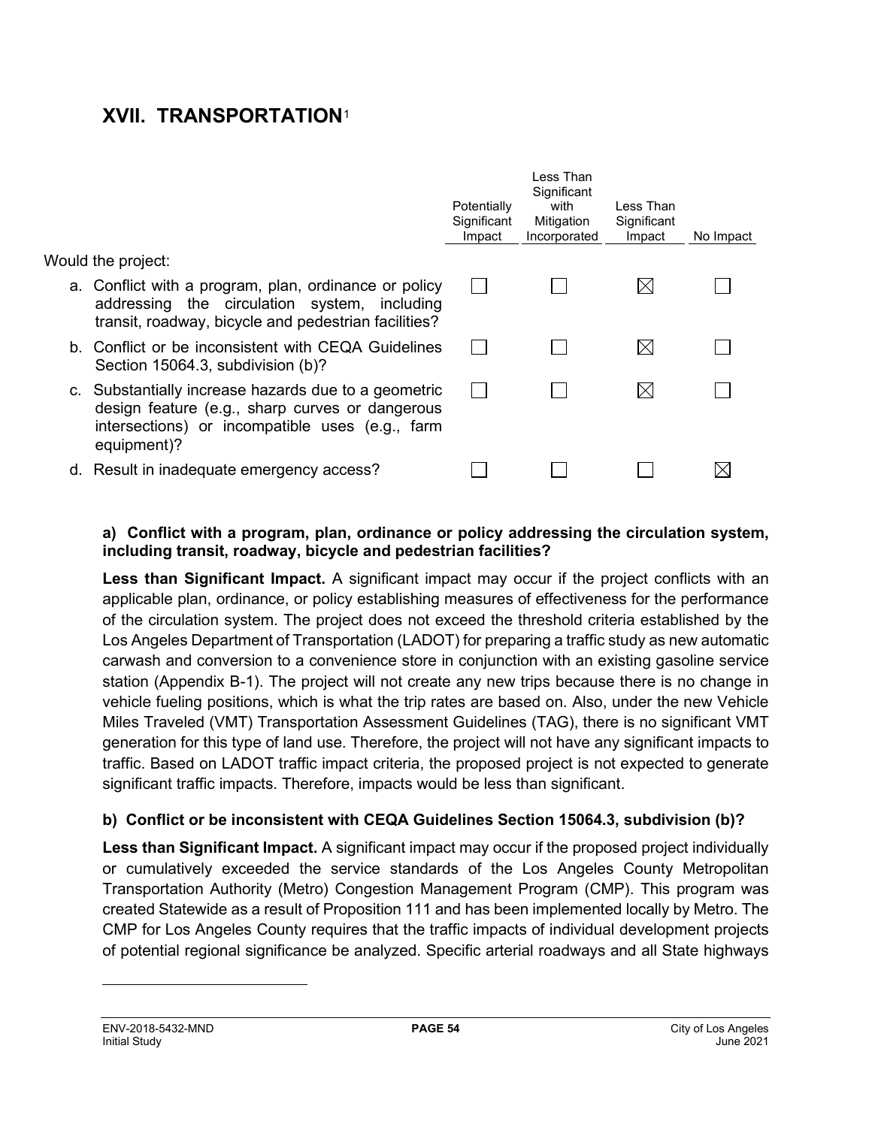## **XVII. TRANSPORTATION**[1](#page-54-0)

|                                                                                                                                                                           | Potentially<br>Significant<br>Impact | Less Than<br>Significant<br>with<br>Mitigation<br>Incorporated | Less Than<br>Significant<br>Impact | No Impact |
|---------------------------------------------------------------------------------------------------------------------------------------------------------------------------|--------------------------------------|----------------------------------------------------------------|------------------------------------|-----------|
| Would the project:                                                                                                                                                        |                                      |                                                                |                                    |           |
| a. Conflict with a program, plan, ordinance or policy<br>addressing the circulation system, including<br>transit, roadway, bicycle and pedestrian facilities?             |                                      |                                                                | $\boxtimes$                        |           |
| b. Conflict or be inconsistent with CEQA Guidelines<br>Section 15064.3, subdivision (b)?                                                                                  |                                      |                                                                | $\boxtimes$                        |           |
| c. Substantially increase hazards due to a geometric<br>design feature (e.g., sharp curves or dangerous<br>intersections) or incompatible uses (e.g., farm<br>equipment)? |                                      |                                                                | $\boxtimes$                        |           |
| d. Result in inadequate emergency access?                                                                                                                                 |                                      |                                                                |                                    |           |

#### **a) Conflict with a program, plan, ordinance or policy addressing the circulation system, including transit, roadway, bicycle and pedestrian facilities?**

Less than Significant Impact. A significant impact may occur if the project conflicts with an applicable plan, ordinance, or policy establishing measures of effectiveness for the performance of the circulation system. The project does not exceed the threshold criteria established by the Los Angeles Department of Transportation (LADOT) for preparing a traffic study as new automatic carwash and conversion to a convenience store in conjunction with an existing gasoline service station (Appendix B-1). The project will not create any new trips because there is no change in vehicle fueling positions, which is what the trip rates are based on. Also, under the new Vehicle Miles Traveled (VMT) Transportation Assessment Guidelines (TAG), there is no significant VMT generation for this type of land use. Therefore, the project will not have any significant impacts to traffic. Based on LADOT traffic impact criteria, the proposed project is not expected to generate significant traffic impacts. Therefore, impacts would be less than significant.

#### **b) Conflict or be inconsistent with CEQA Guidelines Section 15064.3, subdivision (b)?**

**Less than Significant Impact.** A significant impact may occur if the proposed project individually or cumulatively exceeded the service standards of the Los Angeles County Metropolitan Transportation Authority (Metro) Congestion Management Program (CMP). This program was created Statewide as a result of Proposition 111 and has been implemented locally by Metro. The CMP for Los Angeles County requires that the traffic impacts of individual development projects of potential regional significance be analyzed. Specific arterial roadways and all State highways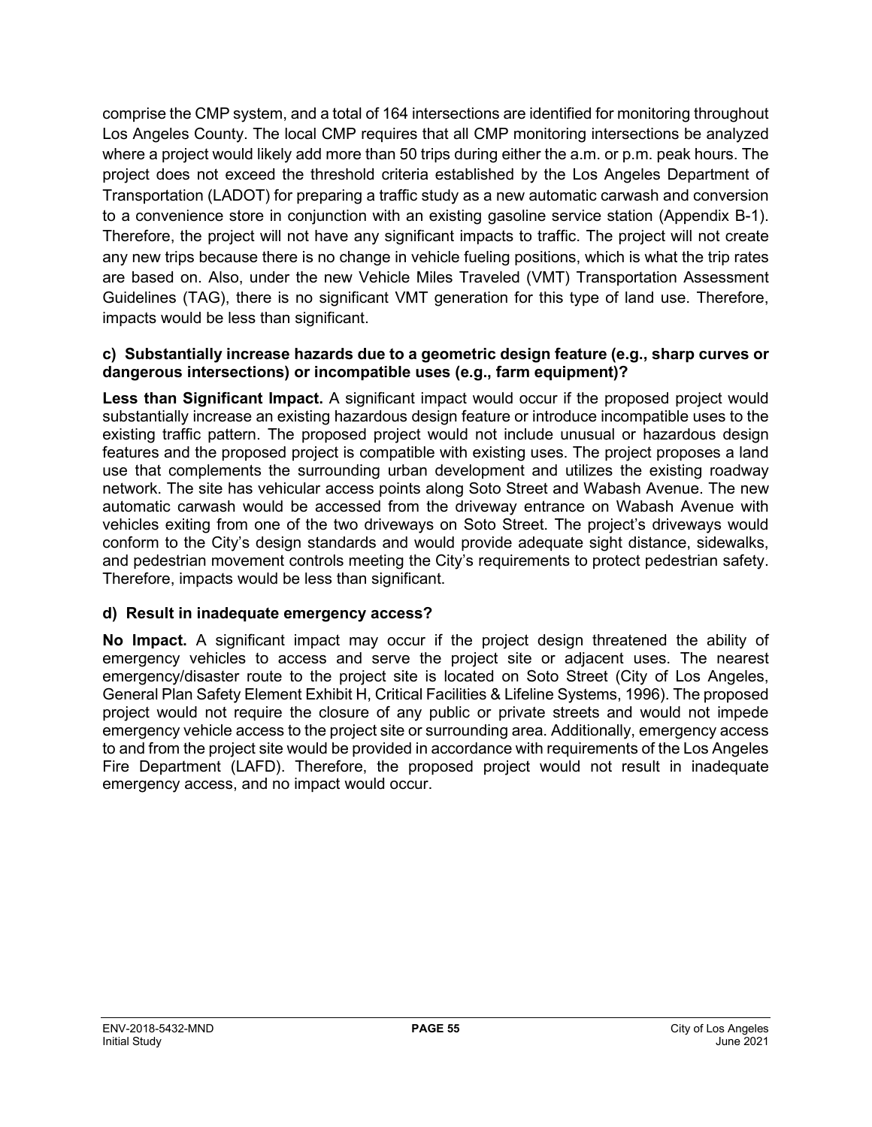comprise the CMP system, and a total of 164 intersections are identified for monitoring throughout Los Angeles County. The local CMP requires that all CMP monitoring intersections be analyzed where a project would likely add more than 50 trips during either the a.m. or p.m. peak hours. The project does not exceed the threshold criteria established by the Los Angeles Department of Transportation (LADOT) for preparing a traffic study as a new automatic carwash and conversion to a convenience store in conjunction with an existing gasoline service station (Appendix B-1). Therefore, the project will not have any significant impacts to traffic. The project will not create any new trips because there is no change in vehicle fueling positions, which is what the trip rates are based on. Also, under the new Vehicle Miles Traveled (VMT) Transportation Assessment Guidelines (TAG), there is no significant VMT generation for this type of land use. Therefore, impacts would be less than significant.

#### **c) Substantially increase hazards due to a geometric design feature (e.g., sharp curves or dangerous intersections) or incompatible uses (e.g., farm equipment)?**

Less than Significant Impact. A significant impact would occur if the proposed project would substantially increase an existing hazardous design feature or introduce incompatible uses to the existing traffic pattern. The proposed project would not include unusual or hazardous design features and the proposed project is compatible with existing uses. The project proposes a land use that complements the surrounding urban development and utilizes the existing roadway network. The site has vehicular access points along Soto Street and Wabash Avenue. The new automatic carwash would be accessed from the driveway entrance on Wabash Avenue with vehicles exiting from one of the two driveways on Soto Street. The project's driveways would conform to the City's design standards and would provide adequate sight distance, sidewalks, and pedestrian movement controls meeting the City's requirements to protect pedestrian safety. Therefore, impacts would be less than significant.

#### **d) Result in inadequate emergency access?**

<span id="page-54-0"></span>**No Impact.** A significant impact may occur if the project design threatened the ability of emergency vehicles to access and serve the project site or adjacent uses. The nearest emergency/disaster route to the project site is located on Soto Street (City of Los Angeles, General Plan Safety Element Exhibit H, Critical Facilities & Lifeline Systems, 1996). The proposed project would not require the closure of any public or private streets and would not impede emergency vehicle access to the project site or surrounding area. Additionally, emergency access to and from the project site would be provided in accordance with requirements of the Los Angeles Fire Department (LAFD). Therefore, the proposed project would not result in inadequate emergency access, and no impact would occur.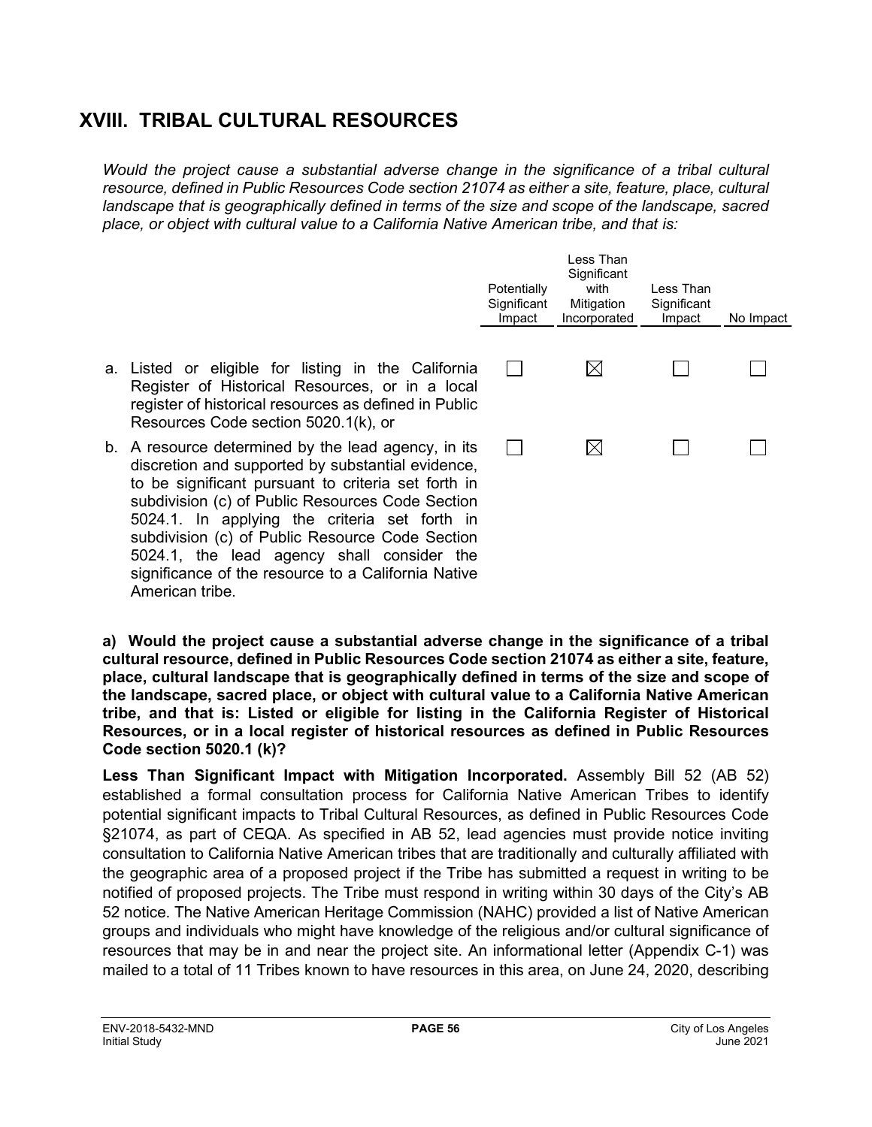## **XVIII. TRIBAL CULTURAL RESOURCES**

*Would the project cause a substantial adverse change in the significance of a tribal cultural resource, defined in Public Resources Code section 21074 as either a site, feature, place, cultural landscape that is geographically defined in terms of the size and scope of the landscape, sacred place, or object with cultural value to a California Native American tribe, and that is:*

|                                                                                                                                                                                                                                                                                                                                                                                                                              | Potentially<br>Significant<br>Impact | Less Than<br>Significant<br>with<br>Mitigation<br>Incorporated | Less Than<br>Significant<br>Impact | No Impact |
|------------------------------------------------------------------------------------------------------------------------------------------------------------------------------------------------------------------------------------------------------------------------------------------------------------------------------------------------------------------------------------------------------------------------------|--------------------------------------|----------------------------------------------------------------|------------------------------------|-----------|
| a. Listed or eligible for listing in the California<br>Register of Historical Resources, or in a local<br>register of historical resources as defined in Public<br>Resources Code section 5020.1(k), or                                                                                                                                                                                                                      |                                      | $\boxtimes$                                                    |                                    |           |
| b. A resource determined by the lead agency, in its<br>discretion and supported by substantial evidence,<br>to be significant pursuant to criteria set forth in<br>subdivision (c) of Public Resources Code Section<br>5024.1. In applying the criteria set forth in<br>subdivision (c) of Public Resource Code Section<br>5024.1, the lead agency shall consider the<br>significance of the resource to a California Native |                                      | $\boxtimes$                                                    |                                    |           |

**a) Would the project cause a substantial adverse change in the significance of a tribal cultural resource, defined in Public Resources Code section 21074 as either a site, feature, place, cultural landscape that is geographically defined in terms of the size and scope of the landscape, sacred place, or object with cultural value to a California Native American tribe, and that is: Listed or eligible for listing in the California Register of Historical Resources, or in a local register of historical resources as defined in Public Resources Code section 5020.1 (k)?**

**Less Than Significant Impact with Mitigation Incorporated.** Assembly Bill 52 (AB 52) established a formal consultation process for California Native American Tribes to identify potential significant impacts to Tribal Cultural Resources, as defined in Public Resources Code §21074, as part of CEQA. As specified in AB 52, lead agencies must provide notice inviting consultation to California Native American tribes that are traditionally and culturally affiliated with the geographic area of a proposed project if the Tribe has submitted a request in writing to be notified of proposed projects. The Tribe must respond in writing within 30 days of the City's AB 52 notice. The Native American Heritage Commission (NAHC) provided a list of Native American groups and individuals who might have knowledge of the religious and/or cultural significance of resources that may be in and near the project site. An informational letter (Appendix C-1) was mailed to a total of 11 Tribes known to have resources in this area, on June 24, 2020, describing

American tribe.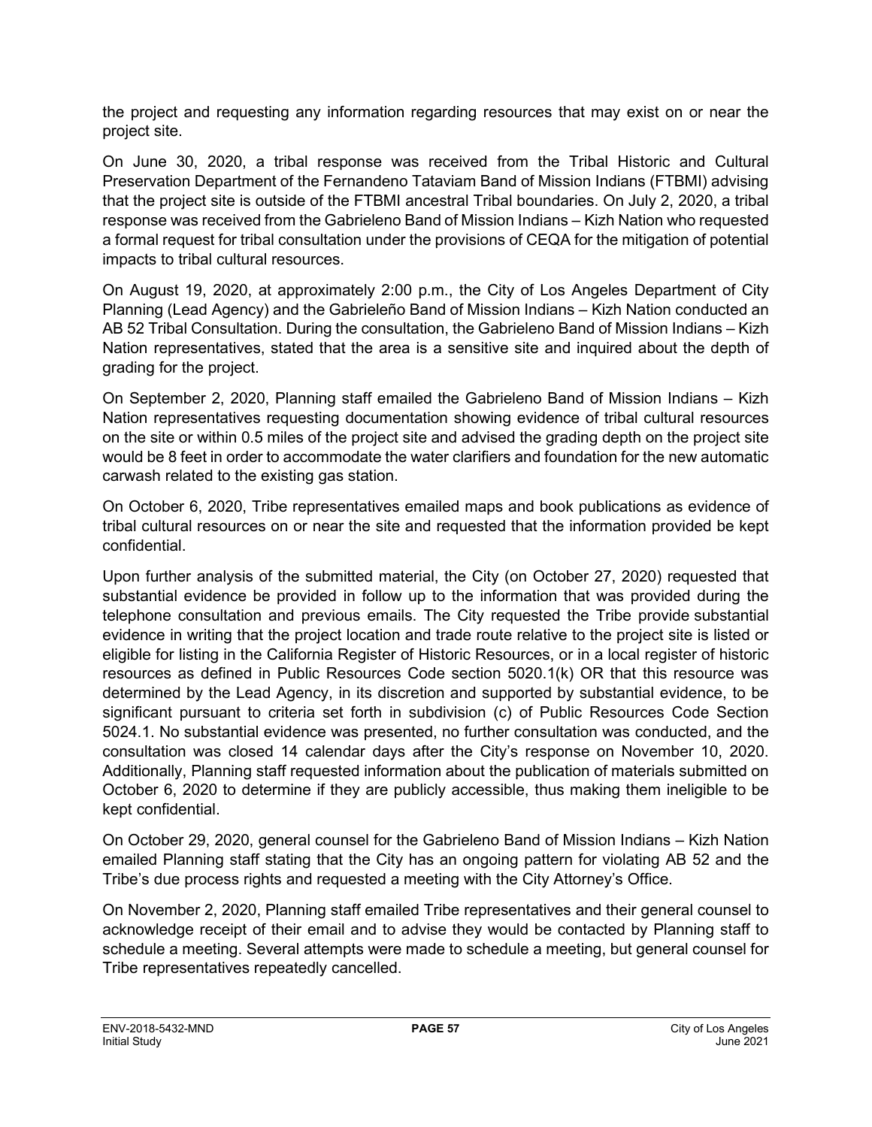the project and requesting any information regarding resources that may exist on or near the project site.

On June 30, 2020, a tribal response was received from the Tribal Historic and Cultural Preservation Department of the Fernandeno Tataviam Band of Mission Indians (FTBMI) advising that the project site is outside of the FTBMI ancestral Tribal boundaries. On July 2, 2020, a tribal response was received from the Gabrieleno Band of Mission Indians – Kizh Nation who requested a formal request for tribal consultation under the provisions of CEQA for the mitigation of potential impacts to tribal cultural resources.

On August 19, 2020, at approximately 2:00 p.m., the City of Los Angeles Department of City Planning (Lead Agency) and the Gabrieleño Band of Mission Indians – Kizh Nation conducted an AB 52 Tribal Consultation. During the consultation, the Gabrieleno Band of Mission Indians – Kizh Nation representatives, stated that the area is a sensitive site and inquired about the depth of grading for the project.

On September 2, 2020, Planning staff emailed the Gabrieleno Band of Mission Indians – Kizh Nation representatives requesting documentation showing evidence of tribal cultural resources on the site or within 0.5 miles of the project site and advised the grading depth on the project site would be 8 feet in order to accommodate the water clarifiers and foundation for the new automatic carwash related to the existing gas station.

On October 6, 2020, Tribe representatives emailed maps and book publications as evidence of tribal cultural resources on or near the site and requested that the information provided be kept confidential.

Upon further analysis of the submitted material, the City (on October 27, 2020) requested that substantial evidence be provided in follow up to the information that was provided during the telephone consultation and previous emails. The City requested the Tribe provide substantial evidence in writing that the project location and trade route relative to the project site is listed or eligible for listing in the California Register of Historic Resources, or in a local register of historic resources as defined in Public Resources Code section 5020.1(k) OR that this resource was determined by the Lead Agency, in its discretion and supported by substantial evidence, to be significant pursuant to criteria set forth in subdivision (c) of Public Resources Code Section 5024.1. No substantial evidence was presented, no further consultation was conducted, and the consultation was closed 14 calendar days after the City's response on November 10, 2020. Additionally, Planning staff requested information about the publication of materials submitted on October 6, 2020 to determine if they are publicly accessible, thus making them ineligible to be kept confidential.

On October 29, 2020, general counsel for the Gabrieleno Band of Mission Indians – Kizh Nation emailed Planning staff stating that the City has an ongoing pattern for violating AB 52 and the Tribe's due process rights and requested a meeting with the City Attorney's Office.

On November 2, 2020, Planning staff emailed Tribe representatives and their general counsel to acknowledge receipt of their email and to advise they would be contacted by Planning staff to schedule a meeting. Several attempts were made to schedule a meeting, but general counsel for Tribe representatives repeatedly cancelled.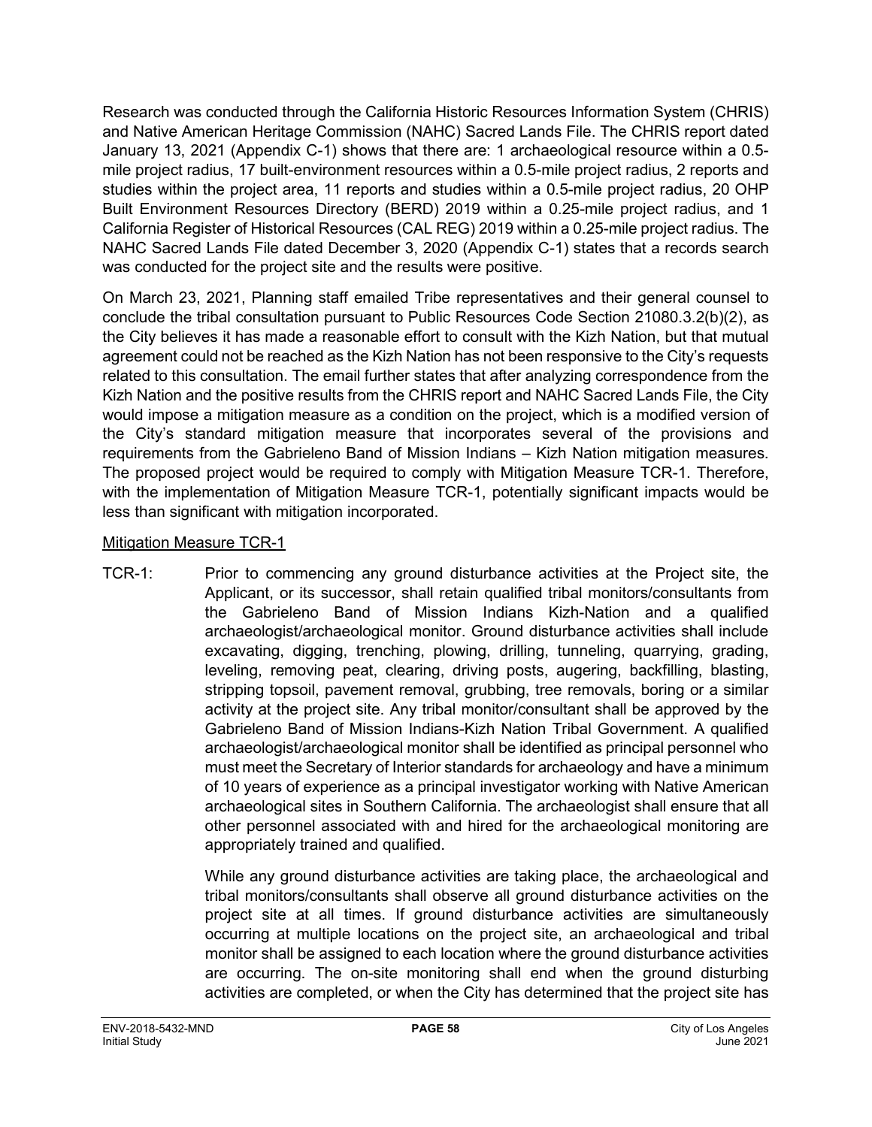Research was conducted through the California Historic Resources Information System (CHRIS) and Native American Heritage Commission (NAHC) Sacred Lands File. The CHRIS report dated January 13, 2021 (Appendix C-1) shows that there are: 1 archaeological resource within a 0.5 mile project radius, 17 built-environment resources within a 0.5-mile project radius, 2 reports and studies within the project area, 11 reports and studies within a 0.5-mile project radius, 20 OHP Built Environment Resources Directory (BERD) 2019 within a 0.25-mile project radius, and 1 California Register of Historical Resources (CAL REG) 2019 within a 0.25-mile project radius. The NAHC Sacred Lands File dated December 3, 2020 (Appendix C-1) states that a records search was conducted for the project site and the results were positive.

On March 23, 2021, Planning staff emailed Tribe representatives and their general counsel to conclude the tribal consultation pursuant to Public Resources Code Section 21080.3.2(b)(2), as the City believes it has made a reasonable effort to consult with the Kizh Nation, but that mutual agreement could not be reached as the Kizh Nation has not been responsive to the City's requests related to this consultation. The email further states that after analyzing correspondence from the Kizh Nation and the positive results from the CHRIS report and NAHC Sacred Lands File, the City would impose a mitigation measure as a condition on the project, which is a modified version of the City's standard mitigation measure that incorporates several of the provisions and requirements from the Gabrieleno Band of Mission Indians – Kizh Nation mitigation measures. The proposed project would be required to comply with Mitigation Measure TCR-1. Therefore, with the implementation of Mitigation Measure TCR-1, potentially significant impacts would be less than significant with mitigation incorporated.

#### Mitigation Measure TCR-1

TCR-1: Prior to commencing any ground disturbance activities at the Project site, the Applicant, or its successor, shall retain qualified tribal monitors/consultants from the Gabrieleno Band of Mission Indians Kizh-Nation and a qualified archaeologist/archaeological monitor. Ground disturbance activities shall include excavating, digging, trenching, plowing, drilling, tunneling, quarrying, grading, leveling, removing peat, clearing, driving posts, augering, backfilling, blasting, stripping topsoil, pavement removal, grubbing, tree removals, boring or a similar activity at the project site. Any tribal monitor/consultant shall be approved by the Gabrieleno Band of Mission Indians-Kizh Nation Tribal Government. A qualified archaeologist/archaeological monitor shall be identified as principal personnel who must meet the Secretary of Interior standards for archaeology and have a minimum of 10 years of experience as a principal investigator working with Native American archaeological sites in Southern California. The archaeologist shall ensure that all other personnel associated with and hired for the archaeological monitoring are appropriately trained and qualified.

> While any ground disturbance activities are taking place, the archaeological and tribal monitors/consultants shall observe all ground disturbance activities on the project site at all times. If ground disturbance activities are simultaneously occurring at multiple locations on the project site, an archaeological and tribal monitor shall be assigned to each location where the ground disturbance activities are occurring. The on-site monitoring shall end when the ground disturbing activities are completed, or when the City has determined that the project site has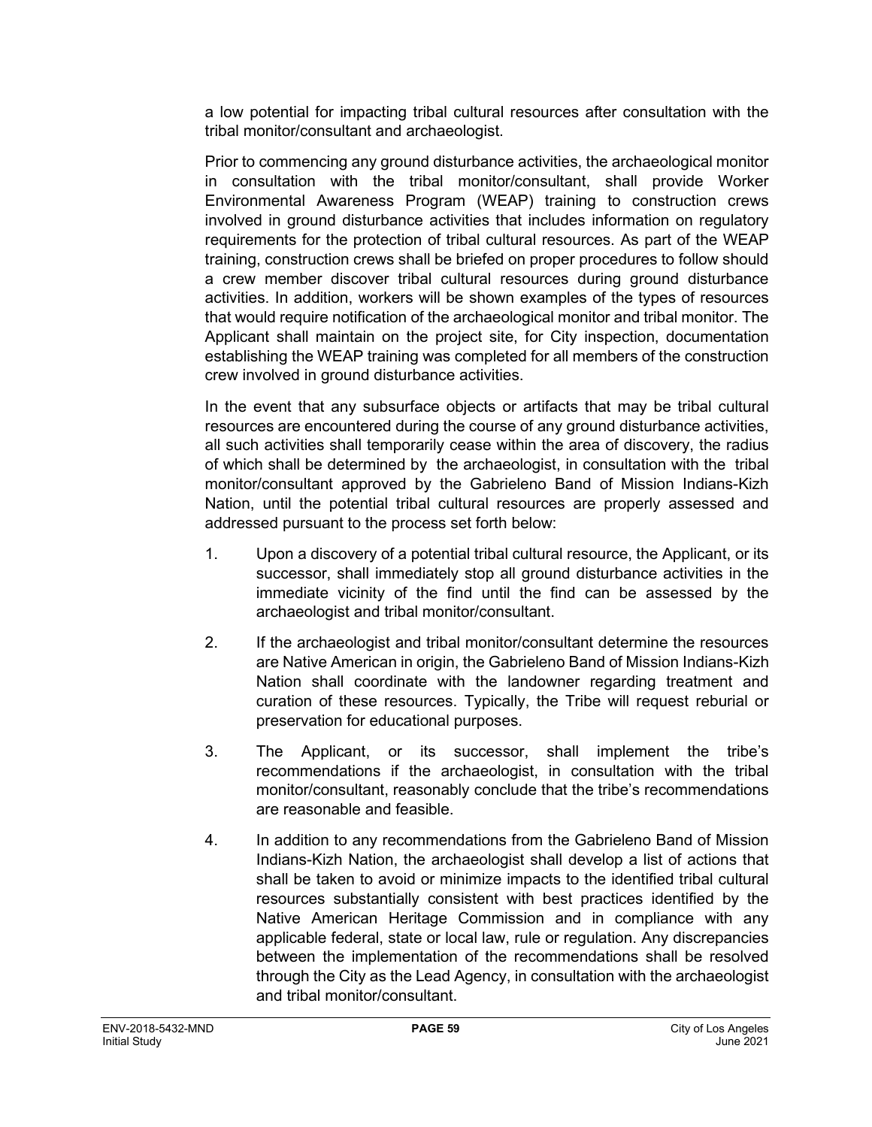a low potential for impacting tribal cultural resources after consultation with the tribal monitor/consultant and archaeologist.

Prior to commencing any ground disturbance activities, the archaeological monitor in consultation with the tribal monitor/consultant, shall provide Worker Environmental Awareness Program (WEAP) training to construction crews involved in ground disturbance activities that includes information on regulatory requirements for the protection of tribal cultural resources. As part of the WEAP training, construction crews shall be briefed on proper procedures to follow should a crew member discover tribal cultural resources during ground disturbance activities. In addition, workers will be shown examples of the types of resources that would require notification of the archaeological monitor and tribal monitor. The Applicant shall maintain on the project site, for City inspection, documentation establishing the WEAP training was completed for all members of the construction crew involved in ground disturbance activities.

In the event that any subsurface objects or artifacts that may be tribal cultural resources are encountered during the course of any ground disturbance activities, all such activities shall temporarily cease within the area of discovery, the radius of which shall be determined by the archaeologist, in consultation with the tribal monitor/consultant approved by the Gabrieleno Band of Mission Indians-Kizh Nation, until the potential tribal cultural resources are properly assessed and addressed pursuant to the process set forth below:

- 1. Upon a discovery of a potential tribal cultural resource, the Applicant, or its successor, shall immediately stop all ground disturbance activities in the immediate vicinity of the find until the find can be assessed by the archaeologist and tribal monitor/consultant.
- 2. If the archaeologist and tribal monitor/consultant determine the resources are Native American in origin, the Gabrieleno Band of Mission Indians-Kizh Nation shall coordinate with the landowner regarding treatment and curation of these resources. Typically, the Tribe will request reburial or preservation for educational purposes.
- 3. The Applicant, or its successor, shall implement the tribe's recommendations if the archaeologist, in consultation with the tribal monitor/consultant, reasonably conclude that the tribe's recommendations are reasonable and feasible.
- 4. In addition to any recommendations from the Gabrieleno Band of Mission Indians-Kizh Nation, the archaeologist shall develop a list of actions that shall be taken to avoid or minimize impacts to the identified tribal cultural resources substantially consistent with best practices identified by the Native American Heritage Commission and in compliance with any applicable federal, state or local law, rule or regulation. Any discrepancies between the implementation of the recommendations shall be resolved through the City as the Lead Agency, in consultation with the archaeologist and tribal monitor/consultant.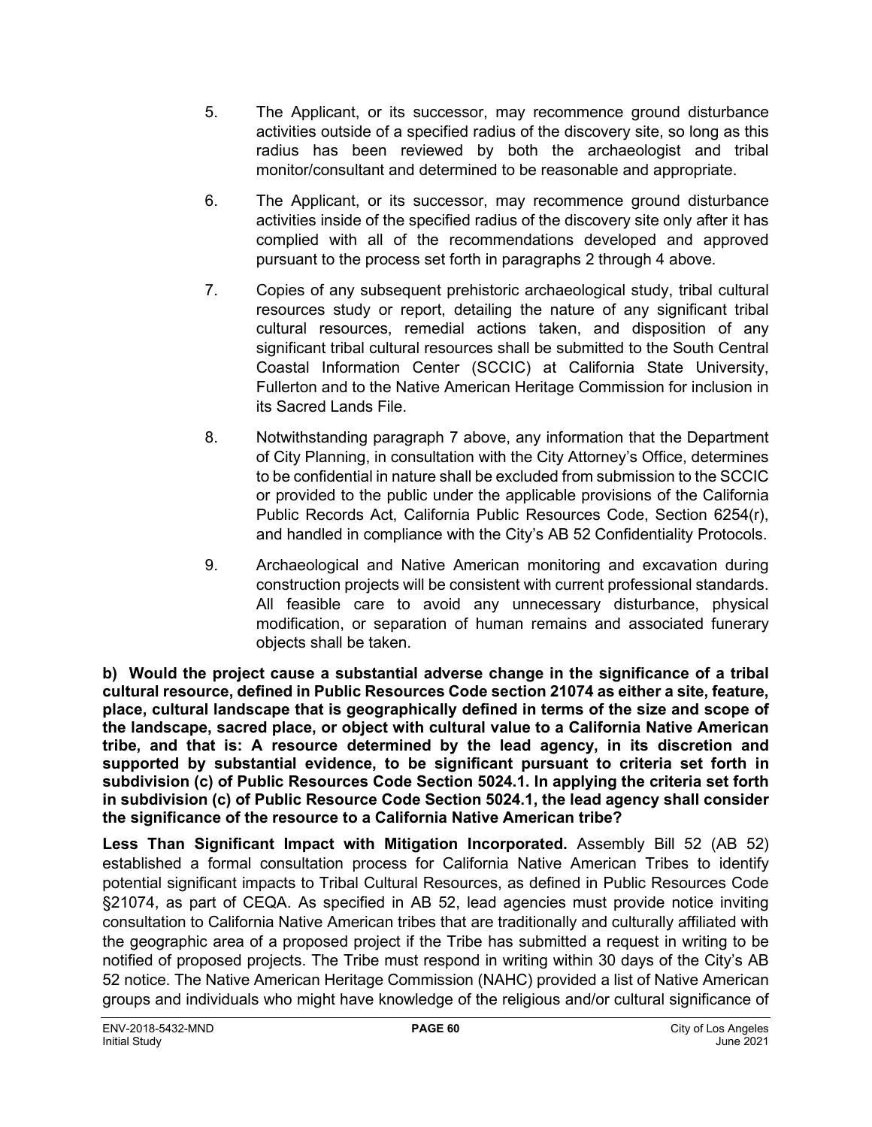- 5. The Applicant, or its successor, may recommence ground disturbance activities outside of a specified radius of the discovery site, so long as this radius has been reviewed by both the archaeologist and tribal monitor/consultant and determined to be reasonable and appropriate.
- 6. The Applicant, or its successor, may recommence ground disturbance activities inside of the specified radius of the discovery site only after it has complied with all of the recommendations developed and approved pursuant to the process set forth in paragraphs 2 through 4 above.
- 7. Copies of any subsequent prehistoric archaeological study, tribal cultural resources study or report, detailing the nature of any significant tribal cultural resources, remedial actions taken, and disposition of any significant tribal cultural resources shall be submitted to the South Central Coastal Information Center (SCCIC) at California State University, Fullerton and to the Native American Heritage Commission for inclusion in its Sacred Lands File.
- 8. Notwithstanding paragraph 7 above, any information that the Department of City Planning, in consultation with the City Attorney's Office, determines to be confidential in nature shall be excluded from submission to the SCCIC or provided to the public under the applicable provisions of the California Public Records Act, California Public Resources Code, Section 6254(r), and handled in compliance with the City's AB 52 Confidentiality Protocols.
- 9. Archaeological and Native American monitoring and excavation during construction projects will be consistent with current professional standards. All feasible care to avoid any unnecessary disturbance, physical modification, or separation of human remains and associated funerary objects shall be taken.

**b) Would the project cause a substantial adverse change in the significance of a tribal cultural resource, defined in Public Resources Code section 21074 as either a site, feature, place, cultural landscape that is geographically defined in terms of the size and scope of the landscape, sacred place, or object with cultural value to a California Native American tribe, and that is: A resource determined by the lead agency, in its discretion and supported by substantial evidence, to be significant pursuant to criteria set forth in subdivision (c) of Public Resources Code Section 5024.1. In applying the criteria set forth in subdivision (c) of Public Resource Code Section 5024.1, the lead agency shall consider the significance of the resource to a California Native American tribe?**

**Less Than Significant Impact with Mitigation Incorporated.** Assembly Bill 52 (AB 52) established a formal consultation process for California Native American Tribes to identify potential significant impacts to Tribal Cultural Resources, as defined in Public Resources Code §21074, as part of CEQA. As specified in AB 52, lead agencies must provide notice inviting consultation to California Native American tribes that are traditionally and culturally affiliated with the geographic area of a proposed project if the Tribe has submitted a request in writing to be notified of proposed projects. The Tribe must respond in writing within 30 days of the City's AB 52 notice. The Native American Heritage Commission (NAHC) provided a list of Native American groups and individuals who might have knowledge of the religious and/or cultural significance of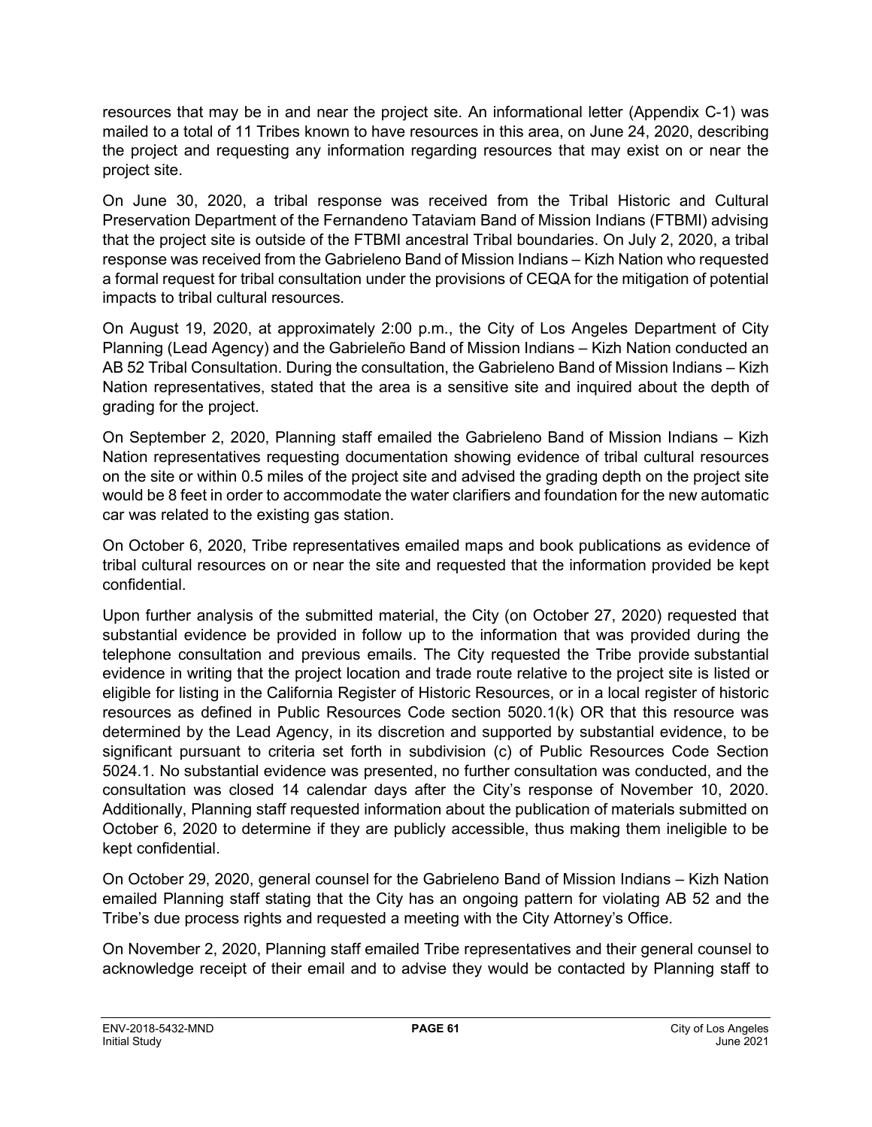resources that may be in and near the project site. An informational letter (Appendix C-1) was mailed to a total of 11 Tribes known to have resources in this area, on June 24, 2020, describing the project and requesting any information regarding resources that may exist on or near the project site.

On June 30, 2020, a tribal response was received from the Tribal Historic and Cultural Preservation Department of the Fernandeno Tataviam Band of Mission Indians (FTBMI) advising that the project site is outside of the FTBMI ancestral Tribal boundaries. On July 2, 2020, a tribal response was received from the Gabrieleno Band of Mission Indians – Kizh Nation who requested a formal request for tribal consultation under the provisions of CEQA for the mitigation of potential impacts to tribal cultural resources.

On August 19, 2020, at approximately 2:00 p.m., the City of Los Angeles Department of City Planning (Lead Agency) and the Gabrieleño Band of Mission Indians – Kizh Nation conducted an AB 52 Tribal Consultation. During the consultation, the Gabrieleno Band of Mission Indians – Kizh Nation representatives, stated that the area is a sensitive site and inquired about the depth of grading for the project.

On September 2, 2020, Planning staff emailed the Gabrieleno Band of Mission Indians – Kizh Nation representatives requesting documentation showing evidence of tribal cultural resources on the site or within 0.5 miles of the project site and advised the grading depth on the project site would be 8 feet in order to accommodate the water clarifiers and foundation for the new automatic car was related to the existing gas station.

On October 6, 2020, Tribe representatives emailed maps and book publications as evidence of tribal cultural resources on or near the site and requested that the information provided be kept confidential.

Upon further analysis of the submitted material, the City (on October 27, 2020) requested that substantial evidence be provided in follow up to the information that was provided during the telephone consultation and previous emails. The City requested the Tribe provide substantial evidence in writing that the project location and trade route relative to the project site is listed or eligible for listing in the California Register of Historic Resources, or in a local register of historic resources as defined in Public Resources Code section 5020.1(k) OR that this resource was determined by the Lead Agency, in its discretion and supported by substantial evidence, to be significant pursuant to criteria set forth in subdivision (c) of Public Resources Code Section 5024.1. No substantial evidence was presented, no further consultation was conducted, and the consultation was closed 14 calendar days after the City's response of November 10, 2020. Additionally, Planning staff requested information about the publication of materials submitted on October 6, 2020 to determine if they are publicly accessible, thus making them ineligible to be kept confidential.

On October 29, 2020, general counsel for the Gabrieleno Band of Mission Indians – Kizh Nation emailed Planning staff stating that the City has an ongoing pattern for violating AB 52 and the Tribe's due process rights and requested a meeting with the City Attorney's Office.

On November 2, 2020, Planning staff emailed Tribe representatives and their general counsel to acknowledge receipt of their email and to advise they would be contacted by Planning staff to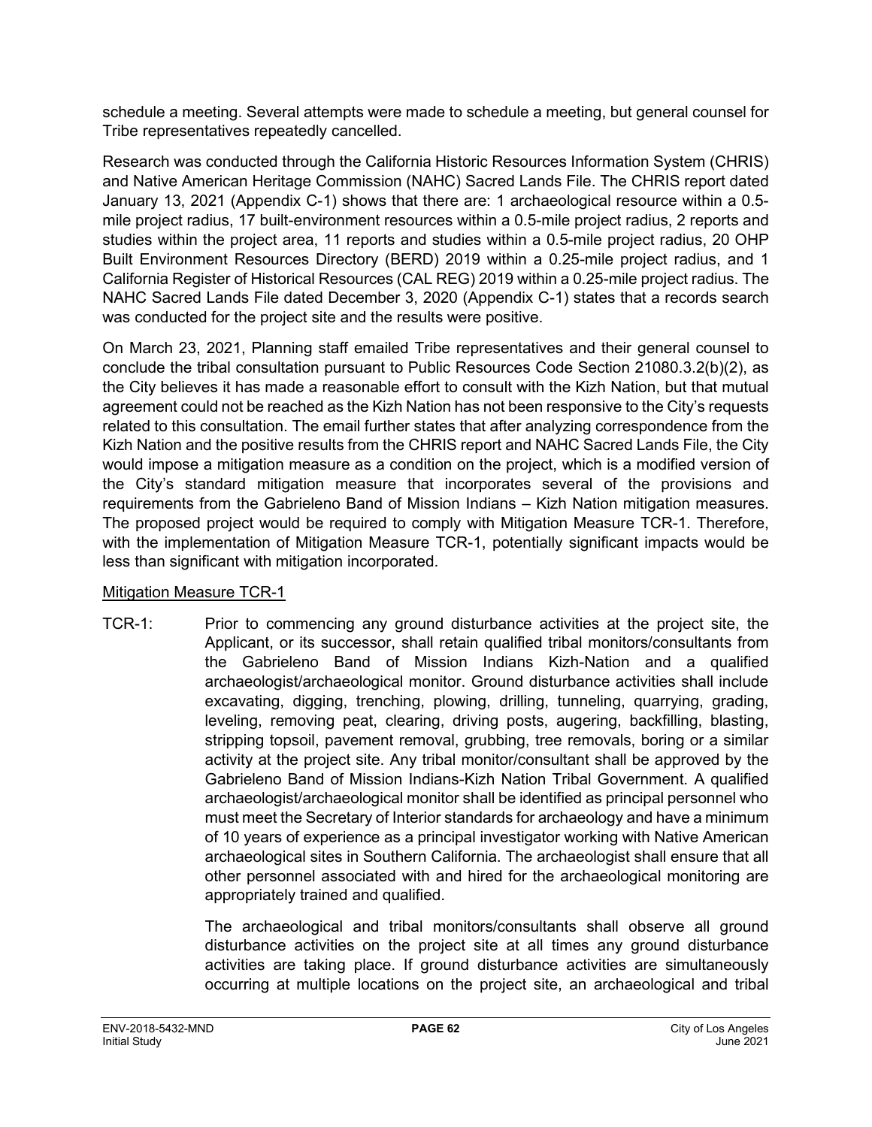schedule a meeting. Several attempts were made to schedule a meeting, but general counsel for Tribe representatives repeatedly cancelled.

Research was conducted through the California Historic Resources Information System (CHRIS) and Native American Heritage Commission (NAHC) Sacred Lands File. The CHRIS report dated January 13, 2021 (Appendix C-1) shows that there are: 1 archaeological resource within a 0.5 mile project radius, 17 built-environment resources within a 0.5-mile project radius, 2 reports and studies within the project area, 11 reports and studies within a 0.5-mile project radius, 20 OHP Built Environment Resources Directory (BERD) 2019 within a 0.25-mile project radius, and 1 California Register of Historical Resources (CAL REG) 2019 within a 0.25-mile project radius. The NAHC Sacred Lands File dated December 3, 2020 (Appendix C-1) states that a records search was conducted for the project site and the results were positive.

On March 23, 2021, Planning staff emailed Tribe representatives and their general counsel to conclude the tribal consultation pursuant to Public Resources Code Section 21080.3.2(b)(2), as the City believes it has made a reasonable effort to consult with the Kizh Nation, but that mutual agreement could not be reached as the Kizh Nation has not been responsive to the City's requests related to this consultation. The email further states that after analyzing correspondence from the Kizh Nation and the positive results from the CHRIS report and NAHC Sacred Lands File, the City would impose a mitigation measure as a condition on the project, which is a modified version of the City's standard mitigation measure that incorporates several of the provisions and requirements from the Gabrieleno Band of Mission Indians – Kizh Nation mitigation measures. The proposed project would be required to comply with Mitigation Measure TCR-1. Therefore, with the implementation of Mitigation Measure TCR-1, potentially significant impacts would be less than significant with mitigation incorporated.

#### Mitigation Measure TCR-1

TCR-1: Prior to commencing any ground disturbance activities at the project site, the Applicant, or its successor, shall retain qualified tribal monitors/consultants from the Gabrieleno Band of Mission Indians Kizh-Nation and a qualified archaeologist/archaeological monitor. Ground disturbance activities shall include excavating, digging, trenching, plowing, drilling, tunneling, quarrying, grading, leveling, removing peat, clearing, driving posts, augering, backfilling, blasting, stripping topsoil, pavement removal, grubbing, tree removals, boring or a similar activity at the project site. Any tribal monitor/consultant shall be approved by the Gabrieleno Band of Mission Indians-Kizh Nation Tribal Government. A qualified archaeologist/archaeological monitor shall be identified as principal personnel who must meet the Secretary of Interior standards for archaeology and have a minimum of 10 years of experience as a principal investigator working with Native American archaeological sites in Southern California. The archaeologist shall ensure that all other personnel associated with and hired for the archaeological monitoring are appropriately trained and qualified.

> The archaeological and tribal monitors/consultants shall observe all ground disturbance activities on the project site at all times any ground disturbance activities are taking place. If ground disturbance activities are simultaneously occurring at multiple locations on the project site, an archaeological and tribal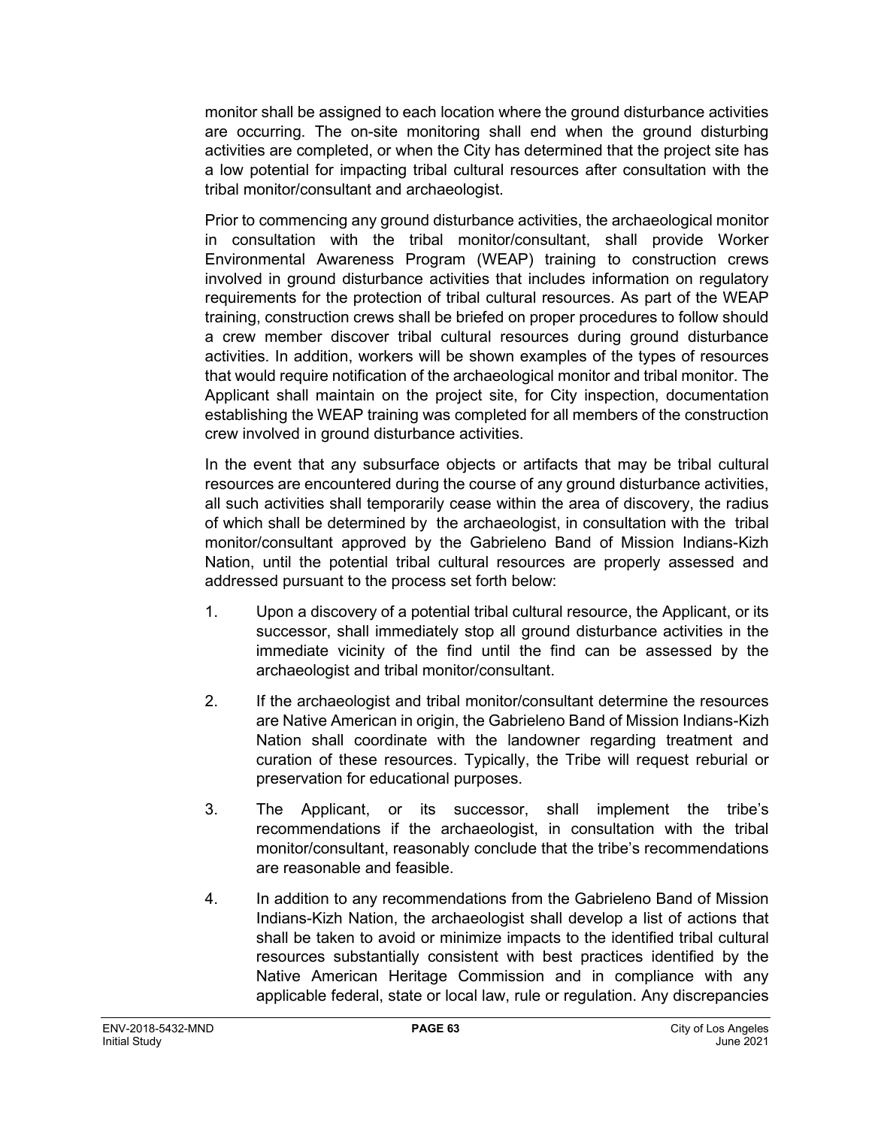monitor shall be assigned to each location where the ground disturbance activities are occurring. The on-site monitoring shall end when the ground disturbing activities are completed, or when the City has determined that the project site has a low potential for impacting tribal cultural resources after consultation with the tribal monitor/consultant and archaeologist.

Prior to commencing any ground disturbance activities, the archaeological monitor in consultation with the tribal monitor/consultant, shall provide Worker Environmental Awareness Program (WEAP) training to construction crews involved in ground disturbance activities that includes information on regulatory requirements for the protection of tribal cultural resources. As part of the WEAP training, construction crews shall be briefed on proper procedures to follow should a crew member discover tribal cultural resources during ground disturbance activities. In addition, workers will be shown examples of the types of resources that would require notification of the archaeological monitor and tribal monitor. The Applicant shall maintain on the project site, for City inspection, documentation establishing the WEAP training was completed for all members of the construction crew involved in ground disturbance activities.

In the event that any subsurface objects or artifacts that may be tribal cultural resources are encountered during the course of any ground disturbance activities, all such activities shall temporarily cease within the area of discovery, the radius of which shall be determined by the archaeologist, in consultation with the tribal monitor/consultant approved by the Gabrieleno Band of Mission Indians-Kizh Nation, until the potential tribal cultural resources are properly assessed and addressed pursuant to the process set forth below:

- 1. Upon a discovery of a potential tribal cultural resource, the Applicant, or its successor, shall immediately stop all ground disturbance activities in the immediate vicinity of the find until the find can be assessed by the archaeologist and tribal monitor/consultant.
- 2. If the archaeologist and tribal monitor/consultant determine the resources are Native American in origin, the Gabrieleno Band of Mission Indians-Kizh Nation shall coordinate with the landowner regarding treatment and curation of these resources. Typically, the Tribe will request reburial or preservation for educational purposes.
- 3. The Applicant, or its successor, shall implement the tribe's recommendations if the archaeologist, in consultation with the tribal monitor/consultant, reasonably conclude that the tribe's recommendations are reasonable and feasible.
- 4. In addition to any recommendations from the Gabrieleno Band of Mission Indians-Kizh Nation, the archaeologist shall develop a list of actions that shall be taken to avoid or minimize impacts to the identified tribal cultural resources substantially consistent with best practices identified by the Native American Heritage Commission and in compliance with any applicable federal, state or local law, rule or regulation. Any discrepancies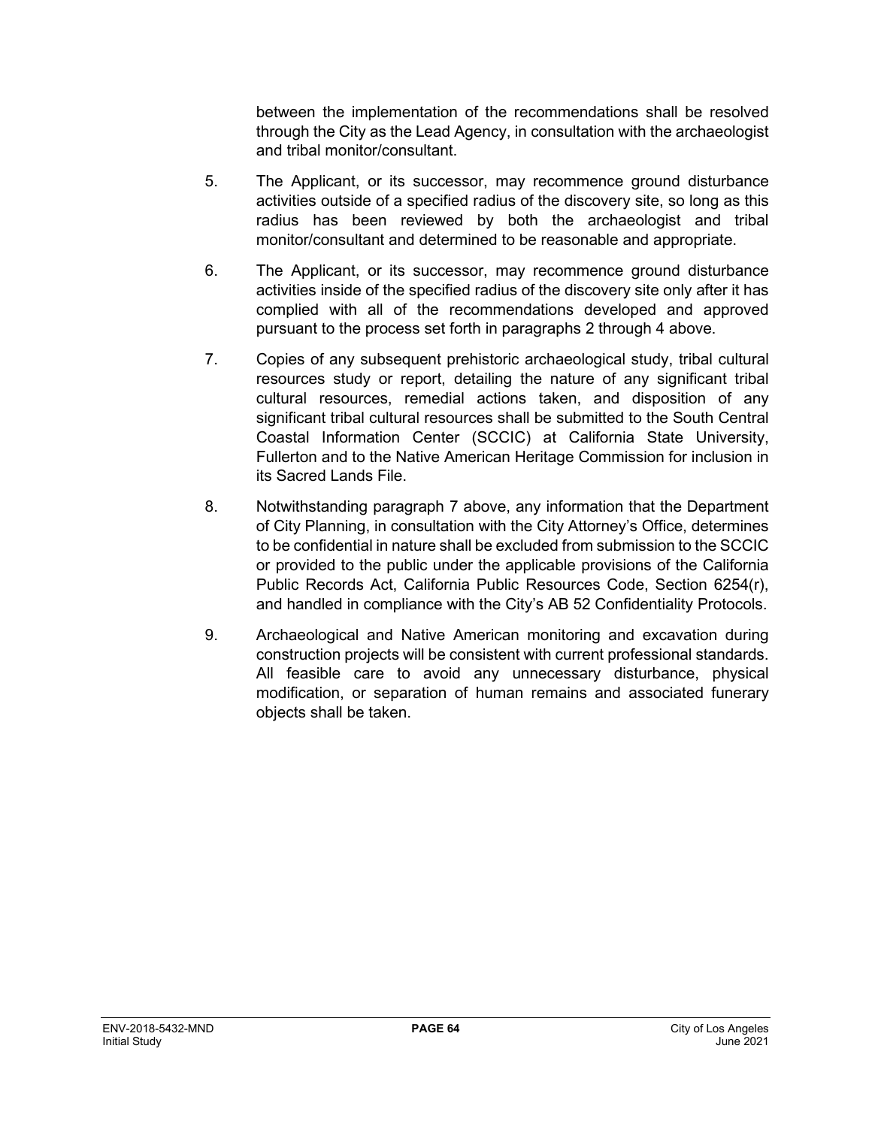between the implementation of the recommendations shall be resolved through the City as the Lead Agency, in consultation with the archaeologist and tribal monitor/consultant.

- 5. The Applicant, or its successor, may recommence ground disturbance activities outside of a specified radius of the discovery site, so long as this radius has been reviewed by both the archaeologist and tribal monitor/consultant and determined to be reasonable and appropriate.
- 6. The Applicant, or its successor, may recommence ground disturbance activities inside of the specified radius of the discovery site only after it has complied with all of the recommendations developed and approved pursuant to the process set forth in paragraphs 2 through 4 above.
- 7. Copies of any subsequent prehistoric archaeological study, tribal cultural resources study or report, detailing the nature of any significant tribal cultural resources, remedial actions taken, and disposition of any significant tribal cultural resources shall be submitted to the South Central Coastal Information Center (SCCIC) at California State University, Fullerton and to the Native American Heritage Commission for inclusion in its Sacred Lands File.
- 8. Notwithstanding paragraph 7 above, any information that the Department of City Planning, in consultation with the City Attorney's Office, determines to be confidential in nature shall be excluded from submission to the SCCIC or provided to the public under the applicable provisions of the California Public Records Act, California Public Resources Code, Section 6254(r), and handled in compliance with the City's AB 52 Confidentiality Protocols.
- 9. Archaeological and Native American monitoring and excavation during construction projects will be consistent with current professional standards. All feasible care to avoid any unnecessary disturbance, physical modification, or separation of human remains and associated funerary objects shall be taken.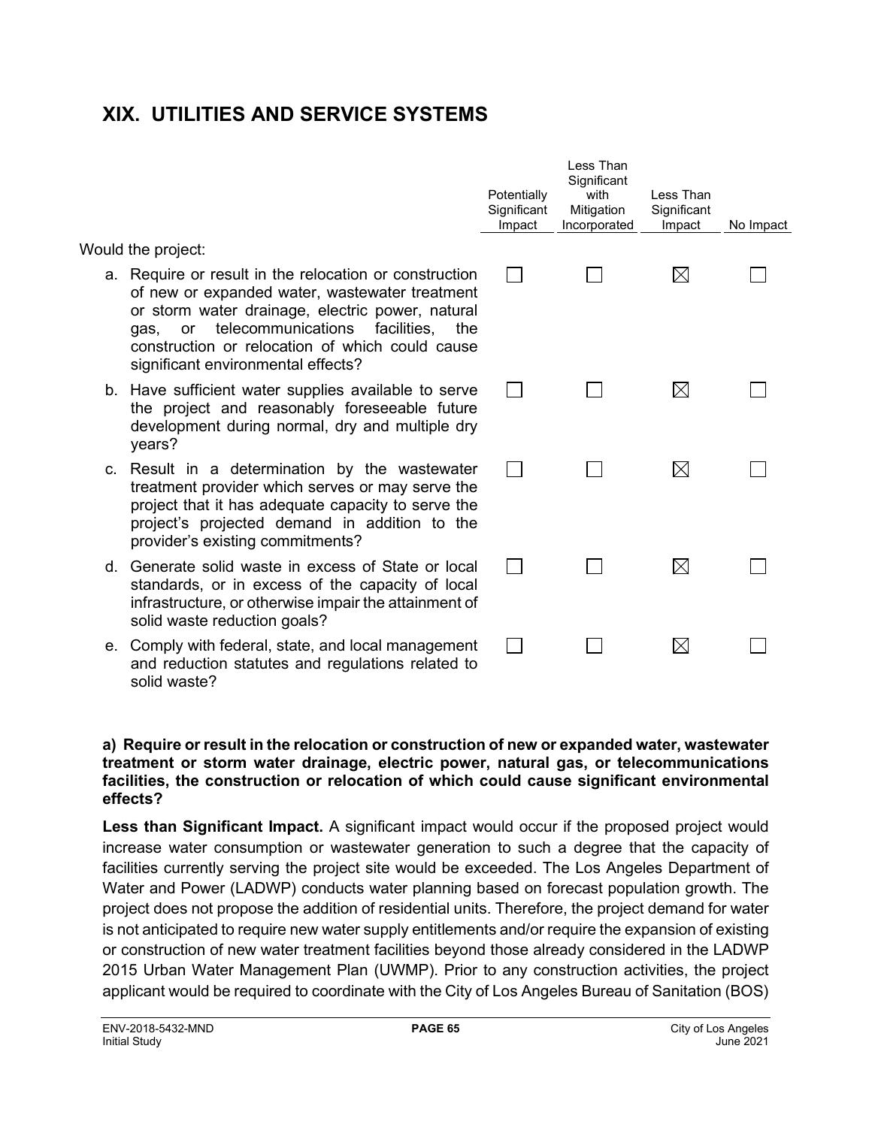## **XIX. UTILITIES AND SERVICE SYSTEMS**

Would the project:

- a. Require or result in the relocation or construction of new or expanded water, wastewater treatment or storm water drainage, electric power, natural gas, or telecommunications facilities, the construction or relocation of which could cause significant environmental effects?
- b. Have sufficient water supplies available to serve the project and reasonably foreseeable future development during normal, dry and multiple dry years?
- c. Result in a determination by the wastewater treatment provider which serves or may serve the project that it has adequate capacity to serve the project's projected demand in addition to the provider's existing commitments?
- d. Generate solid waste in excess of State or local standards, or in excess of the capacity of local infrastructure, or otherwise impair the attainment of solid waste reduction goals?
- e. Comply with federal, state, and local management and reduction statutes and regulations related to solid waste?

| Potentially<br>Significant<br>Impact | Less Than<br>Significant<br>with<br>Mitigation<br>Incorporated | Less Than<br>Significant<br>Impact | No Impact |
|--------------------------------------|----------------------------------------------------------------|------------------------------------|-----------|
|                                      |                                                                |                                    |           |
|                                      |                                                                |                                    |           |
|                                      |                                                                |                                    |           |
|                                      |                                                                |                                    |           |
|                                      |                                                                |                                    |           |

#### **a) Require or result in the relocation or construction of new or expanded water, wastewater treatment or storm water drainage, electric power, natural gas, or telecommunications facilities, the construction or relocation of which could cause significant environmental effects?**

**Less than Significant Impact.** A significant impact would occur if the proposed project would increase water consumption or wastewater generation to such a degree that the capacity of facilities currently serving the project site would be exceeded. The Los Angeles Department of Water and Power (LADWP) conducts water planning based on forecast population growth. The project does not propose the addition of residential units. Therefore, the project demand for water is not anticipated to require new water supply entitlements and/or require the expansion of existing or construction of new water treatment facilities beyond those already considered in the LADWP 2015 Urban Water Management Plan (UWMP). Prior to any construction activities, the project applicant would be required to coordinate with the City of Los Angeles Bureau of Sanitation (BOS)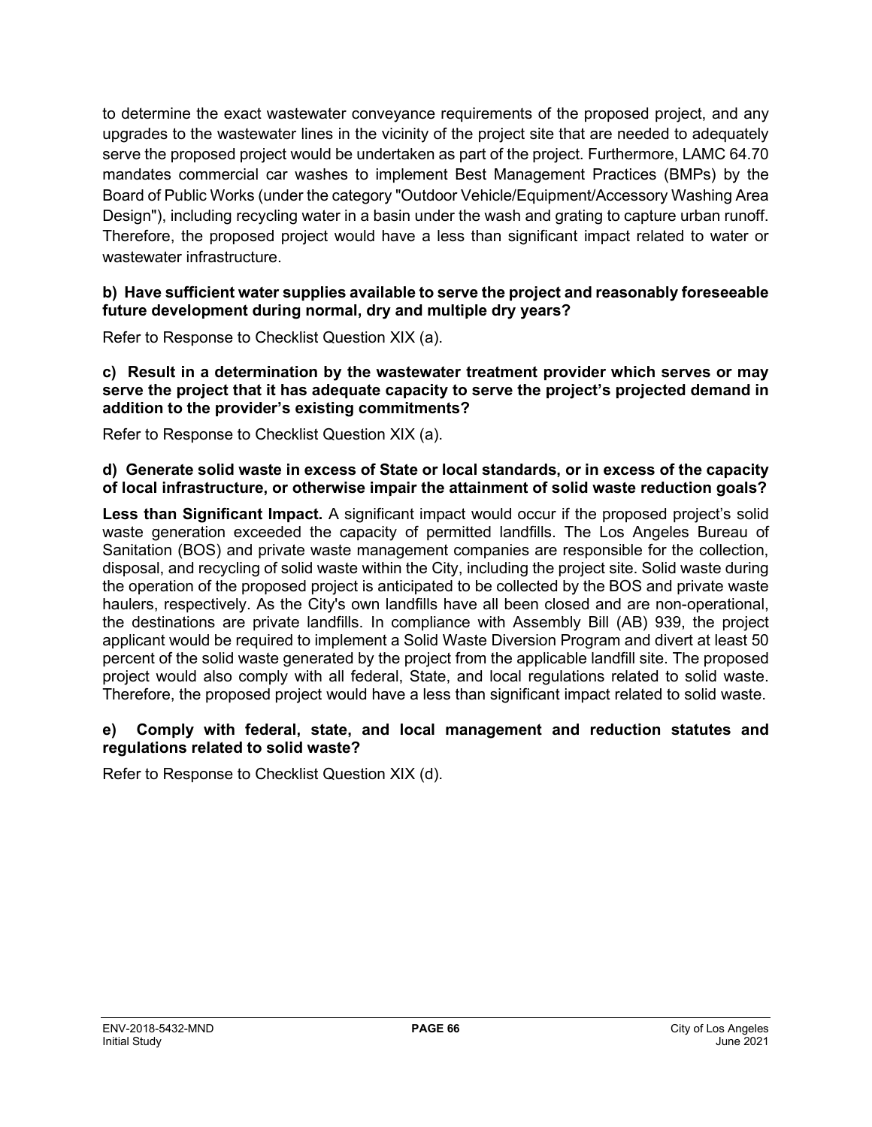to determine the exact wastewater conveyance requirements of the proposed project, and any upgrades to the wastewater lines in the vicinity of the project site that are needed to adequately serve the proposed project would be undertaken as part of the project. Furthermore, LAMC 64.70 mandates commercial car washes to implement [Best Management Practices \(BMPs\)](https://www.lacitysan.org/cs/groups/sg_sw/documents/document/y250/mde3/%7Eedisp/cnt017152.pdf) by the Board of Public Works (under the category "Outdoor Vehicle/Equipment/Accessory Washing Area Design"), including recycling water in a basin under the wash and grating to capture urban runoff. Therefore, the proposed project would have a less than significant impact related to water or wastewater infrastructure.

#### **b) Have sufficient water supplies available to serve the project and reasonably foreseeable future development during normal, dry and multiple dry years?**

Refer to Response to Checklist Question XIX (a).

#### **c) Result in a determination by the wastewater treatment provider which serves or may serve the project that it has adequate capacity to serve the project's projected demand in addition to the provider's existing commitments?**

Refer to Response to Checklist Question XIX (a).

#### **d) Generate solid waste in excess of State or local standards, or in excess of the capacity of local infrastructure, or otherwise impair the attainment of solid waste reduction goals?**

**Less than Significant Impact.** A significant impact would occur if the proposed project's solid waste generation exceeded the capacity of permitted landfills. The Los Angeles Bureau of Sanitation (BOS) and private waste management companies are responsible for the collection, disposal, and recycling of solid waste within the City, including the project site. Solid waste during the operation of the proposed project is anticipated to be collected by the BOS and private waste haulers, respectively. As the City's own landfills have all been closed and are non-operational, the destinations are private landfills. In compliance with Assembly Bill (AB) 939, the project applicant would be required to implement a Solid Waste Diversion Program and divert at least 50 percent of the solid waste generated by the project from the applicable landfill site. The proposed project would also comply with all federal, State, and local regulations related to solid waste. Therefore, the proposed project would have a less than significant impact related to solid waste.

#### **e) Comply with federal, state, and local management and reduction statutes and regulations related to solid waste?**

Refer to Response to Checklist Question XIX (d).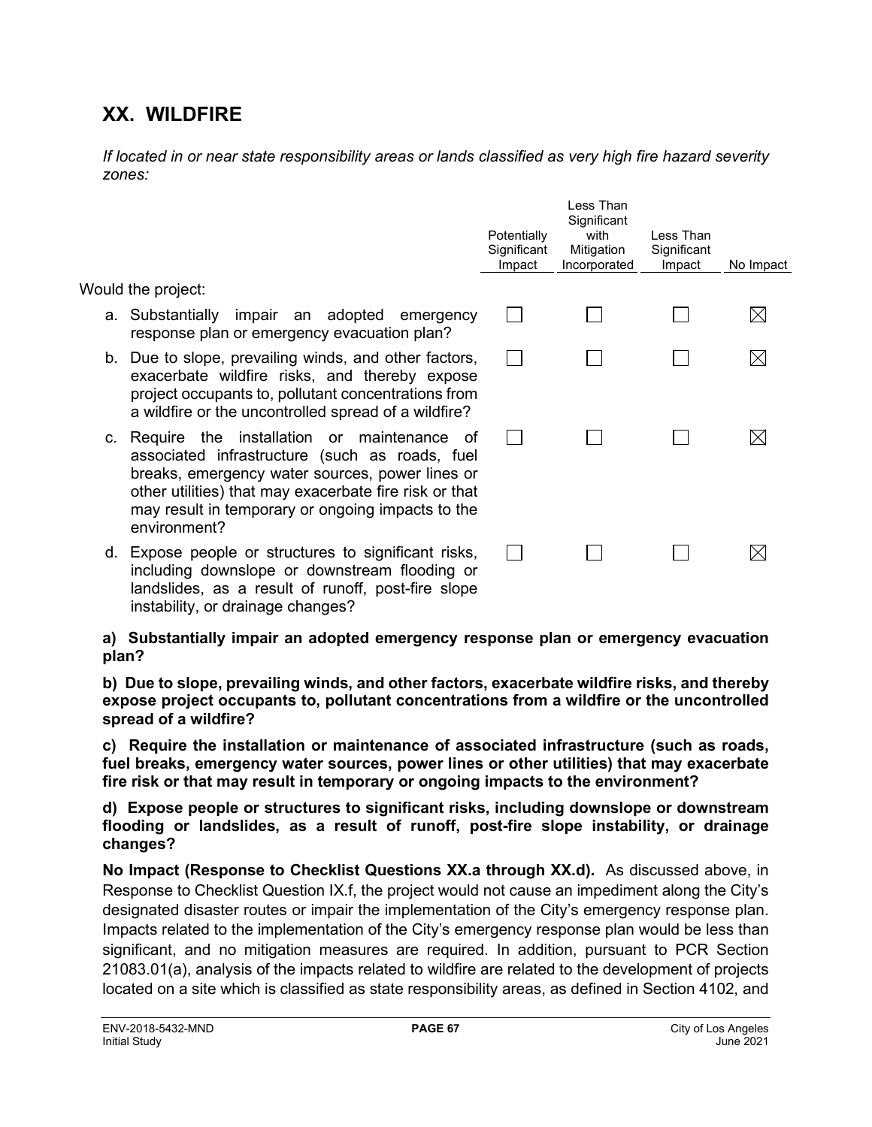## **XX. WILDFIRE**

instability, or drainage changes?

*If located in or near state responsibility areas or lands classified as very high fire hazard severity zones:*

|                                                                                                                                                                                                                                                                                      | Potentially<br>Significant<br>Impact | Less Than<br>Significant<br>with<br>Mitigation<br>Incorporated | Less Than<br>Significant<br>Impact | No Impact |
|--------------------------------------------------------------------------------------------------------------------------------------------------------------------------------------------------------------------------------------------------------------------------------------|--------------------------------------|----------------------------------------------------------------|------------------------------------|-----------|
| Would the project:                                                                                                                                                                                                                                                                   |                                      |                                                                |                                    |           |
| a. Substantially impair an adopted<br>emergency<br>response plan or emergency evacuation plan?                                                                                                                                                                                       |                                      |                                                                |                                    | ⊠         |
| b. Due to slope, prevailing winds, and other factors,<br>exacerbate wildfire risks, and thereby expose<br>project occupants to, pollutant concentrations from<br>a wildfire or the uncontrolled spread of a wildfire?                                                                |                                      |                                                                |                                    |           |
| c. Require the installation or maintenance<br>0f<br>associated infrastructure (such as roads, fuel<br>breaks, emergency water sources, power lines or<br>other utilities) that may exacerbate fire risk or that<br>may result in temporary or ongoing impacts to the<br>environment? |                                      |                                                                |                                    |           |
| d. Expose people or structures to significant risks,<br>including downslope or downstream flooding or<br>landslides, as a result of runoff, post-fire slope                                                                                                                          |                                      |                                                                |                                    |           |

**a) Substantially impair an adopted emergency response plan or emergency evacuation plan?**

**b) Due to slope, prevailing winds, and other factors, exacerbate wildfire risks, and thereby expose project occupants to, pollutant concentrations from a wildfire or the uncontrolled spread of a wildfire?**

**c) Require the installation or maintenance of associated infrastructure (such as roads, fuel breaks, emergency water sources, power lines or other utilities) that may exacerbate fire risk or that may result in temporary or ongoing impacts to the environment?**

**d) Expose people or structures to significant risks, including downslope or downstream flooding or landslides, as a result of runoff, post-fire slope instability, or drainage changes?**

**No Impact (Response to Checklist Questions XX.a through XX.d).** As discussed above, in Response to Checklist Question IX.f, the project would not cause an impediment along the City's designated disaster routes or impair the implementation of the City's emergency response plan. Impacts related to the implementation of the City's emergency response plan would be less than significant, and no mitigation measures are required. In addition, pursuant to PCR Section 21083.01(a), analysis of the impacts related to wildfire are related to the development of projects located on a site which is classified as state responsibility areas, as defined in Section 4102, and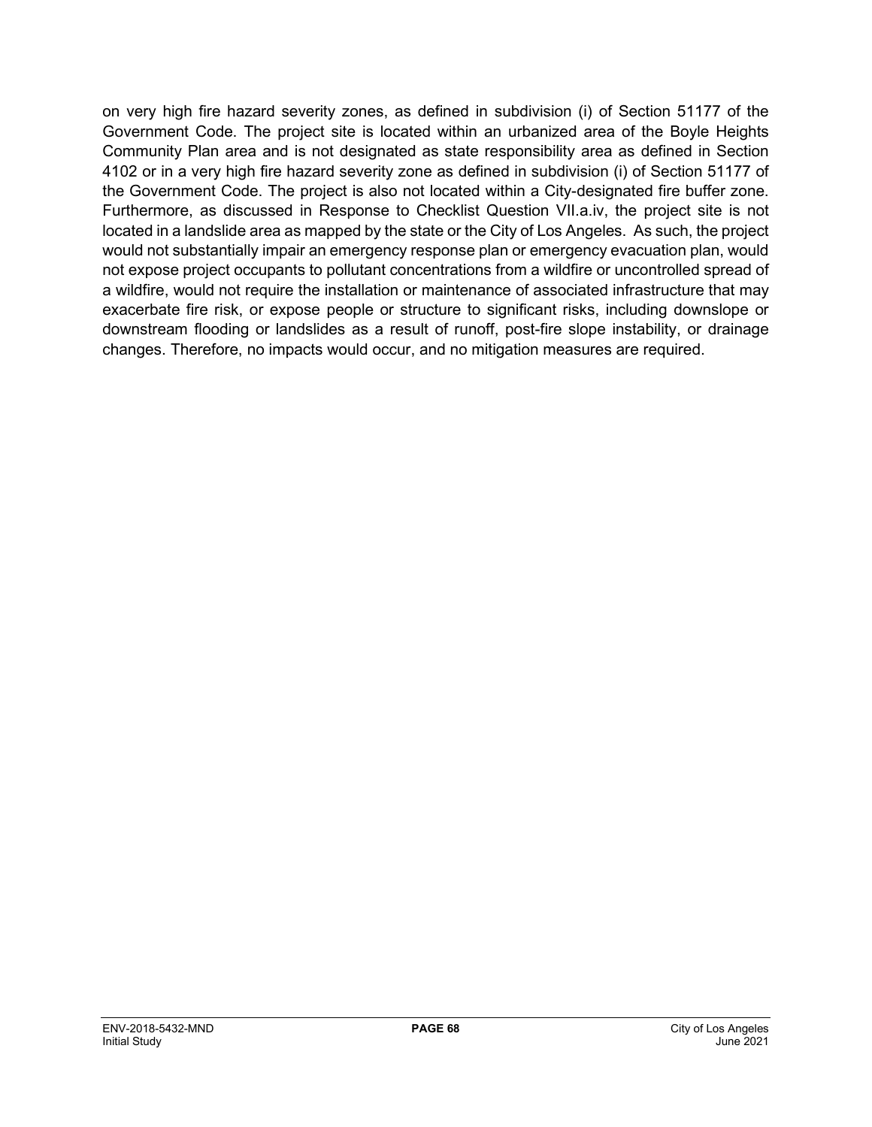on very high fire hazard severity zones, as defined in subdivision (i) of Section 51177 of the Government Code. The project site is located within an urbanized area of the Boyle Heights Community Plan area and is not designated as state responsibility area as defined in Section 4102 or in a very high fire hazard severity zone as defined in subdivision (i) of Section 51177 of the Government Code. The project is also not located within a City-designated fire buffer zone. Furthermore, as discussed in Response to Checklist Question VII.a.iv, the project site is not located in a landslide area as mapped by the state or the City of Los Angeles. As such, the project would not substantially impair an emergency response plan or emergency evacuation plan, would not expose project occupants to pollutant concentrations from a wildfire or uncontrolled spread of a wildfire, would not require the installation or maintenance of associated infrastructure that may exacerbate fire risk, or expose people or structure to significant risks, including downslope or downstream flooding or landslides as a result of runoff, post-fire slope instability, or drainage changes. Therefore, no impacts would occur, and no mitigation measures are required.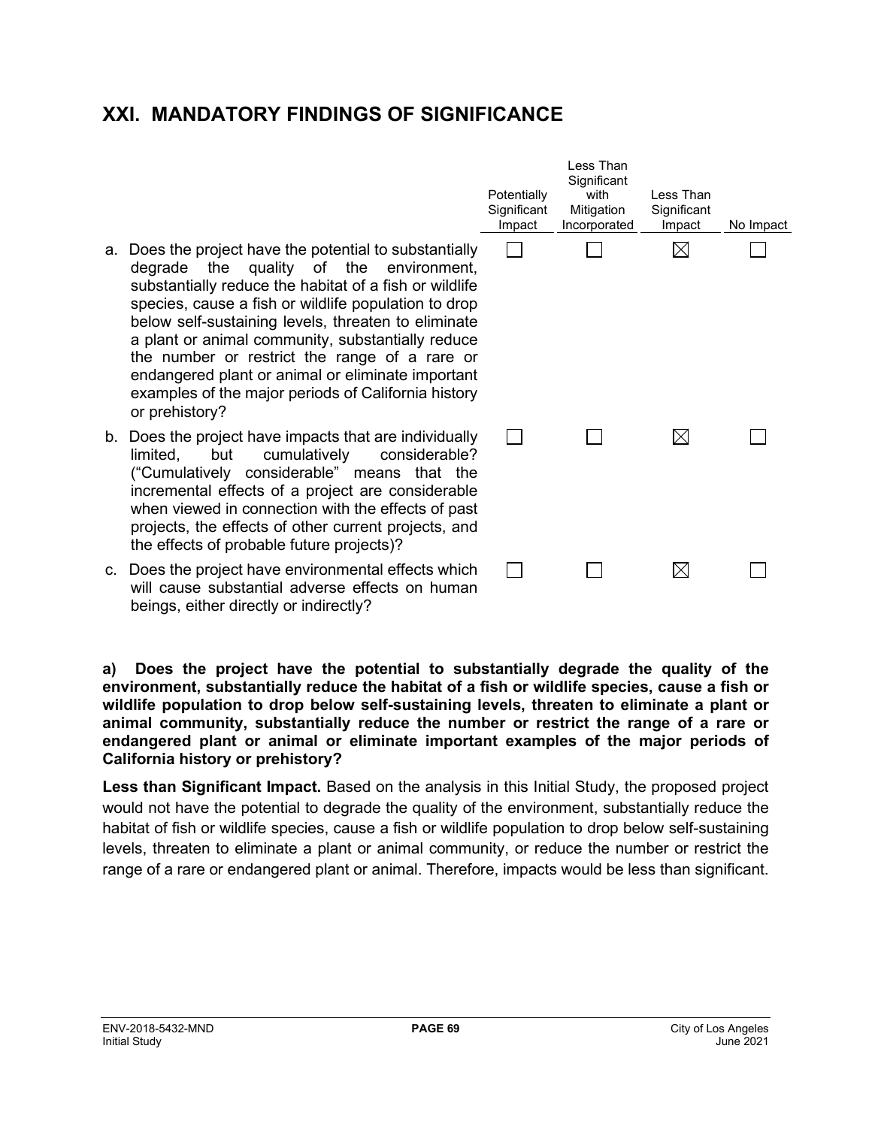## **XXI. MANDATORY FINDINGS OF SIGNIFICANCE**

- a. Does the project have the potential to substantially degrade the quality of the environment substantially reduce the habitat of a fish or wildlife species, cause a fish or wildlife population to drop below self-sustaining levels, threaten to eliminate a plant or animal community, substantially reduce the number or restrict the range of a rare or endangered plant or animal or eliminate importan examples of the major periods of California history or prehistory?
- b. Does the project have impacts that are individually limited, but cumulatively considerable? ("Cumulatively considerable" means that the incremental effects of a project are considerable when viewed in connection with the effects of past projects, the effects of other current projects, and the effects of probable future projects)?
- c. Does the project have environmental effects which will cause substantial adverse effects on humar beings, either directly or indirectly?

|                                              | Potentially<br>Significant<br>Impact | Less Than<br>Significant<br>with<br>Mitigation<br>Incorporated | Less Than<br>Significant<br>Impact | No Impact |
|----------------------------------------------|--------------------------------------|----------------------------------------------------------------|------------------------------------|-----------|
| у<br>ť,<br>e<br>p<br>e<br>е<br>νr<br>ıt<br>y |                                      |                                                                |                                    |           |
| y<br>?<br>e<br>e<br>st<br>d                  |                                      |                                                                | $\boxtimes$                        |           |
| h<br>n                                       |                                      |                                                                |                                    |           |

**a) Does the project have the potential to substantially degrade the quality of the environment, substantially reduce the habitat of a fish or wildlife species, cause a fish or wildlife population to drop below self-sustaining levels, threaten to eliminate a plant or animal community, substantially reduce the number or restrict the range of a rare or endangered plant or animal or eliminate important examples of the major periods of California history or prehistory?**

**Less than Significant Impact.** Based on the analysis in this Initial Study, the proposed project would not have the potential to degrade the quality of the environment, substantially reduce the habitat of fish or wildlife species, cause a fish or wildlife population to drop below self-sustaining levels, threaten to eliminate a plant or animal community, or reduce the number or restrict the range of a rare or endangered plant or animal. Therefore, impacts would be less than significant.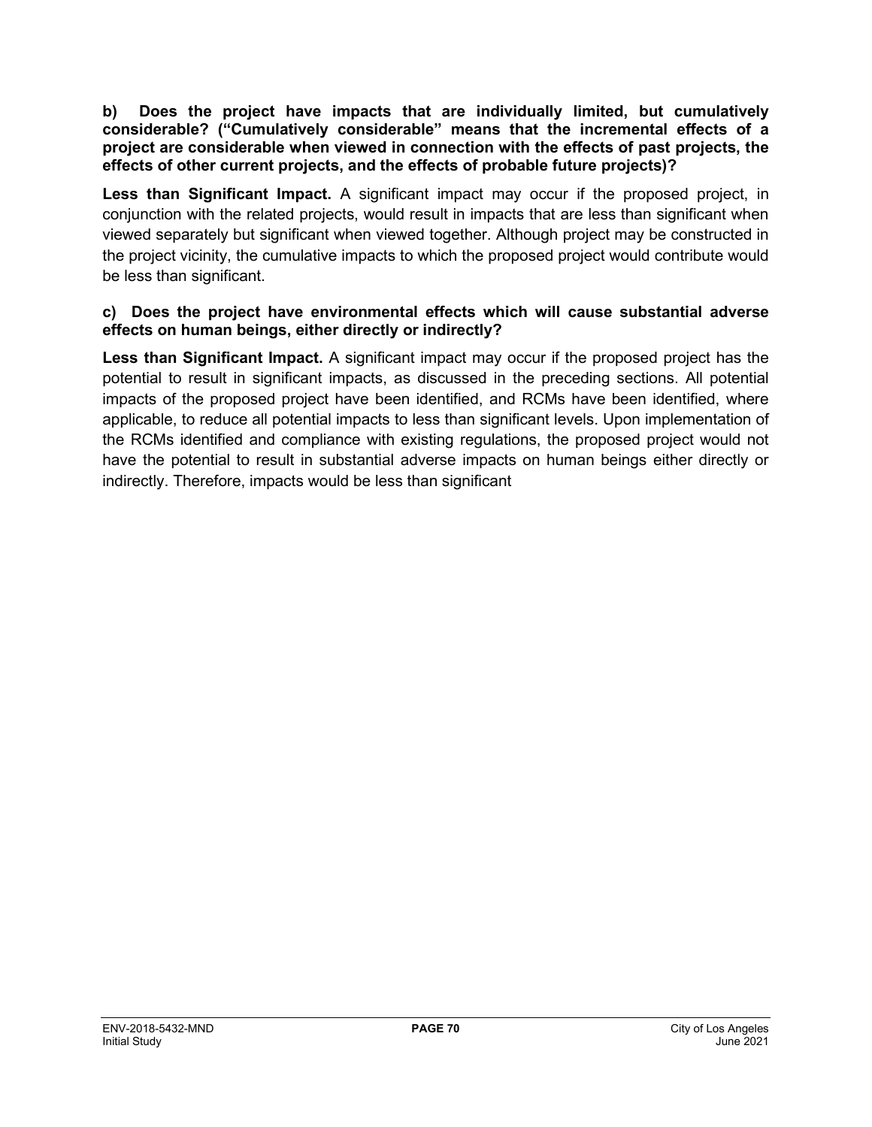#### **b) Does the project have impacts that are individually limited, but cumulatively considerable? ("Cumulatively considerable" means that the incremental effects of a project are considerable when viewed in connection with the effects of past projects, the effects of other current projects, and the effects of probable future projects)?**

**Less than Significant Impact.** A significant impact may occur if the proposed project, in conjunction with the related projects, would result in impacts that are less than significant when viewed separately but significant when viewed together. Although project may be constructed in the project vicinity, the cumulative impacts to which the proposed project would contribute would be less than significant.

#### **c) Does the project have environmental effects which will cause substantial adverse effects on human beings, either directly or indirectly?**

**Less than Significant Impact.** A significant impact may occur if the proposed project has the potential to result in significant impacts, as discussed in the preceding sections. All potential impacts of the proposed project have been identified, and RCMs have been identified, where applicable, to reduce all potential impacts to less than significant levels. Upon implementation of the RCMs identified and compliance with existing regulations, the proposed project would not have the potential to result in substantial adverse impacts on human beings either directly or indirectly. Therefore, impacts would be less than significant